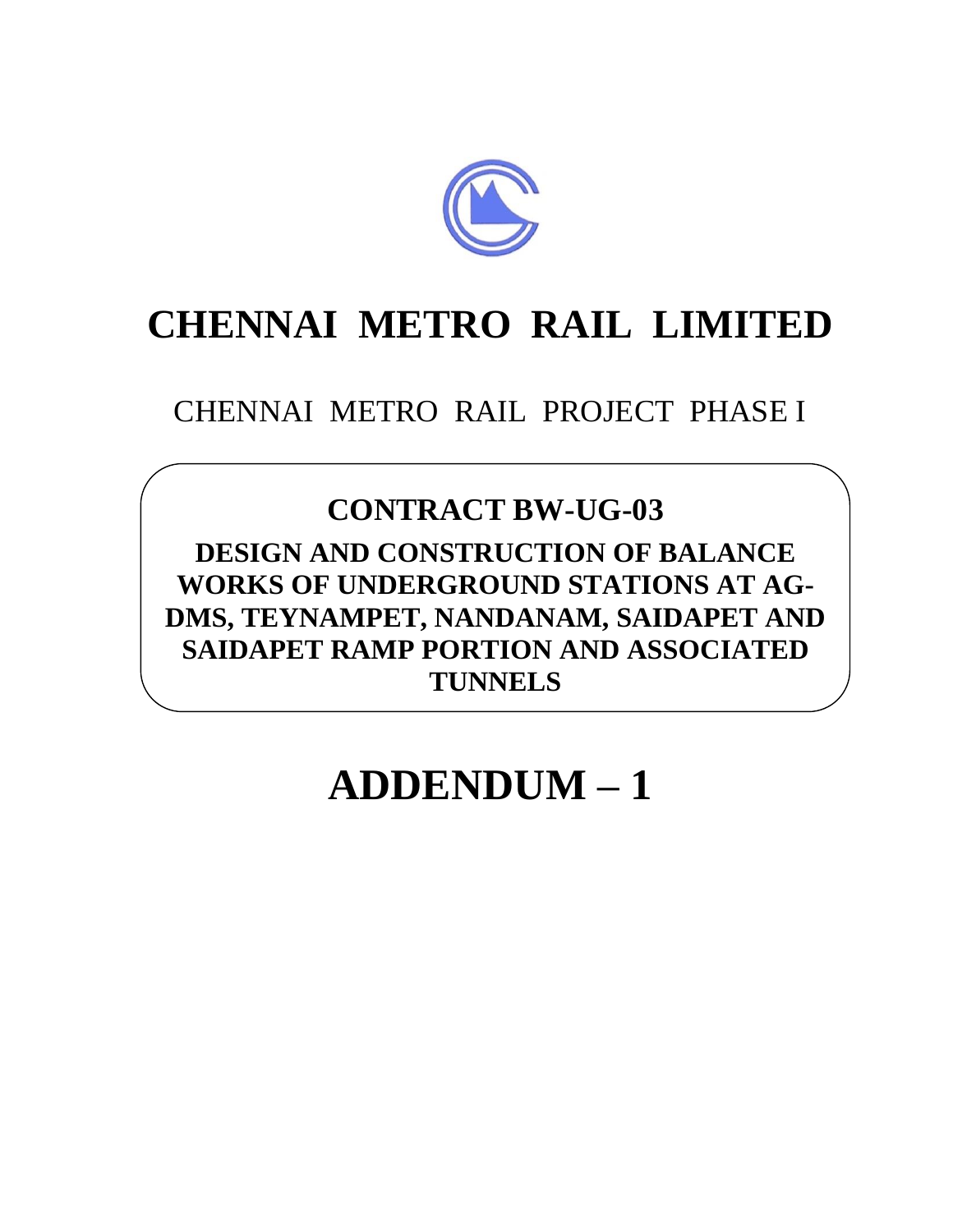

# **CHENNAI METRO RAIL LIMITED**

CHENNAI METRO RAIL PROJECT PHASE I

# **CONTRACT BW-UG-03**

**DESIGN AND CONSTRUCTION OF BALANCE WORKS OF UNDERGROUND STATIONS AT AG-DMS, TEYNAMPET, NANDANAM, SAIDAPET AND SAIDAPET RAMP PORTION AND ASSOCIATED TUNNELS**

# **ADDENDUM – 1**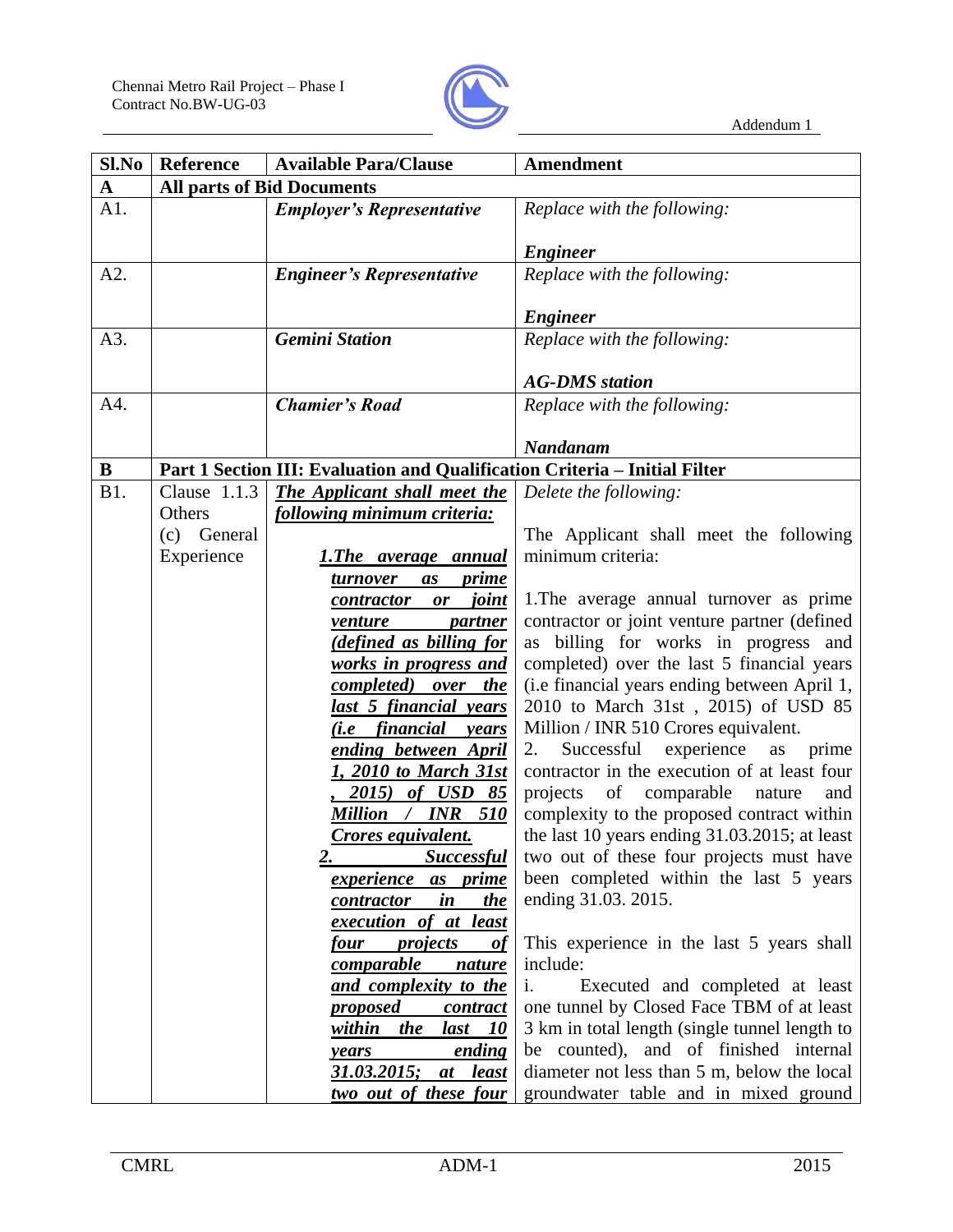

| Sl.No       | <b>Reference</b> | <b>Available Para/Clause</b><br>Amendment                                  |                                                                                      |
|-------------|------------------|----------------------------------------------------------------------------|--------------------------------------------------------------------------------------|
| $\mathbf A$ |                  | <b>All parts of Bid Documents</b>                                          |                                                                                      |
| A1.         |                  | <b>Employer's Representative</b>                                           | Replace with the following:                                                          |
|             |                  |                                                                            | <b>Engineer</b>                                                                      |
| A2.         |                  | <b>Engineer's Representative</b>                                           | Replace with the following:                                                          |
|             |                  |                                                                            |                                                                                      |
|             |                  |                                                                            | <b>Engineer</b>                                                                      |
| A3.         |                  | <b>Gemini Station</b>                                                      | Replace with the following:                                                          |
|             |                  |                                                                            |                                                                                      |
|             |                  |                                                                            | <b>AG-DMS</b> station                                                                |
| A4.         |                  | <b>Chamier's Road</b>                                                      | Replace with the following:                                                          |
|             |                  |                                                                            |                                                                                      |
|             |                  |                                                                            | Nandanam                                                                             |
| B           |                  | Part 1 Section III: Evaluation and Qualification Criteria - Initial Filter |                                                                                      |
| <b>B1.</b>  | Clause $1.1.3$   | The Applicant shall meet the                                               | Delete the following:                                                                |
|             | Others           | following minimum criteria:                                                |                                                                                      |
|             | (c) General      |                                                                            | The Applicant shall meet the following                                               |
|             | Experience       | <u>1.The average annual</u>                                                | minimum criteria:                                                                    |
|             |                  | <i>turnover</i><br>as<br><u>prime</u>                                      |                                                                                      |
|             |                  | <i>joint</i><br>contractor<br>or                                           | 1. The average annual turnover as prime                                              |
|             |                  | venture<br><i>partner</i>                                                  | contractor or joint venture partner (defined<br>as billing for works in progress and |
|             |                  | (defined as billing for<br>works in progress and                           | completed) over the last 5 financial years                                           |
|             |                  | completed) over the                                                        | (i.e financial years ending between April 1,                                         |
|             |                  | last 5 financial years                                                     | 2010 to March 31st, 2015) of USD 85                                                  |
|             |                  | <u>(i.e financial years</u>                                                | Million / INR 510 Crores equivalent.                                                 |
|             |                  | ending between April                                                       | experience<br>Successful<br>2.<br>as<br>prime                                        |
|             |                  | 1, 2010 to March 31st                                                      | contractor in the execution of at least four                                         |
|             |                  | 2015) of USD 85                                                            | projects of comparable nature<br>and                                                 |
|             |                  | Million / INR 510                                                          | complexity to the proposed contract within                                           |
|             |                  | Crores equivalent.                                                         | the last 10 years ending 31.03.2015; at least                                        |
|             |                  | <u>Successful</u><br><u>2.</u>                                             | two out of these four projects must have                                             |
|             |                  | experience as prime                                                        | been completed within the last 5 years                                               |
|             |                  | <u>the</u><br><i>contractor</i><br>$\boldsymbol{i}$ n                      | ending 31.03. 2015.                                                                  |
|             |                  | execution of at least                                                      |                                                                                      |
|             |                  | <u>four</u><br><i>projects</i><br><b>of</b>                                | This experience in the last 5 years shall                                            |
|             |                  | <u>comparable</u><br><i>nature</i>                                         | include:                                                                             |
|             |                  | and complexity to the                                                      | i.<br>Executed and completed at least                                                |
|             |                  | <u>proposed</u><br><u>contract</u>                                         | one tunnel by Closed Face TBM of at least                                            |
|             |                  | within the<br>last<br><i>10</i>                                            | 3 km in total length (single tunnel length to                                        |
|             |                  | ending<br>years                                                            | be counted), and of finished internal                                                |
|             |                  | 31.03.2015;<br>at least                                                    | diameter not less than 5 m, below the local                                          |
|             |                  | two out of these four                                                      | groundwater table and in mixed ground                                                |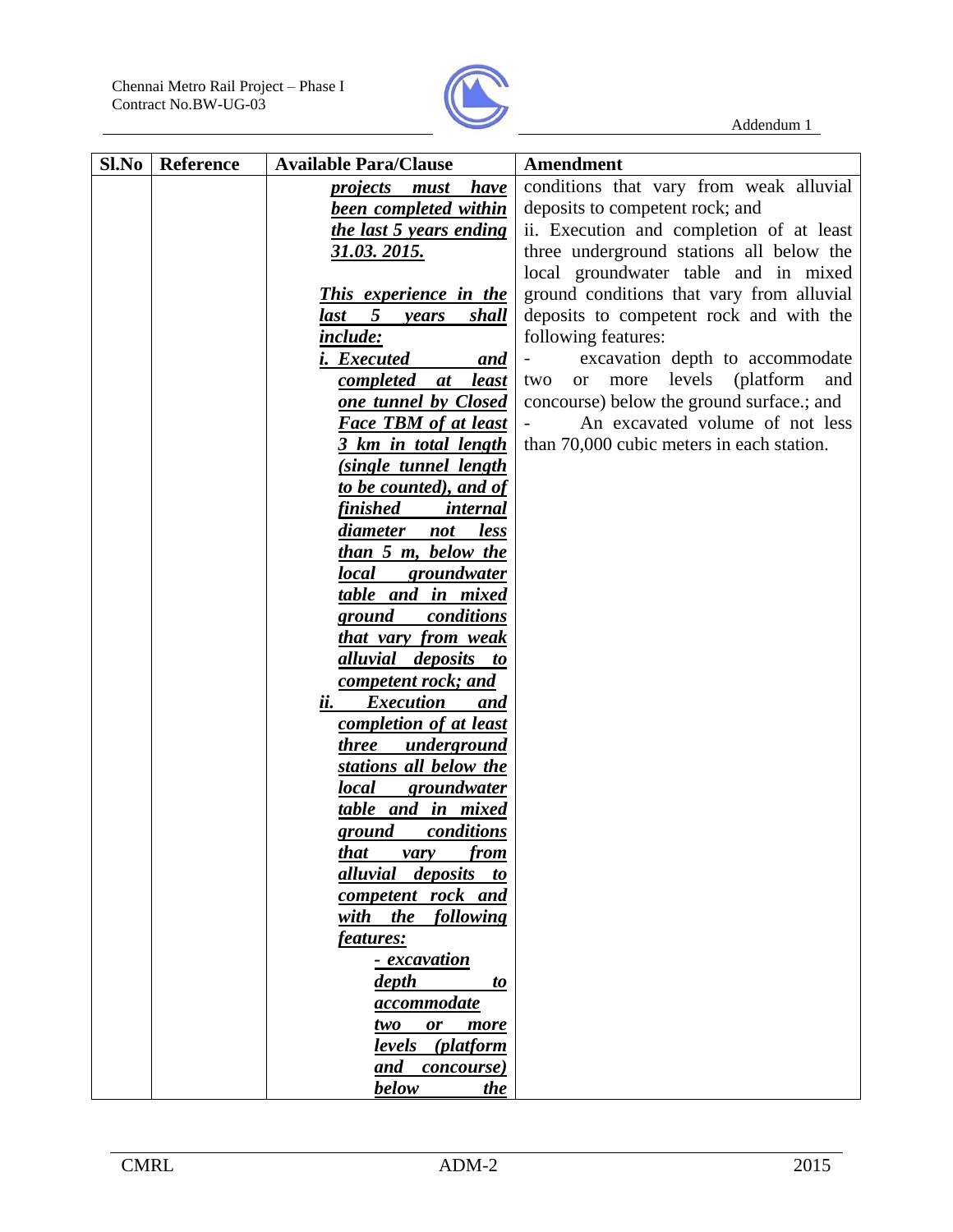

| Sl.No | <b>Reference</b> | <b>Available Para/Clause</b>                    | <b>Amendment</b>                                       |
|-------|------------------|-------------------------------------------------|--------------------------------------------------------|
|       |                  | <b>have</b><br><i>projects must</i>             | conditions that vary from weak alluvial                |
|       |                  | <b>been completed within</b>                    | deposits to competent rock; and                        |
|       |                  | <u>the last 5 years ending</u>                  | ii. Execution and completion of at least               |
|       |                  | <u>31.03. 2015.</u>                             | three underground stations all below the               |
|       |                  |                                                 | local groundwater table and in mixed                   |
|       |                  | <b>This experience in the</b>                   | ground conditions that vary from alluvial              |
|       |                  | 5<br><b>shall</b><br>last<br>years              | deposits to competent rock and with the                |
|       |                  | <i>include:</i>                                 | following features:                                    |
|       |                  | <i>i.</i> Executed<br><u>and</u>                | excavation depth to accommodate                        |
|       |                  | completed<br><u>least</u><br>at                 | levels<br>(platform<br>two<br>more<br>and<br><b>or</b> |
|       |                  | one tunnel by Closed                            | concourse) below the ground surface :; and             |
|       |                  | <b>Face TBM of at least</b>                     | An excavated volume of not less                        |
|       |                  | 3 km in total length                            | than 70,000 cubic meters in each station.              |
|       |                  | <u>(single tunnel length</u>                    |                                                        |
|       |                  | to be counted), and of                          |                                                        |
|       |                  | <b>finished</b><br><i>internal</i>              |                                                        |
|       |                  | diameter<br>not<br><u>less</u>                  |                                                        |
|       |                  | than 5 m, below the                             |                                                        |
|       |                  | <i>local</i><br>groundwater                     |                                                        |
|       |                  | table and in mixed                              |                                                        |
|       |                  | <b>ground</b><br>conditions                     |                                                        |
|       |                  | that vary from weak                             |                                                        |
|       |                  | <u>alluvial</u><br><i>deposits</i><br><i>to</i> |                                                        |
|       |                  | competent rock; and                             |                                                        |
|       |                  | ii.<br><i>Execution</i><br>and                  |                                                        |
|       |                  | completion of at least                          |                                                        |
|       |                  | <i>three</i><br>underground                     |                                                        |
|       |                  | stations all below the                          |                                                        |
|       |                  | <i>local</i><br>groundwater                     |                                                        |
|       |                  | table and in mixed                              |                                                        |
|       |                  | <b>ground</b><br><i>conditions</i>              |                                                        |
|       |                  | from<br><u>that</u><br>vary                     |                                                        |
|       |                  | <i>alluvial deposits to</i>                     |                                                        |
|       |                  | competent rock and                              |                                                        |
|       |                  | with the following                              |                                                        |
|       |                  | <i>features:</i>                                |                                                        |
|       |                  | <u>- excavation</u>                             |                                                        |
|       |                  | depth<br>to                                     |                                                        |
|       |                  | <i>accommodate</i>                              |                                                        |
|       |                  | two<br>or<br>more                               |                                                        |
|       |                  | levels (platform                                |                                                        |
|       |                  | and concourse)                                  |                                                        |
|       |                  | below<br>the                                    |                                                        |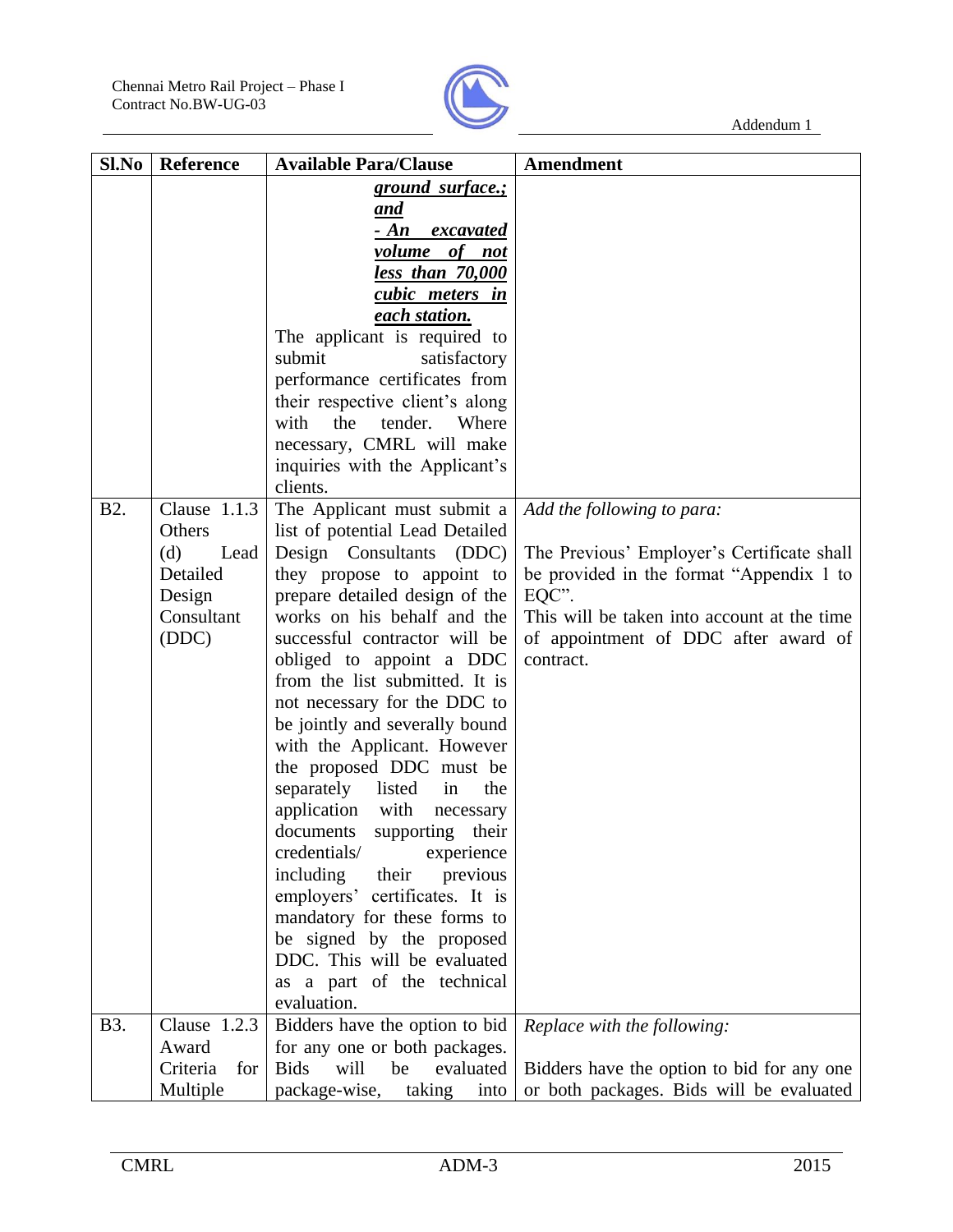

| Sl.No      | Reference       | <b>Available Para/Clause</b>                               | <b>Amendment</b>                            |
|------------|-----------------|------------------------------------------------------------|---------------------------------------------|
|            |                 | <u>ground surface.;</u>                                    |                                             |
|            |                 | and                                                        |                                             |
|            |                 | $- An$<br><i>excavated</i>                                 |                                             |
|            |                 | volume of not                                              |                                             |
|            |                 | less than 70,000                                           |                                             |
|            |                 | <u>cubic meters in</u>                                     |                                             |
|            |                 | each station.                                              |                                             |
|            |                 | The applicant is required to                               |                                             |
|            |                 | submit<br>satisfactory                                     |                                             |
|            |                 | performance certificates from                              |                                             |
|            |                 | their respective client's along                            |                                             |
|            |                 | with<br>the<br>tender.<br>Where                            |                                             |
|            |                 | necessary, CMRL will make                                  |                                             |
|            |                 | inquiries with the Applicant's                             |                                             |
|            |                 | clients.                                                   |                                             |
| <b>B2.</b> | Clause $1.1.3$  | The Applicant must submit a                                | Add the following to para:                  |
|            | Others          | list of potential Lead Detailed                            |                                             |
|            | (d)<br>Lead     | Design Consultants<br>(DDC)                                | The Previous' Employer's Certificate shall  |
|            | Detailed        | they propose to appoint to                                 | be provided in the format "Appendix 1 to    |
|            | Design          | prepare detailed design of the                             | EQC".                                       |
|            | Consultant      | works on his behalf and the                                | This will be taken into account at the time |
|            | (DDC)           | successful contractor will be                              | of appointment of DDC after award of        |
|            |                 |                                                            | contract.                                   |
|            |                 | obliged to appoint a DDC<br>from the list submitted. It is |                                             |
|            |                 |                                                            |                                             |
|            |                 | not necessary for the DDC to                               |                                             |
|            |                 | be jointly and severally bound                             |                                             |
|            |                 | with the Applicant. However                                |                                             |
|            |                 | the proposed DDC must be                                   |                                             |
|            |                 | separately<br>listed<br>the<br>in                          |                                             |
|            |                 | application with<br>necessary                              |                                             |
|            |                 | documents<br>supporting their                              |                                             |
|            |                 | credentials/<br>experience                                 |                                             |
|            |                 | including<br>their<br>previous                             |                                             |
|            |                 | employers' certificates. It is                             |                                             |
|            |                 | mandatory for these forms to                               |                                             |
|            |                 | be signed by the proposed                                  |                                             |
|            |                 | DDC. This will be evaluated                                |                                             |
|            |                 | as a part of the technical                                 |                                             |
|            |                 | evaluation.                                                |                                             |
| <b>B3.</b> | Clause 1.2.3    | Bidders have the option to bid                             | Replace with the following:                 |
|            | Award           | for any one or both packages.                              |                                             |
|            | Criteria<br>for | <b>Bids</b><br>will<br>evaluated<br>be                     | Bidders have the option to bid for any one  |
|            | Multiple        | package-wise,<br>taking<br>into                            | or both packages. Bids will be evaluated    |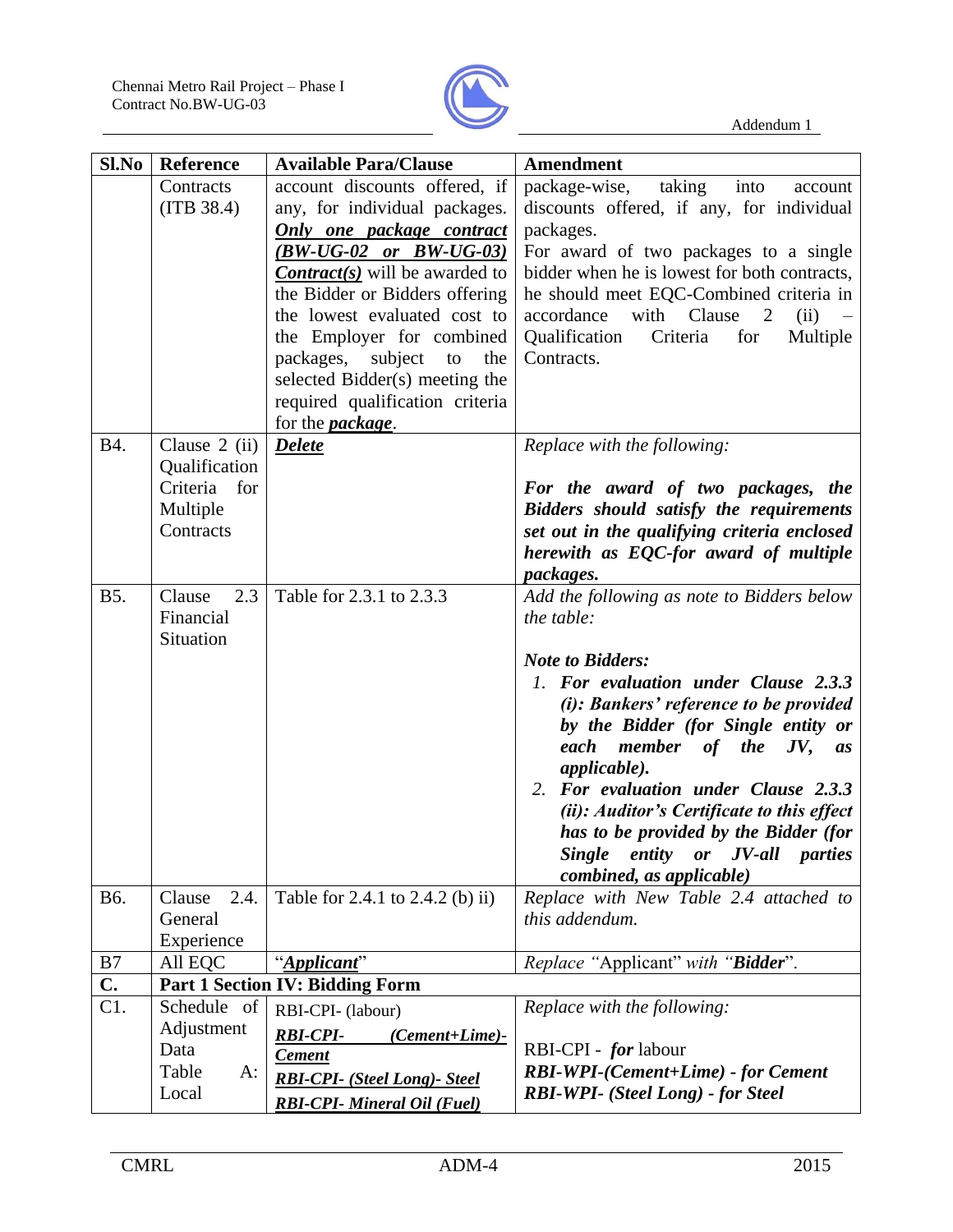

| Sl.No         | <b>Reference</b>                                                          | <b>Available Para/Clause</b>                                                                                                                                                                                                                                                                                                                                                                                   | <b>Amendment</b>                                                                                                                                                                                                                                                                                                                                                                                                                                                                             |
|---------------|---------------------------------------------------------------------------|----------------------------------------------------------------------------------------------------------------------------------------------------------------------------------------------------------------------------------------------------------------------------------------------------------------------------------------------------------------------------------------------------------------|----------------------------------------------------------------------------------------------------------------------------------------------------------------------------------------------------------------------------------------------------------------------------------------------------------------------------------------------------------------------------------------------------------------------------------------------------------------------------------------------|
|               | Contracts<br>(ITB 38.4)                                                   | account discounts offered, if<br>any, for individual packages.<br>Only one package contract<br>$(BW-UG-02$ or $BW-UG-03)$<br><b>Contract(s)</b> will be awarded to<br>the Bidder or Bidders offering<br>the lowest evaluated cost to<br>the Employer for combined<br>packages,<br>subject<br>the<br>to<br>selected Bidder(s) meeting the<br>required qualification criteria<br>for the <b><i>package</i></b> . | taking<br>package-wise,<br>into<br>account<br>discounts offered, if any, for individual<br>packages.<br>For award of two packages to a single<br>bidder when he is lowest for both contracts,<br>he should meet EQC-Combined criteria in<br>with Clause<br>accordance<br>2<br>(ii)<br>Criteria<br>Qualification<br>for<br>Multiple<br>Contracts.                                                                                                                                             |
| <b>B4.</b>    | Clause $2$ (ii)<br>Qualification<br>Criteria for<br>Multiple<br>Contracts | <b>Delete</b>                                                                                                                                                                                                                                                                                                                                                                                                  | Replace with the following:<br>For the award of two packages, the<br>Bidders should satisfy the requirements<br>set out in the qualifying criteria enclosed<br>herewith as EQC-for award of multiple<br>packages.                                                                                                                                                                                                                                                                            |
| <b>B5.</b>    | 2.3<br>Clause<br>Financial<br>Situation                                   | Table for 2.3.1 to 2.3.3                                                                                                                                                                                                                                                                                                                                                                                       | Add the following as note to Bidders below<br>the table:<br><b>Note to Bidders:</b><br>1. For evaluation under Clause 2.3.3<br>(i): Bankers' reference to be provided<br>by the Bidder (for Single entity or<br>each member of the<br>$JV$ ,<br><i>as</i><br><i>applicable</i> ).<br>2. For evaluation under Clause 2.3.3<br>(ii): Auditor's Certificate to this effect<br>has to be provided by the Bidder (for<br><b>Single</b><br>entity or JV-all<br>parties<br>combined, as applicable) |
| B6.           | 2.4.<br>Clause<br>General<br>Experience                                   | Table for 2.4.1 to 2.4.2 (b) ii)                                                                                                                                                                                                                                                                                                                                                                               | Replace with New Table 2.4 attached to<br>this addendum.                                                                                                                                                                                                                                                                                                                                                                                                                                     |
| B7            | All EQC                                                                   | "Applicant"                                                                                                                                                                                                                                                                                                                                                                                                    | Replace "Applicant" with "Bidder".                                                                                                                                                                                                                                                                                                                                                                                                                                                           |
| $C_{\bullet}$ |                                                                           | <b>Part 1 Section IV: Bidding Form</b>                                                                                                                                                                                                                                                                                                                                                                         |                                                                                                                                                                                                                                                                                                                                                                                                                                                                                              |
| C1.           | Schedule of<br>Adjustment<br>Data<br>Table<br>A:                          | RBI-CPI- (labour)<br><b>RBI-CPI-</b><br>(Cement+Lime)-<br><b>Cement</b>                                                                                                                                                                                                                                                                                                                                        | Replace with the following:<br>RBI-CPI - for labour<br><b>RBI-WPI-(Cement+Lime) - for Cement</b>                                                                                                                                                                                                                                                                                                                                                                                             |
|               | Local                                                                     | <b>RBI-CPI-</b> (Steel Long)- Steel<br><b>RBI-CPI-</b> Mineral Oil (Fuel)                                                                                                                                                                                                                                                                                                                                      | RBI-WPI- (Steel Long) - for Steel                                                                                                                                                                                                                                                                                                                                                                                                                                                            |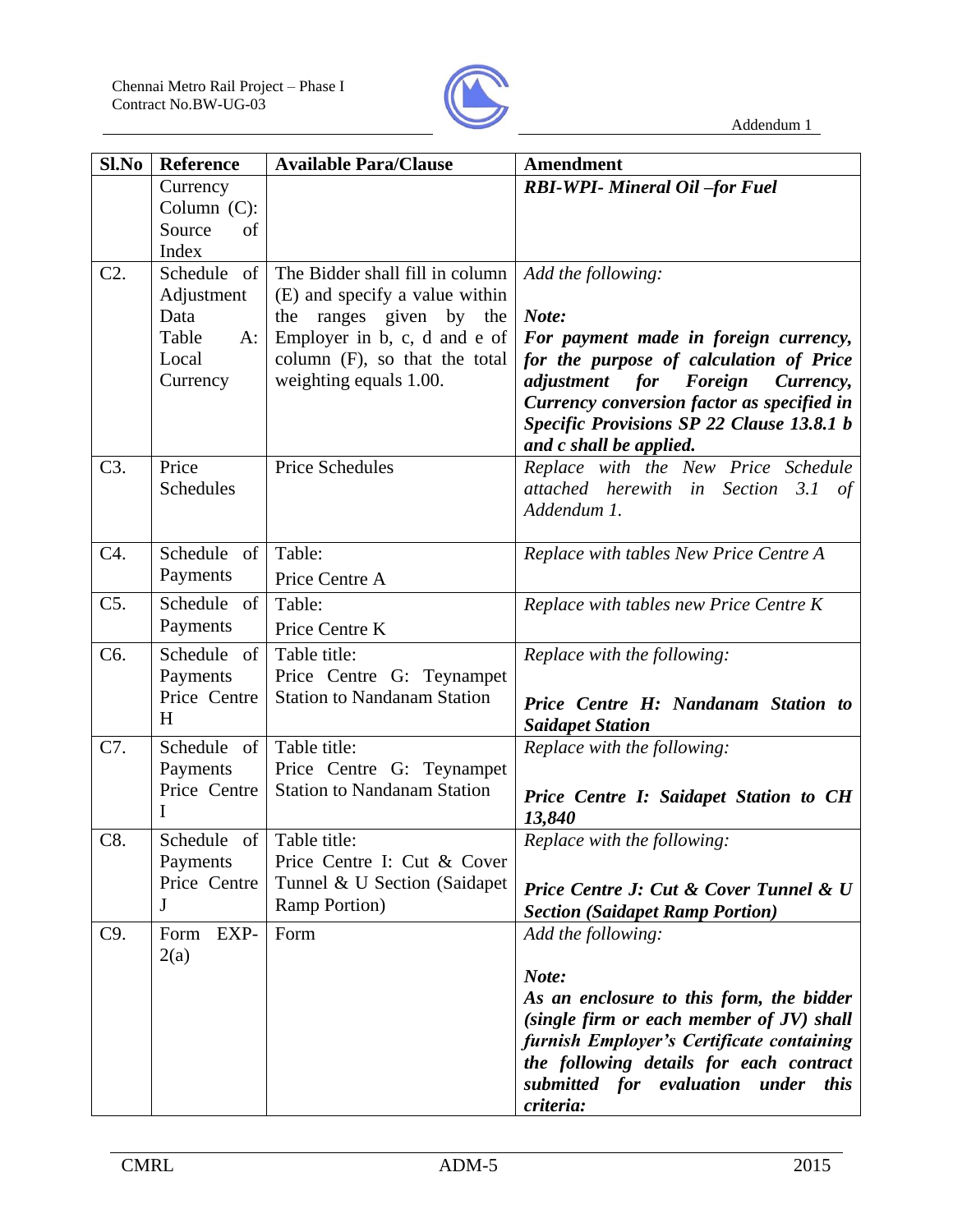

| Sl.No            | <b>Reference</b>                                                         | <b>Available Para/Clause</b>                                                                                                                                                            | Amendment                                                                                                                                                                                                                                                                    |
|------------------|--------------------------------------------------------------------------|-----------------------------------------------------------------------------------------------------------------------------------------------------------------------------------------|------------------------------------------------------------------------------------------------------------------------------------------------------------------------------------------------------------------------------------------------------------------------------|
|                  | Currency<br>Column $(C)$ :<br>Source<br>of<br>Index                      |                                                                                                                                                                                         | <b>RBI-WPI- Mineral Oil -for Fuel</b>                                                                                                                                                                                                                                        |
| $C2$ .           | Schedule of<br>Adjustment<br>Data<br>Table<br>$A$ :<br>Local<br>Currency | The Bidder shall fill in column<br>(E) and specify a value within<br>the ranges given by the<br>Employer in b, c, d and e of<br>column (F), so that the total<br>weighting equals 1.00. | Add the following:<br>Note:<br>For payment made in foreign currency,<br>for the purpose of calculation of Price<br>adjustment for Foreign<br>Currency,<br>Currency conversion factor as specified in<br>Specific Provisions SP 22 Clause 13.8.1 b<br>and c shall be applied. |
| C3.              | Price<br>Schedules                                                       | <b>Price Schedules</b>                                                                                                                                                                  | Replace with the New Price Schedule<br>attached herewith in Section 3.1 of<br>Addendum 1.                                                                                                                                                                                    |
| C4.              | Schedule of<br>Payments                                                  | Table:<br>Price Centre A                                                                                                                                                                | Replace with tables New Price Centre A                                                                                                                                                                                                                                       |
| $C5$ .           | Schedule of<br>Payments                                                  | Table:<br>Price Centre K                                                                                                                                                                | Replace with tables new Price Centre K                                                                                                                                                                                                                                       |
| C <sub>6</sub> . | Schedule of<br>Payments<br>Price Centre<br>H                             | Table title:<br>Price Centre G: Teynampet<br><b>Station to Nandanam Station</b>                                                                                                         | Replace with the following:<br>Price Centre H: Nandanam Station to<br><b>Saidapet Station</b>                                                                                                                                                                                |
| C7.              | Schedule of<br>Payments<br>Price Centre<br>I                             | Table title:<br>Price Centre G: Teynampet<br><b>Station to Nandanam Station</b>                                                                                                         | Replace with the following:<br>Price Centre I: Saidapet Station to CH<br>13,840                                                                                                                                                                                              |
| C8               | Schedule of Table title:<br>Payments<br>Price Centre<br>J                | Price Centre I: Cut & Cover<br>Tunnel & U Section (Saidapet<br><b>Ramp Portion</b> )                                                                                                    | Replace with the following:<br>Price Centre J: Cut & Cover Tunnel & U<br><b>Section (Saidapet Ramp Portion)</b>                                                                                                                                                              |
| C9.              | Form EXP-<br>2(a)                                                        | Form                                                                                                                                                                                    | Add the following:<br>Note:<br>As an enclosure to this form, the bidder<br>(single firm or each member of JV) shall<br>furnish Employer's Certificate containing<br>the following details for each contract<br>submitted for evaluation under<br><i>this</i><br>criteria:    |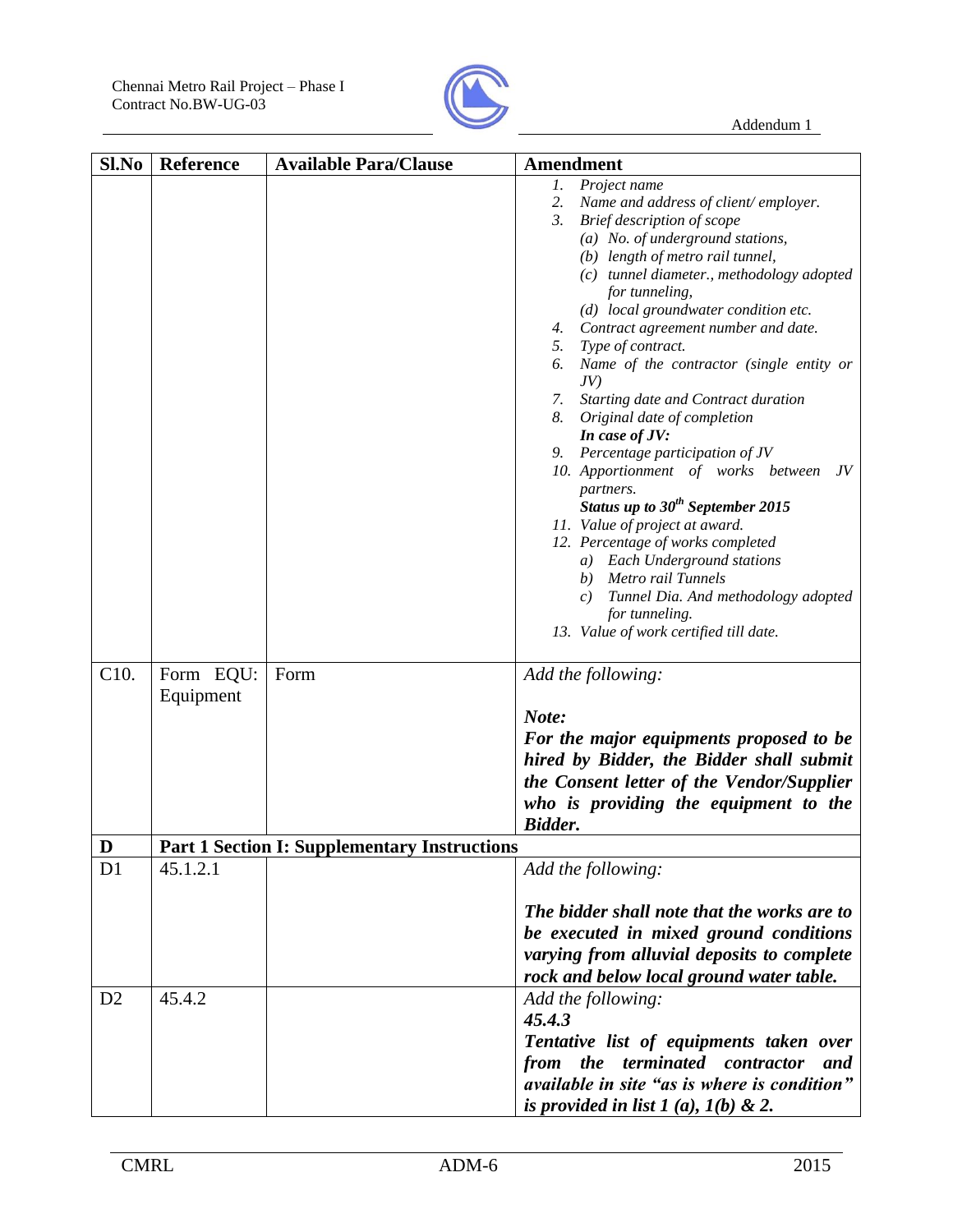

| Sl.No          | Reference | <b>Available Para/Clause</b>                        | <b>Amendment</b>                                    |
|----------------|-----------|-----------------------------------------------------|-----------------------------------------------------|
|                |           |                                                     | Project name<br>1.                                  |
|                |           |                                                     | Name and address of client/employer.<br>2.          |
|                |           |                                                     | 3. Brief description of scope                       |
|                |           |                                                     | $(a)$ No. of underground stations,                  |
|                |           |                                                     | (b) length of metro rail tunnel,                    |
|                |           |                                                     | (c) tunnel diameter., methodology adopted           |
|                |           |                                                     | for tunneling,                                      |
|                |           |                                                     | (d) local groundwater condition etc.                |
|                |           |                                                     | 4. Contract agreement number and date.              |
|                |           |                                                     | 5. Type of contract.                                |
|                |           |                                                     | 6. Name of the contractor (single entity or         |
|                |           |                                                     | JV                                                  |
|                |           |                                                     | Starting date and Contract duration<br>7.           |
|                |           |                                                     | 8. Original date of completion                      |
|                |           |                                                     | In case of JV:                                      |
|                |           |                                                     | 9. Percentage participation of JV                   |
|                |           |                                                     | 10. Apportionment of works between<br>JV            |
|                |           |                                                     | partners.                                           |
|                |           |                                                     | Status up to $30^{th}$ September 2015               |
|                |           |                                                     | 11. Value of project at award.                      |
|                |           |                                                     | 12. Percentage of works completed                   |
|                |           |                                                     | a) Each Underground stations                        |
|                |           |                                                     | b) Metro rail Tunnels                               |
|                |           |                                                     | Tunnel Dia. And methodology adopted<br>c)           |
|                |           |                                                     | for tunneling.                                      |
|                |           |                                                     | 13. Value of work certified till date.              |
|                |           |                                                     |                                                     |
| C10.           | Form EQU: | Form                                                | Add the following:                                  |
|                | Equipment |                                                     |                                                     |
|                |           |                                                     | Note:                                               |
|                |           |                                                     | For the major equipments proposed to be             |
|                |           |                                                     | hired by Bidder, the Bidder shall submit            |
|                |           |                                                     |                                                     |
|                |           |                                                     | the Consent letter of the Vendor/Supplier           |
|                |           |                                                     | who is providing the equipment to the               |
|                |           |                                                     | <b>Bidder.</b>                                      |
| D              |           | <b>Part 1 Section I: Supplementary Instructions</b> |                                                     |
| D <sub>1</sub> | 45.1.2.1  |                                                     | Add the following:                                  |
|                |           |                                                     |                                                     |
|                |           |                                                     | The bidder shall note that the works are to         |
|                |           |                                                     | be executed in mixed ground conditions              |
|                |           |                                                     | varying from alluvial deposits to complete          |
|                |           |                                                     | rock and below local ground water table.            |
| D2             | 45.4.2    |                                                     | Add the following:                                  |
|                |           |                                                     | 45.4.3                                              |
|                |           |                                                     |                                                     |
|                |           |                                                     | Tentative list of equipments taken over             |
|                |           |                                                     | from the terminated contractor<br>and               |
|                |           |                                                     | <i>available in site "as is where is condition"</i> |
|                |           |                                                     | is provided in list $1(a)$ , $1(b)$ & 2.            |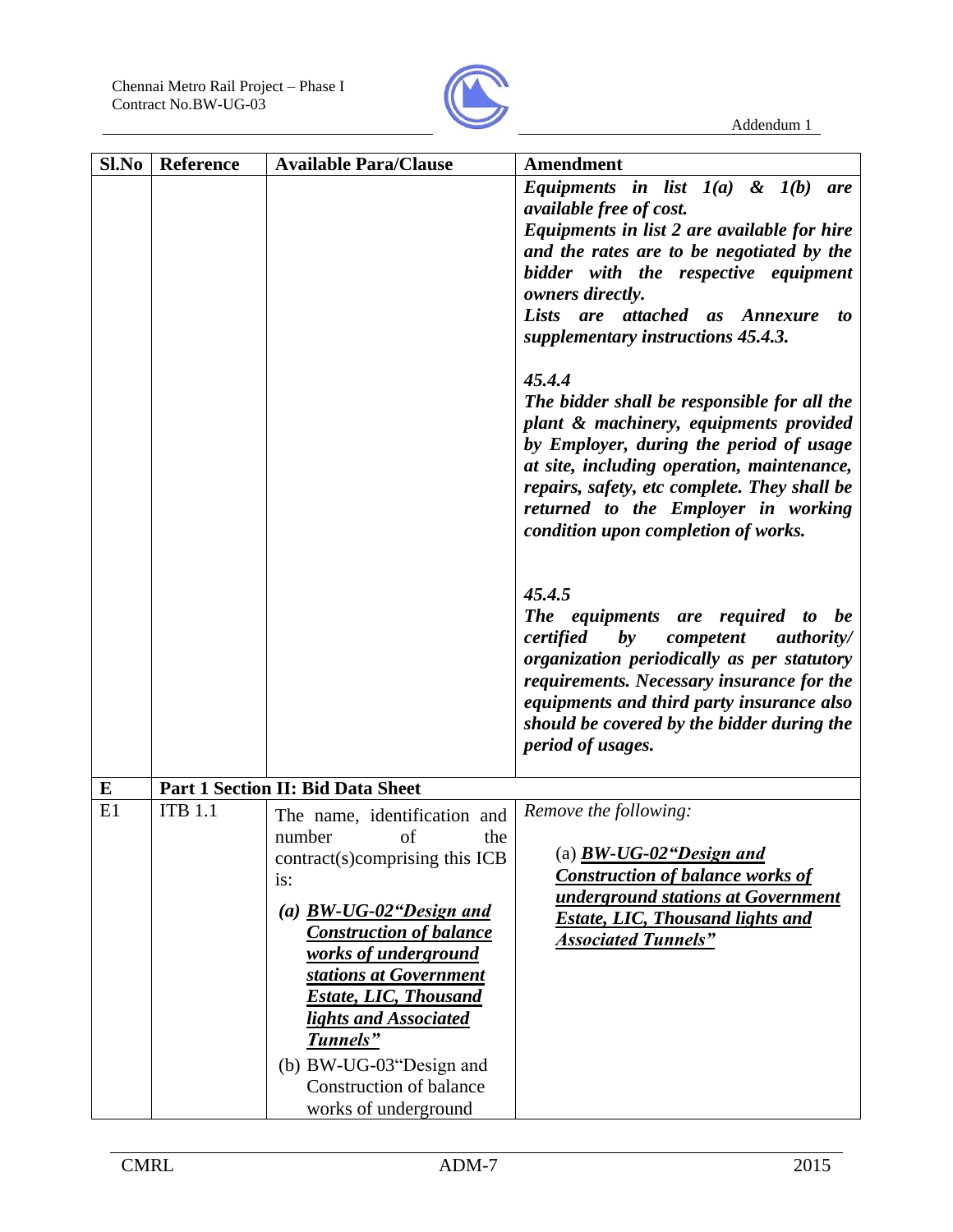

| Sl.No | Reference      | <b>Available Para/Clause</b>                           | <b>Amendment</b>                                                                           |
|-------|----------------|--------------------------------------------------------|--------------------------------------------------------------------------------------------|
|       |                |                                                        | Equipments in list $I(a)$ & $I(b)$ are                                                     |
|       |                |                                                        | <i>available free of cost.</i>                                                             |
|       |                |                                                        | Equipments in list 2 are available for hire                                                |
|       |                |                                                        | and the rates are to be negotiated by the                                                  |
|       |                |                                                        | bidder with the respective equipment<br>owners directly.                                   |
|       |                |                                                        | Lists are attached as<br><i><b>Annexure</b></i><br>to                                      |
|       |                |                                                        | supplementary instructions 45.4.3.                                                         |
|       |                |                                                        | 45.4.4                                                                                     |
|       |                |                                                        | The bidder shall be responsible for all the                                                |
|       |                |                                                        | plant & machinery, equipments provided                                                     |
|       |                |                                                        | by Employer, during the period of usage                                                    |
|       |                |                                                        | at site, including operation, maintenance,<br>repairs, safety, etc complete. They shall be |
|       |                |                                                        | returned to the Employer in working                                                        |
|       |                |                                                        | condition upon completion of works.                                                        |
|       |                |                                                        |                                                                                            |
|       |                |                                                        | 45.4.5                                                                                     |
|       |                |                                                        | The equipments are required to be                                                          |
|       |                |                                                        | $\boldsymbol{b}\boldsymbol{y}$<br>certified<br>competent<br><i>authority</i> /             |
|       |                |                                                        | organization periodically as per statutory                                                 |
|       |                |                                                        | requirements. Necessary insurance for the                                                  |
|       |                |                                                        | equipments and third party insurance also<br>should be covered by the bidder during the    |
|       |                |                                                        | period of usages.                                                                          |
|       |                |                                                        |                                                                                            |
| E     |                | <b>Part 1 Section II: Bid Data Sheet</b>               |                                                                                            |
| E1    | <b>ITB 1.1</b> | The name, identification and                           | Remove the following:                                                                      |
|       |                | number<br>of<br>the                                    | (a) $BW-UG-02$ "Design and                                                                 |
|       |                | contract(s)comprising this ICB<br>is:                  | <b>Construction of balance works of</b>                                                    |
|       |                |                                                        | underground stations at Government                                                         |
|       |                | (a) $BW-UG-02$ "Design and                             | <b>Estate, LIC, Thousand lights and</b>                                                    |
|       |                | <b>Construction of balance</b><br>works of underground | <b>Associated Tunnels"</b>                                                                 |
|       |                | stations at Government                                 |                                                                                            |
|       |                | <b>Estate, LIC, Thousand</b>                           |                                                                                            |
|       |                | lights and Associated                                  |                                                                                            |
|       |                | Tunnels"                                               |                                                                                            |
|       |                | (b) BW-UG-03"Design and                                |                                                                                            |
|       |                | <b>Construction of balance</b>                         |                                                                                            |
|       |                | works of underground                                   |                                                                                            |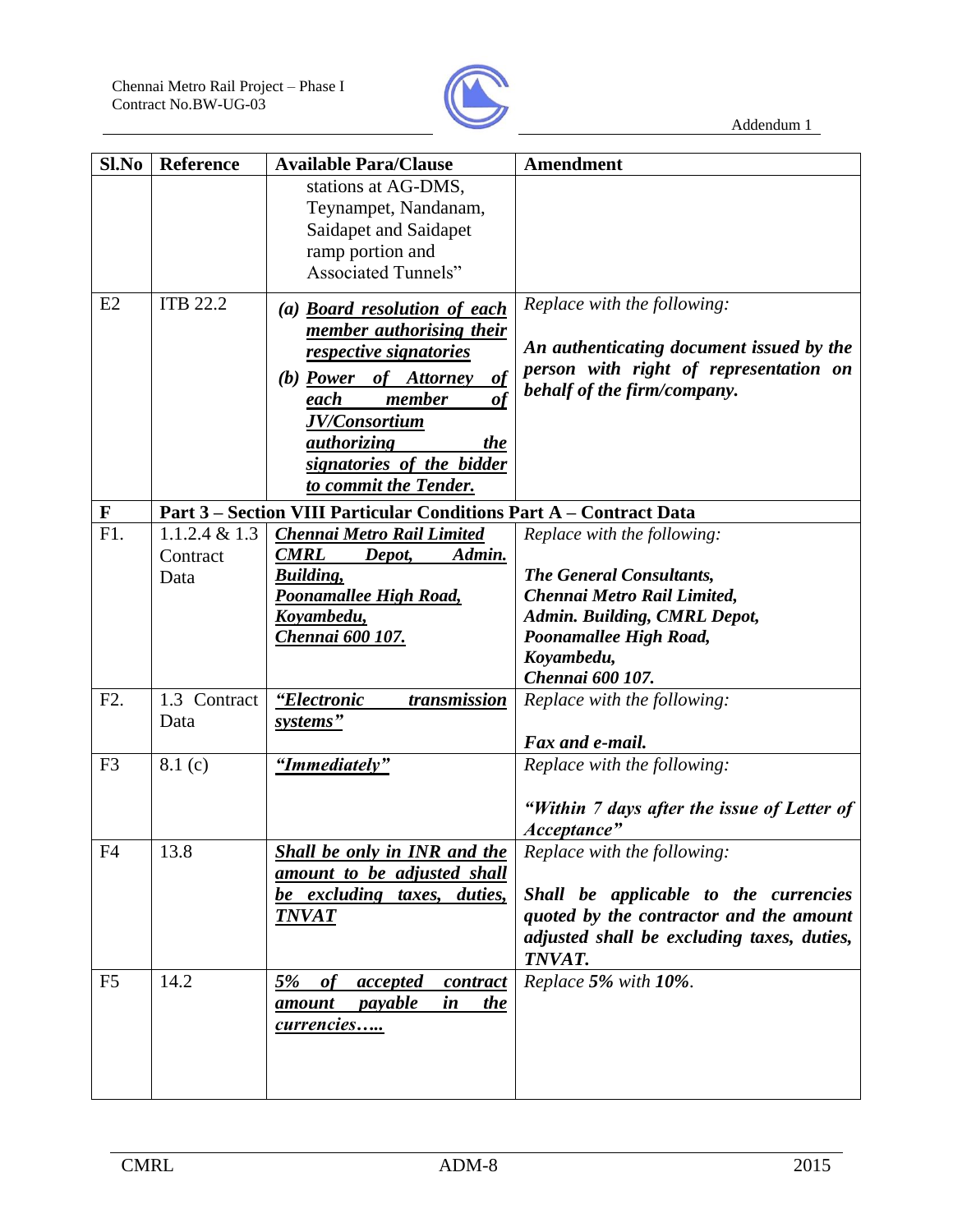

| Sl.No          | <b>Reference</b>                     | <b>Available Para/Clause</b>                                                                                                                                                                                                                                      | <b>Amendment</b>                                                                                                                                                                   |
|----------------|--------------------------------------|-------------------------------------------------------------------------------------------------------------------------------------------------------------------------------------------------------------------------------------------------------------------|------------------------------------------------------------------------------------------------------------------------------------------------------------------------------------|
|                |                                      | stations at AG-DMS,<br>Teynampet, Nandanam,<br>Saidapet and Saidapet<br>ramp portion and<br><b>Associated Tunnels"</b>                                                                                                                                            |                                                                                                                                                                                    |
| E2             | <b>ITB 22.2</b>                      | (a) <b>Board resolution of each</b><br>member authorising their<br><i>respective signatories</i><br>$\theta$<br>(b) Power of Attorney<br>member<br>each<br>of<br>JV/Consortium<br><i>authorizing</i><br>the<br>signatories of the bidder<br>to commit the Tender. | Replace with the following:<br>An authenticating document issued by the<br>person with right of representation on<br>behalf of the firm/company.                                   |
| $\mathbf F$    |                                      | Part 3 – Section VIII Particular Conditions Part A – Contract Data                                                                                                                                                                                                |                                                                                                                                                                                    |
| F1.            | $1.1.2.4 \& 1.3$<br>Contract<br>Data | <b>Chennai Metro Rail Limited</b><br><b>CMRL</b><br>Depot,<br>Admin.<br><b>Building</b> ,<br>Poonamallee High Road,<br>Koyambedu,<br><u>Chennai 600 107.</u>                                                                                                      | Replace with the following:<br>The General Consultants,<br>Chennai Metro Rail Limited,<br>Admin. Building, CMRL Depot,<br>Poonamallee High Road,<br>Koyambedu,<br>Chennai 600 107. |
| F2.            | 1.3 Contract<br>Data                 | "Electronic<br>transmission<br>systems"                                                                                                                                                                                                                           | Replace with the following:<br>Fax and e-mail.                                                                                                                                     |
| F <sub>3</sub> | 8.1(c)                               | "Immediately"                                                                                                                                                                                                                                                     | Replace with the following:<br>"Within 7 days after the issue of Letter of<br>Acceptance"                                                                                          |
| F <sub>4</sub> | 13.8                                 | Shall be only in INR and the<br>amount to be adjusted shall<br>be excluding taxes, duties,<br><b>TNVAT</b>                                                                                                                                                        | Replace with the following:<br>Shall be applicable to the currencies<br>quoted by the contractor and the amount<br>adjusted shall be excluding taxes, duties,<br>TNVAT.            |
| F <sub>5</sub> | 14.2                                 | $5\%$<br>of<br><u>accepted</u><br>contract<br><i>payable</i><br>the<br><u>amount</u><br>in<br>currencies                                                                                                                                                          | Replace 5% with 10%.                                                                                                                                                               |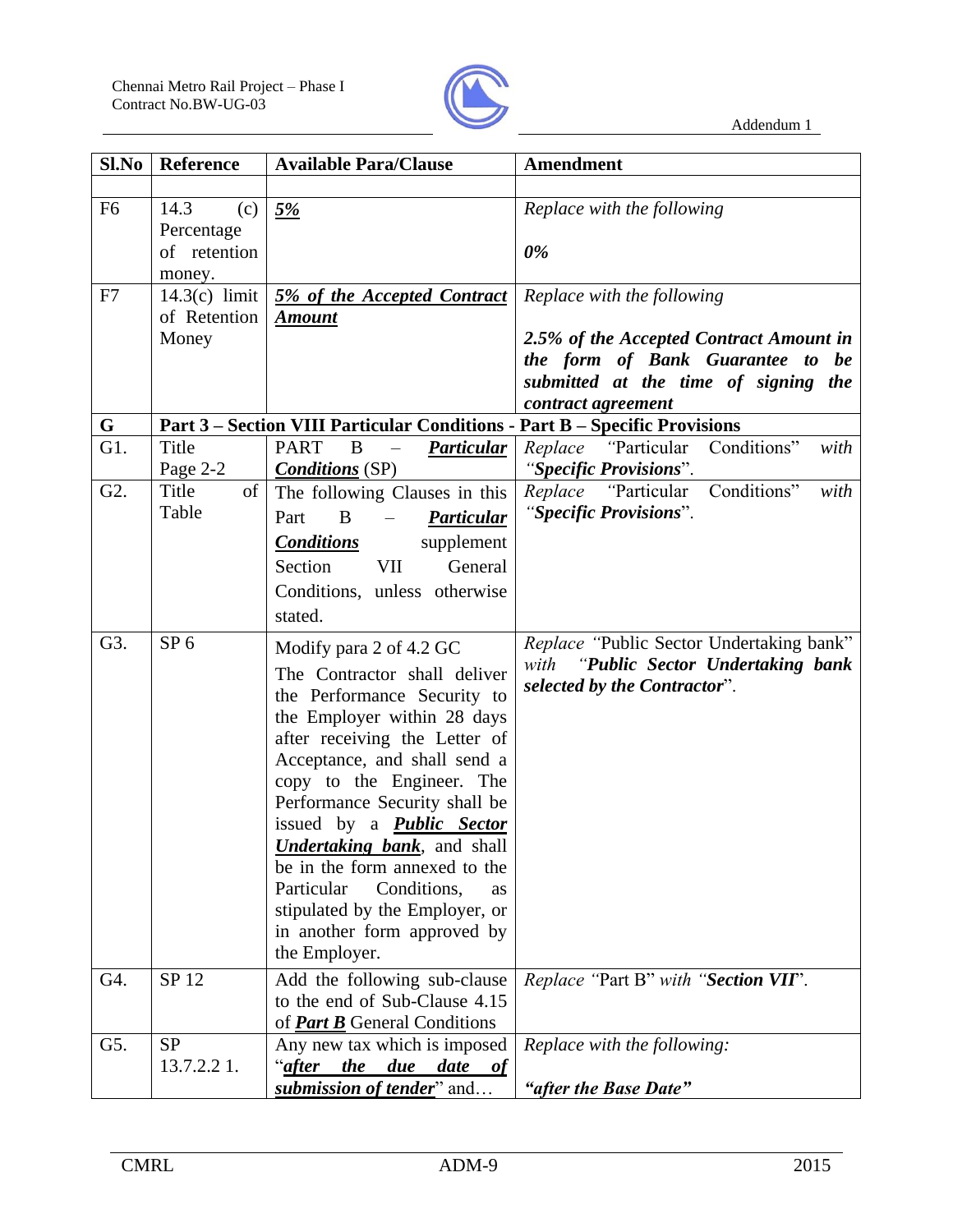

| Sl.No            | Reference       | <b>Available Para/Clause</b>                                               | Amendment                                                                |
|------------------|-----------------|----------------------------------------------------------------------------|--------------------------------------------------------------------------|
|                  |                 |                                                                            |                                                                          |
| F <sub>6</sub>   | 14.3<br>(c)     | 5%                                                                         | Replace with the following                                               |
|                  | Percentage      |                                                                            |                                                                          |
|                  | of retention    |                                                                            | 0%                                                                       |
|                  | money.          |                                                                            |                                                                          |
| F7               | $14.3(c)$ limit | 5% of the Accepted Contract                                                | Replace with the following                                               |
|                  | of Retention    | <b>Amount</b>                                                              |                                                                          |
|                  | Money           |                                                                            | 2.5% of the Accepted Contract Amount in                                  |
|                  |                 |                                                                            | the form of Bank Guarantee to be<br>submitted at the time of signing the |
|                  |                 |                                                                            | contract agreement                                                       |
| G                |                 | Part 3 - Section VIII Particular Conditions - Part B - Specific Provisions |                                                                          |
| G1.              | Title           | <b>PART</b><br>B<br>Particular<br>$\overline{\phantom{0}}$                 | Conditions"<br><i>Replace 'Particular</i><br>with                        |
|                  | Page 2-2        | <b>Conditions</b> (SP)                                                     | "Specific Provisions".                                                   |
| G <sub>2</sub> . | Title<br>of     | The following Clauses in this                                              | Replace "Particular Conditions"<br>with                                  |
|                  | Table           | Part<br>B<br>Particular<br>$\equiv$                                        | "Specific Provisions".                                                   |
|                  |                 | <b>Conditions</b><br>supplement                                            |                                                                          |
|                  |                 | Section<br>VII<br>General                                                  |                                                                          |
|                  |                 | Conditions, unless otherwise                                               |                                                                          |
|                  |                 |                                                                            |                                                                          |
|                  |                 | stated.                                                                    |                                                                          |
| G3.              | SP <sub>6</sub> | Modify para 2 of 4.2 GC                                                    | Replace "Public Sector Undertaking bank"                                 |
|                  |                 | The Contractor shall deliver                                               | with "Public Sector Undertaking bank                                     |
|                  |                 | the Performance Security to                                                | selected by the Contractor".                                             |
|                  |                 | the Employer within 28 days                                                |                                                                          |
|                  |                 | after receiving the Letter of                                              |                                                                          |
|                  |                 | Acceptance, and shall send a                                               |                                                                          |
|                  |                 | copy to the Engineer. The                                                  |                                                                          |
|                  |                 | Performance Security shall be                                              |                                                                          |
|                  |                 | issued by a <b>Public Sector</b>                                           |                                                                          |
|                  |                 | <b>Undertaking bank</b> , and shall<br>be in the form annexed to the       |                                                                          |
|                  |                 | Conditions,<br>Particular<br><b>as</b>                                     |                                                                          |
|                  |                 | stipulated by the Employer, or                                             |                                                                          |
|                  |                 | in another form approved by                                                |                                                                          |
|                  |                 | the Employer.                                                              |                                                                          |
| G4.              | SP 12           | Add the following sub-clause                                               | Replace "Part B" with "Section VII".                                     |
|                  |                 | to the end of Sub-Clause 4.15                                              |                                                                          |
|                  |                 | of <b>Part B</b> General Conditions                                        |                                                                          |
| G5.              | <b>SP</b>       | Any new tax which is imposed                                               | Replace with the following:                                              |
|                  | 13.7.2.2 1.     | due date of<br>"after the                                                  |                                                                          |
|                  |                 | submission of tender" and                                                  | "after the Base Date"                                                    |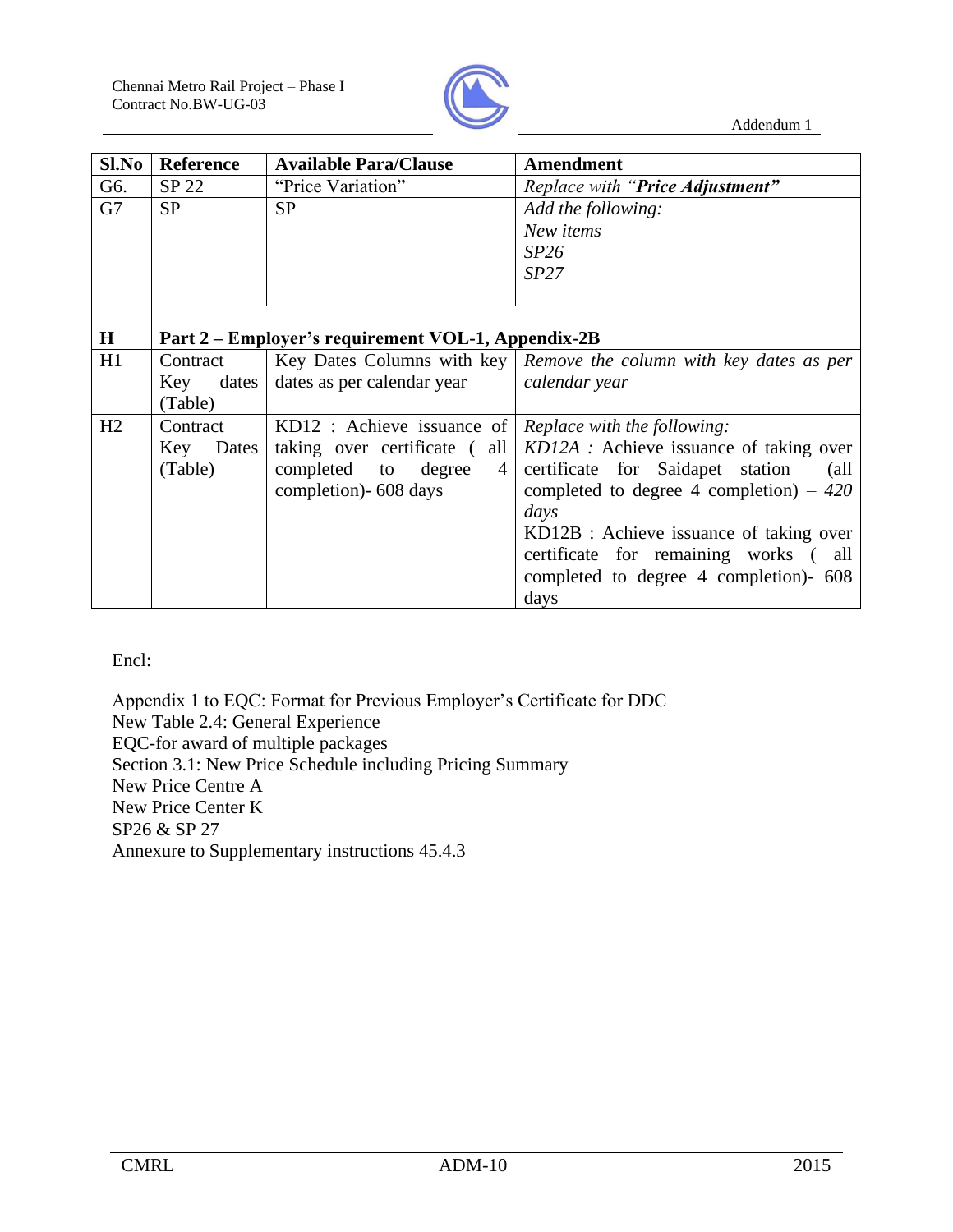

| Sl.No   | <b>Reference</b>                                   | <b>Available Para/Clause</b> | <b>Amendment</b>                                                     |
|---------|----------------------------------------------------|------------------------------|----------------------------------------------------------------------|
| G6.     | SP 22                                              | "Price Variation"            | Replace with "Price Adjustment"                                      |
| G7      | <b>SP</b>                                          | <b>SP</b>                    | Add the following:                                                   |
|         |                                                    |                              | New items                                                            |
|         |                                                    |                              | SP26                                                                 |
|         |                                                    |                              | SP27                                                                 |
|         |                                                    |                              |                                                                      |
|         |                                                    |                              |                                                                      |
| $\bf H$ | Part 2 – Employer's requirement VOL-1, Appendix-2B |                              |                                                                      |
| H1      | Contract                                           |                              | Key Dates Columns with key   Remove the column with key dates as per |
|         | Key<br>dates                                       | dates as per calendar year   | calendar year                                                        |
|         | (Table)                                            |                              |                                                                      |
| H2      | Contract                                           | KD12 : Achieve issuance of   | <i>Replace with the following:</i>                                   |
|         | Key Dates                                          | taking over certificate (all | KD12A : Achieve issuance of taking over                              |
|         | (Table)                                            | completed to<br>degree<br>4  | certificate for Saidapet station<br>(all                             |
|         |                                                    | completion)- 608 days        | completed to degree 4 completion) – $420$                            |
|         |                                                    |                              | days                                                                 |
|         |                                                    |                              | KD12B : Achieve issuance of taking over                              |
|         |                                                    |                              | certificate for remaining works (all                                 |
|         |                                                    |                              | completed to degree 4 completion)- 608                               |
|         |                                                    |                              | days                                                                 |

Encl:

Appendix 1 to EQC: Format for Previous Employer's Certificate for DDC New Table 2.4: General Experience EQC-for award of multiple packages Section 3.1: New Price Schedule including Pricing Summary New Price Centre A New Price Center K SP26 & SP 27 Annexure to Supplementary instructions 45.4.3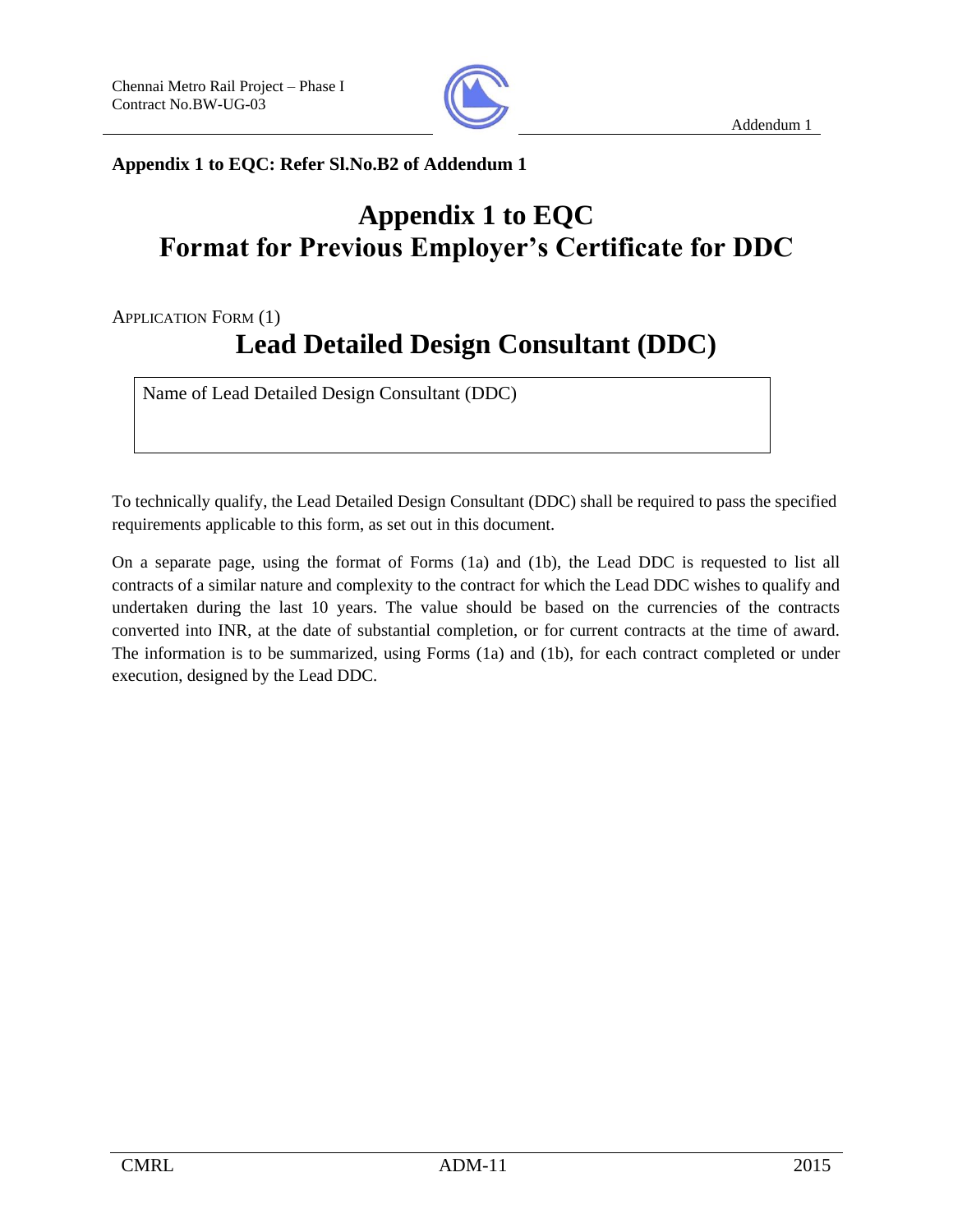

**Appendix 1 to EQC: Refer Sl.No.B2 of Addendum 1**

# **Appendix 1 to EQC Format for Previous Employer's Certificate for DDC**

APPLICATION FORM (1)

# **Lead Detailed Design Consultant (DDC)**

Name of Lead Detailed Design Consultant (DDC)

To technically qualify, the Lead Detailed Design Consultant (DDC) shall be required to pass the specified requirements applicable to this form, as set out in this document.

On a separate page, using the format of Forms (1a) and (1b), the Lead DDC is requested to list all contracts of a similar nature and complexity to the contract for which the Lead DDC wishes to qualify and undertaken during the last 10 years. The value should be based on the currencies of the contracts converted into INR, at the date of substantial completion, or for current contracts at the time of award. The information is to be summarized, using Forms (1a) and (1b), for each contract completed or under execution, designed by the Lead DDC.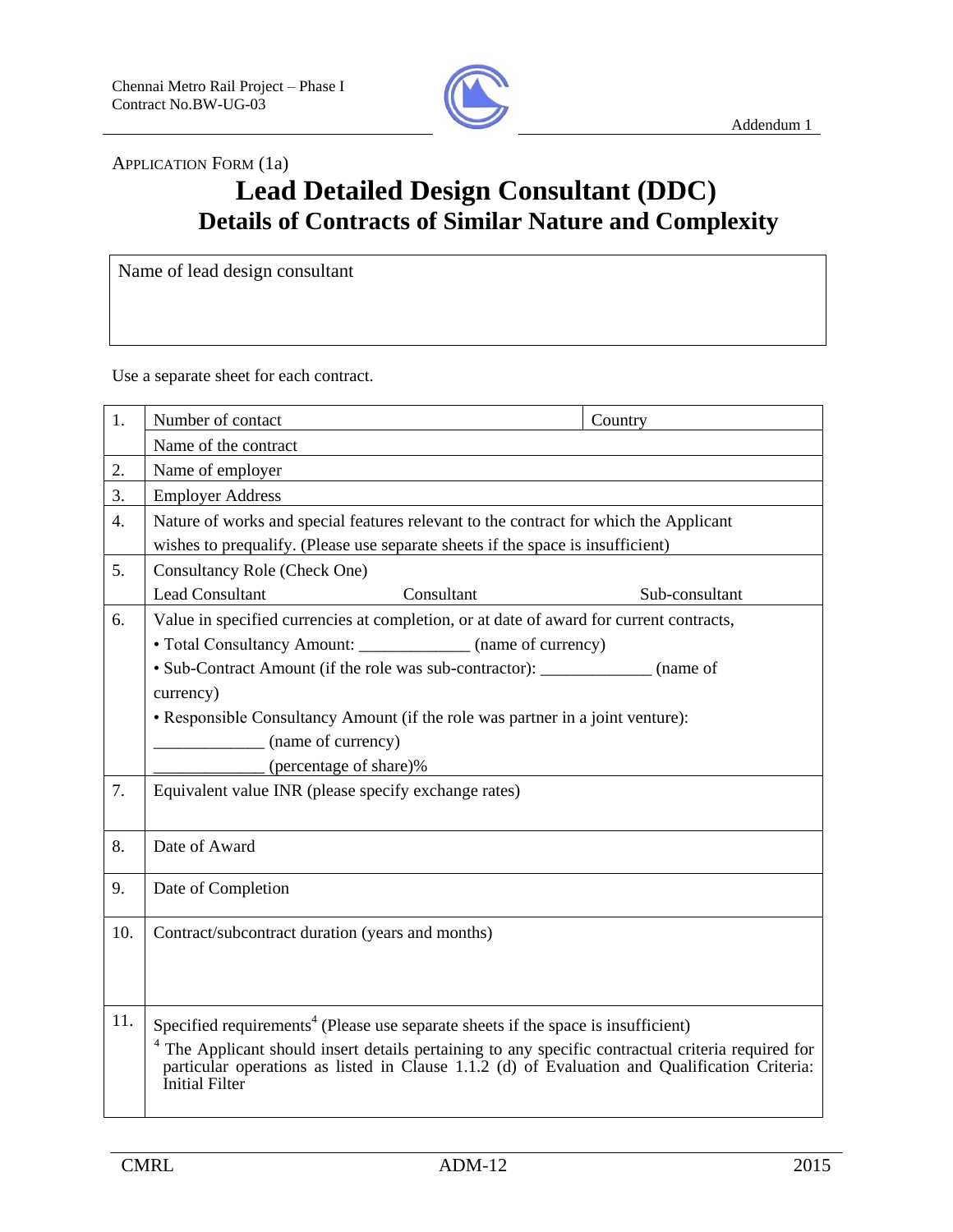

APPLICATION FORM (1a)

# **Lead Detailed Design Consultant (DDC) Details of Contracts of Similar Nature and Complexity**

Name of lead design consultant

Use a separate sheet for each contract.

| 1.               | Number of contact                                                                                                                                                                                                                                                                                                                 | Country        |  |  |
|------------------|-----------------------------------------------------------------------------------------------------------------------------------------------------------------------------------------------------------------------------------------------------------------------------------------------------------------------------------|----------------|--|--|
|                  | Name of the contract                                                                                                                                                                                                                                                                                                              |                |  |  |
| 2.               | Name of employer                                                                                                                                                                                                                                                                                                                  |                |  |  |
| 3.               | <b>Employer Address</b>                                                                                                                                                                                                                                                                                                           |                |  |  |
| $\overline{4}$ . | Nature of works and special features relevant to the contract for which the Applicant                                                                                                                                                                                                                                             |                |  |  |
| 5.               | wishes to prequalify. (Please use separate sheets if the space is insufficient)                                                                                                                                                                                                                                                   |                |  |  |
|                  | Consultancy Role (Check One)                                                                                                                                                                                                                                                                                                      |                |  |  |
|                  | <b>Lead Consultant</b><br>Consultant                                                                                                                                                                                                                                                                                              | Sub-consultant |  |  |
| 6.               | Value in specified currencies at completion, or at date of award for current contracts,                                                                                                                                                                                                                                           |                |  |  |
|                  | • Total Consultancy Amount: _____________ (name of currency)                                                                                                                                                                                                                                                                      |                |  |  |
|                  | • Sub-Contract Amount (if the role was sub-contractor): ____________ (name of                                                                                                                                                                                                                                                     |                |  |  |
|                  | currency)                                                                                                                                                                                                                                                                                                                         |                |  |  |
|                  | • Responsible Consultancy Amount (if the role was partner in a joint venture):                                                                                                                                                                                                                                                    |                |  |  |
|                  | (name of currency)                                                                                                                                                                                                                                                                                                                |                |  |  |
|                  | (percentage of share)%                                                                                                                                                                                                                                                                                                            |                |  |  |
| 7.               | Equivalent value INR (please specify exchange rates)                                                                                                                                                                                                                                                                              |                |  |  |
| 8.               | Date of Award                                                                                                                                                                                                                                                                                                                     |                |  |  |
| 9.               | Date of Completion                                                                                                                                                                                                                                                                                                                |                |  |  |
| 10.              | Contract/subcontract duration (years and months)                                                                                                                                                                                                                                                                                  |                |  |  |
| 11.              | Specified requirements <sup>4</sup> (Please use separate sheets if the space is insufficient)<br><sup>4</sup> The Applicant should insert details pertaining to any specific contractual criteria required for<br>particular operations as listed in Clause 1.1.2 (d) of Evaluation and Qualification Criteria:<br>Initial Filter |                |  |  |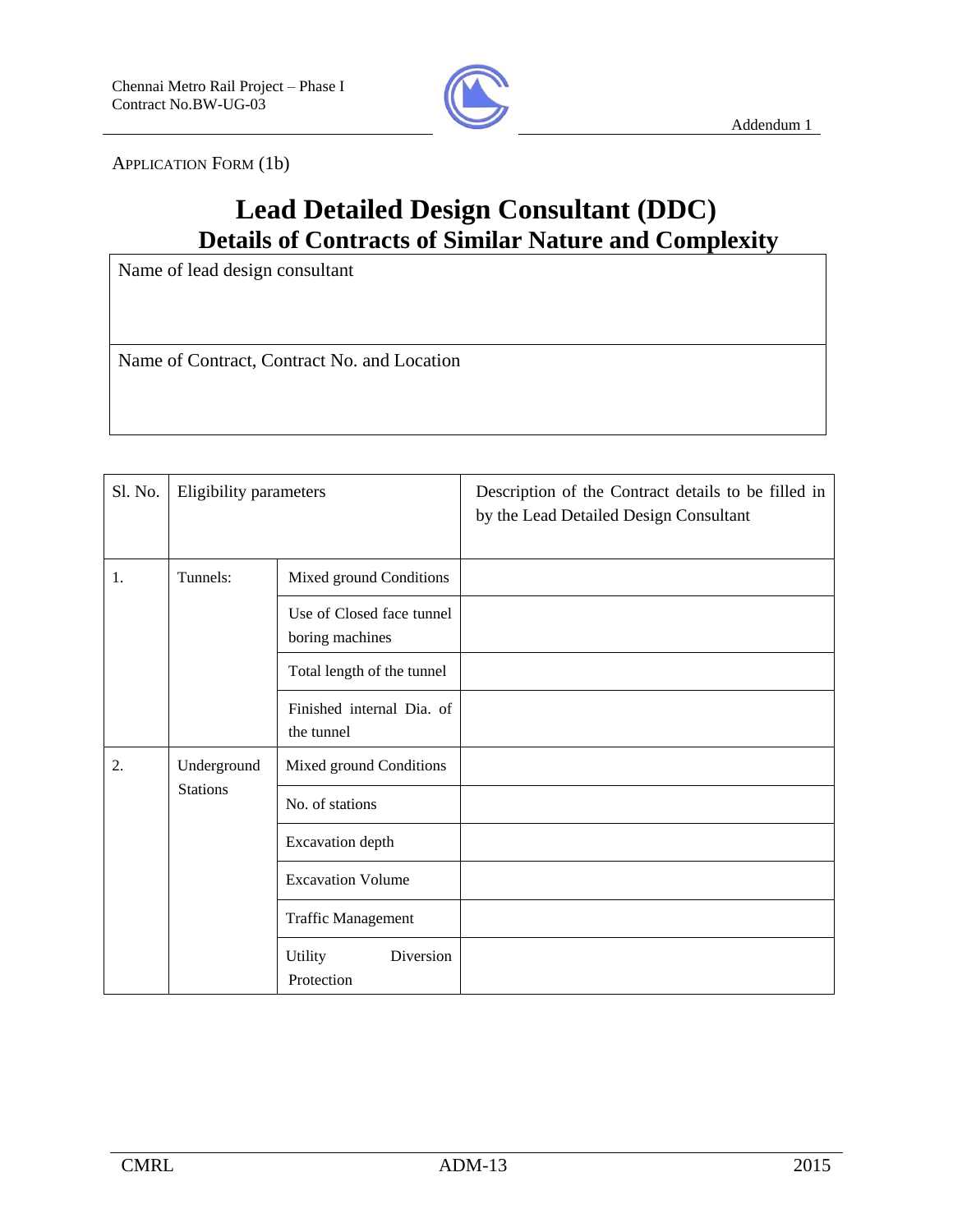

APPLICATION FORM (1b)

# **Lead Detailed Design Consultant (DDC) Details of Contracts of Similar Nature and Complexity**

Name of lead design consultant

Name of Contract, Contract No. and Location

| Sl. No.                              | Eligibility parameters  |                                              | Description of the Contract details to be filled in<br>by the Lead Detailed Design Consultant |
|--------------------------------------|-------------------------|----------------------------------------------|-----------------------------------------------------------------------------------------------|
| 1.                                   | Tunnels:                | Mixed ground Conditions                      |                                                                                               |
|                                      |                         | Use of Closed face tunnel<br>boring machines |                                                                                               |
|                                      |                         | Total length of the tunnel                   |                                                                                               |
|                                      |                         | Finished internal Dia, of<br>the tunnel      |                                                                                               |
| 2.<br>Underground<br><b>Stations</b> | Mixed ground Conditions |                                              |                                                                                               |
|                                      |                         | No. of stations                              |                                                                                               |
|                                      |                         | Excavation depth                             |                                                                                               |
|                                      |                         | <b>Excavation Volume</b>                     |                                                                                               |
|                                      |                         | <b>Traffic Management</b>                    |                                                                                               |
|                                      |                         | Diversion<br><b>Utility</b><br>Protection    |                                                                                               |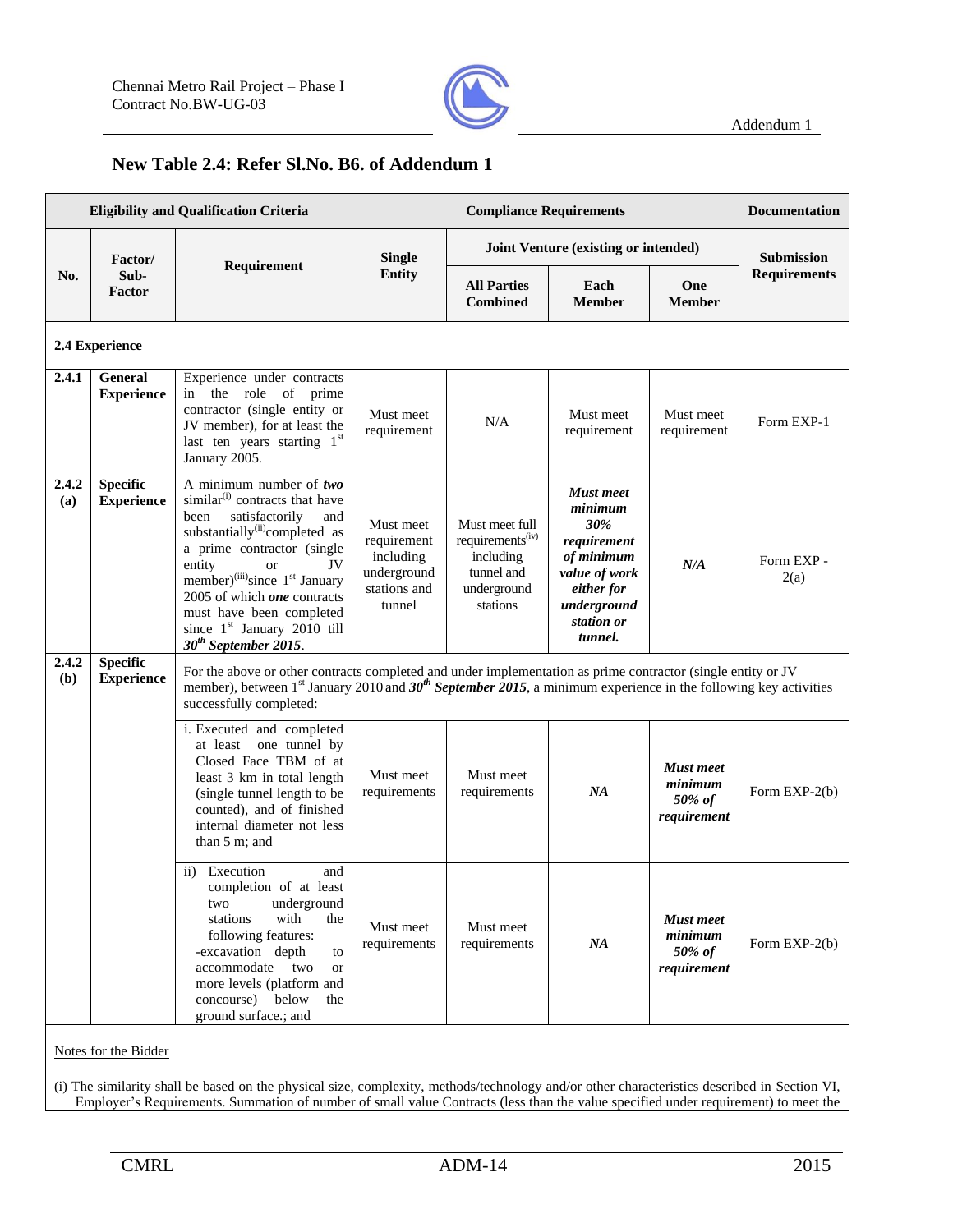

### **New Table 2.4: Refer Sl.No. B6. of Addendum 1**

|              |                                      | <b>Eligibility and Qualification Criteria</b>                                                                                                                                                                                                                                                                                                                                                                             |                                                                                | <b>Compliance Requirements</b>                                                                       |                                                                                                                                        |                                                      | <b>Documentation</b> |
|--------------|--------------------------------------|---------------------------------------------------------------------------------------------------------------------------------------------------------------------------------------------------------------------------------------------------------------------------------------------------------------------------------------------------------------------------------------------------------------------------|--------------------------------------------------------------------------------|------------------------------------------------------------------------------------------------------|----------------------------------------------------------------------------------------------------------------------------------------|------------------------------------------------------|----------------------|
|              | Factor/                              |                                                                                                                                                                                                                                                                                                                                                                                                                           | <b>Single</b>                                                                  |                                                                                                      | Joint Venture (existing or intended)                                                                                                   |                                                      | <b>Submission</b>    |
| No.          | Sub-<br>Factor                       | Requirement                                                                                                                                                                                                                                                                                                                                                                                                               | <b>Entity</b>                                                                  | <b>All Parties</b><br><b>Combined</b>                                                                | Each<br><b>Member</b>                                                                                                                  | One<br><b>Member</b>                                 | <b>Requirements</b>  |
|              | 2.4 Experience                       |                                                                                                                                                                                                                                                                                                                                                                                                                           |                                                                                |                                                                                                      |                                                                                                                                        |                                                      |                      |
| 2.4.1        | <b>General</b><br><b>Experience</b>  | Experience under contracts<br>the role<br>of prime<br>in<br>contractor (single entity or<br>JV member), for at least the<br>last ten years starting 1st<br>January 2005.                                                                                                                                                                                                                                                  | Must meet<br>requirement                                                       | N/A                                                                                                  | Must meet<br>requirement                                                                                                               | Must meet<br>requirement                             | Form EXP-1           |
| 2.4.2<br>(a) | <b>Specific</b><br><b>Experience</b> | A minimum number of $two$<br>similar <sup>(i)</sup> contracts that have<br>satisfactorily<br>been<br>and<br>substantially <sup>(ii)</sup> completed as<br>a prime contractor (single<br>entity<br>JV<br><sub>or</sub><br>member) <sup>(iii)</sup> since 1 <sup>st</sup> January<br>2005 of which <i>one</i> contracts<br>must have been completed<br>since 1 <sup>st</sup> January 2010 till<br>$30^{th}$ September 2015. | Must meet<br>requirement<br>including<br>underground<br>stations and<br>tunnel | Must meet full<br>requirements <sup>(iv)</sup><br>including<br>tunnel and<br>underground<br>stations | <b>Must</b> meet<br>minimum<br>30%<br>requirement<br>of minimum<br>value of work<br>either for<br>underground<br>station or<br>tunnel. | N/A                                                  | Form EXP -<br>2(a)   |
| 2.4.2<br>(b) | <b>Specific</b><br><b>Experience</b> | For the above or other contracts completed and under implementation as prime contractor (single entity or JV<br>member), between 1 <sup>st</sup> January 2010 and 30 <sup>th</sup> September 2015, a minimum experience in the following key activities<br>successfully completed:                                                                                                                                        |                                                                                |                                                                                                      |                                                                                                                                        |                                                      |                      |
|              |                                      | i. Executed and completed<br>one tunnel by<br>at least<br>Closed Face TBM of at<br>least 3 km in total length<br>(single tunnel length to be<br>counted), and of finished<br>internal diameter not less<br>than $5 \text{ m}$ ; and                                                                                                                                                                                       | Must meet<br>requirements                                                      | Must meet<br>requirements                                                                            | NA                                                                                                                                     | <b>Must</b> meet<br>minimum<br>50% of<br>requirement | Form EXP-2(b)        |
|              |                                      | ii) Execution<br>and<br>completion of at least<br>underground<br>two<br>stations<br>with<br>the<br>following features:<br>-excavation depth<br>to<br>accommodate two<br><b>or</b><br>more levels (platform and<br>concourse) below<br>the<br>ground surface.; and                                                                                                                                                         | Must meet<br>requirements                                                      | Must meet<br>requirements                                                                            | NA                                                                                                                                     | <b>Must</b> meet<br>minimum<br>50% of<br>requirement | Form EXP-2(b)        |
|              | Notes for the Bidder                 |                                                                                                                                                                                                                                                                                                                                                                                                                           |                                                                                |                                                                                                      |                                                                                                                                        |                                                      |                      |

(i) The similarity shall be based on the physical size, complexity, methods/technology and/or other characteristics described in Section VI, Employer's Requirements. Summation of number of small value Contracts (less than the value specified under requirement) to meet the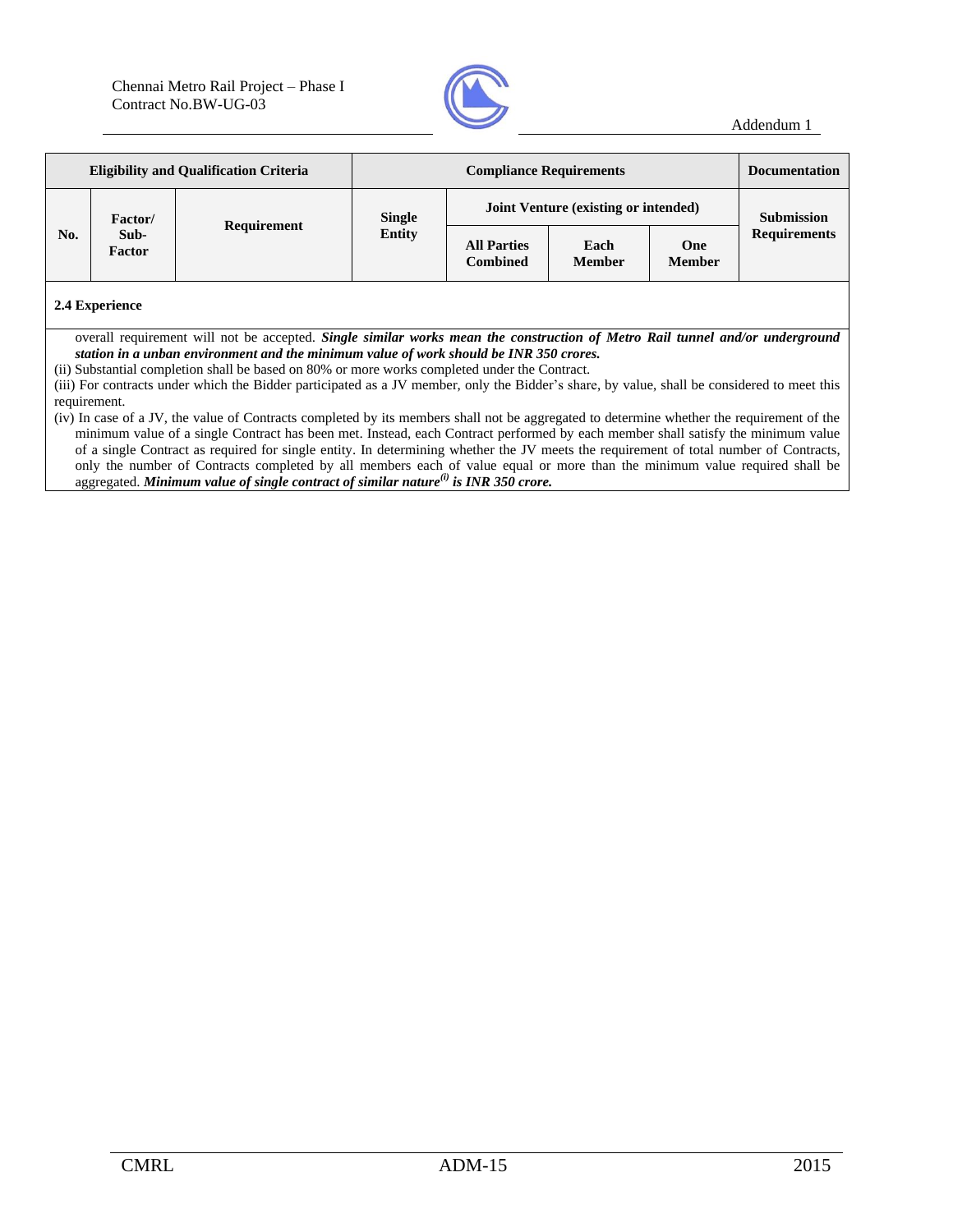

| <b>Eligibility and Qualification Criteria</b> |                           | <b>Compliance Requirements</b> |                                |                                       |                       | <b>Documentation</b> |                                          |
|-----------------------------------------------|---------------------------|--------------------------------|--------------------------------|---------------------------------------|-----------------------|----------------------|------------------------------------------|
| No.                                           | Factor/<br>Sub-<br>Factor | Requirement                    | <b>Single</b><br><b>Entity</b> | Joint Venture (existing or intended)  |                       |                      | <b>Submission</b><br><b>Requirements</b> |
|                                               |                           |                                |                                | <b>All Parties</b><br><b>Combined</b> | Each<br><b>Member</b> | One<br><b>Member</b> |                                          |

#### **2.4 Experience**

overall requirement will not be accepted. *Single similar works mean the construction of Metro Rail tunnel and/or underground station in a unban environment and the minimum value of work should be INR 350 crores.*

(ii) Substantial completion shall be based on 80% or more works completed under the Contract.

(iii) For contracts under which the Bidder participated as a JV member, only the Bidder's share, by value, shall be considered to meet this requirement.

(iv) In case of a JV, the value of Contracts completed by its members shall not be aggregated to determine whether the requirement of the minimum value of a single Contract has been met. Instead, each Contract performed by each member shall satisfy the minimum value of a single Contract as required for single entity. In determining whether the JV meets the requirement of total number of Contracts, only the number of Contracts completed by all members each of value equal or more than the minimum value required shall be aggregated. *Minimum value of single contract of similar nature(i) is INR 350 crore.*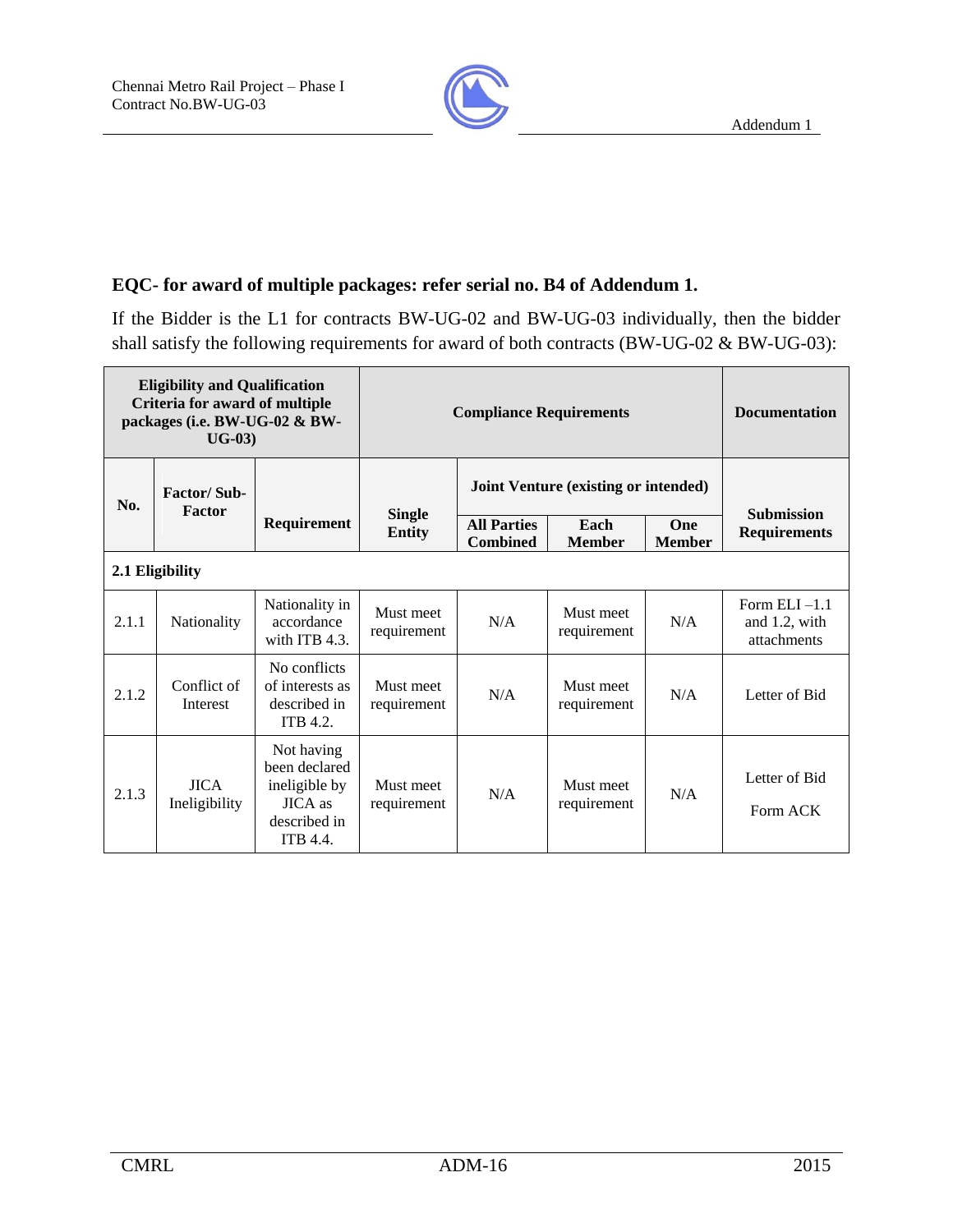

### **EQC- for award of multiple packages: refer serial no. B4 of Addendum 1.**

If the Bidder is the L1 for contracts BW-UG-02 and BW-UG-03 individually, then the bidder shall satisfy the following requirements for award of both contracts (BW-UG-02 & BW-UG-03):

| <b>Eligibility and Qualification</b><br>Criteria for award of multiple<br>packages (i.e. BW-UG-02 & BW-<br>$UG-03)$ |                                     |                                                                                                   | <b>Compliance Requirements</b> | <b>Documentation</b>                        |                          |                      |                                                 |
|---------------------------------------------------------------------------------------------------------------------|-------------------------------------|---------------------------------------------------------------------------------------------------|--------------------------------|---------------------------------------------|--------------------------|----------------------|-------------------------------------------------|
| No.                                                                                                                 | <b>Factor/Sub-</b><br><b>Factor</b> |                                                                                                   |                                | <b>Joint Venture (existing or intended)</b> |                          |                      |                                                 |
|                                                                                                                     |                                     | Requirement                                                                                       | <b>Single</b><br><b>Entity</b> | <b>All Parties</b><br><b>Combined</b>       | Each<br><b>Member</b>    | One<br><b>Member</b> | <b>Submission</b><br><b>Requirements</b>        |
| 2.1 Eligibility                                                                                                     |                                     |                                                                                                   |                                |                                             |                          |                      |                                                 |
| 2.1.1                                                                                                               | Nationality                         | Nationality in<br>accordance<br>with ITB 4.3.                                                     | Must meet<br>requirement       | N/A                                         | Must meet<br>requirement | N/A                  | Form $ELI -1.1$<br>and 1.2, with<br>attachments |
| 2.1.2                                                                                                               | Conflict of<br>Interest             | No conflicts<br>of interests as<br>described in<br><b>ITB 4.2.</b>                                | Must meet<br>requirement       | N/A                                         | Must meet<br>requirement | N/A                  | Letter of Bid                                   |
| 2.1.3                                                                                                               | <b>JICA</b><br>Ineligibility        | Not having<br>been declared<br>ineligible by<br><b>JICA</b> as<br>described in<br><b>ITB 4.4.</b> | Must meet<br>requirement       | N/A                                         | Must meet<br>requirement | N/A                  | Letter of Bid<br>Form ACK                       |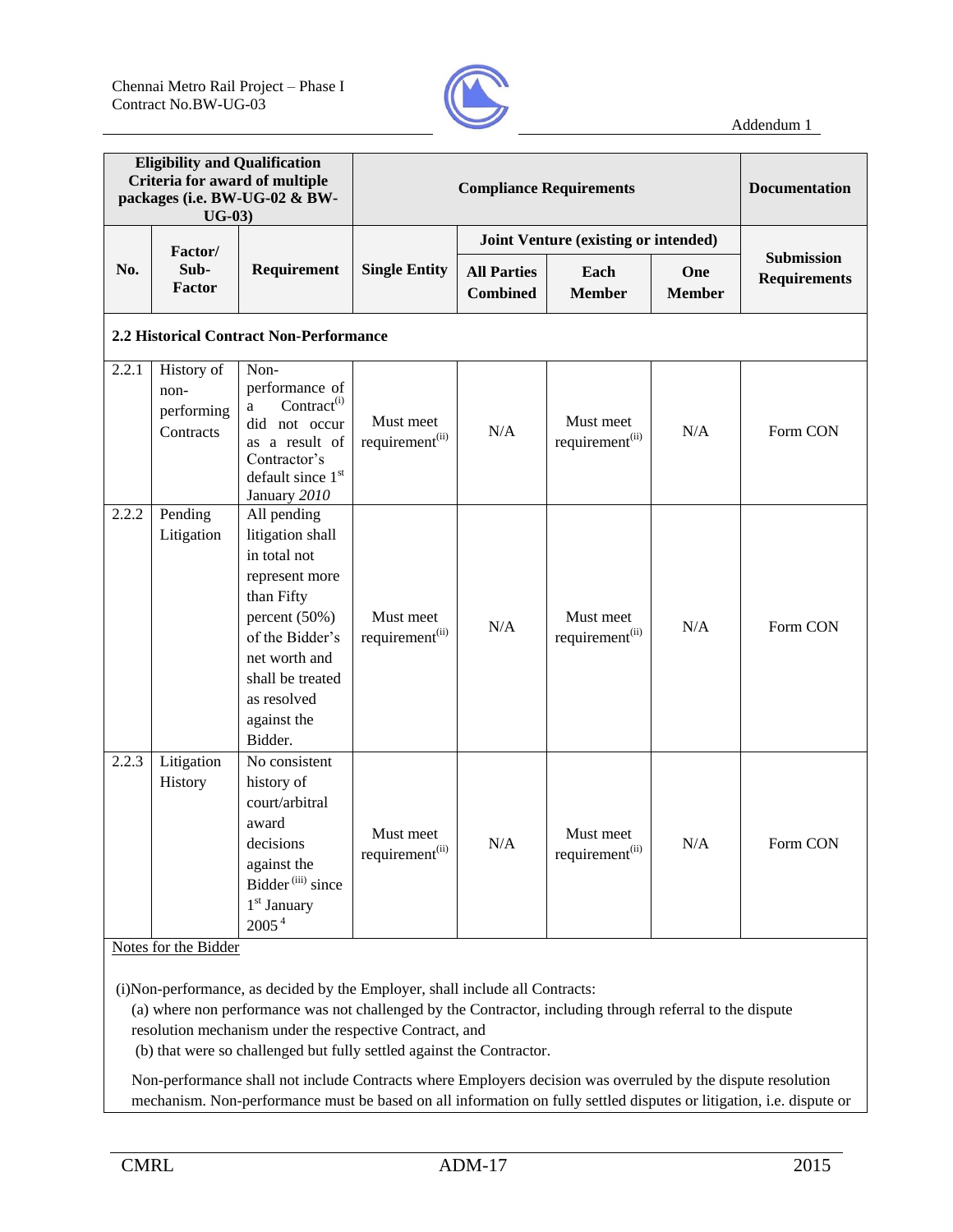

| <b>Eligibility and Qualification</b><br>Criteria for award of multiple<br>packages (i.e. BW-UG-02 & BW-<br>$UG-03)$ |                                                                  |                                                                                                                                                                                                   |                                          |                                       | <b>Compliance Requirements</b>           |                      | <b>Documentation</b>                     |
|---------------------------------------------------------------------------------------------------------------------|------------------------------------------------------------------|---------------------------------------------------------------------------------------------------------------------------------------------------------------------------------------------------|------------------------------------------|---------------------------------------|------------------------------------------|----------------------|------------------------------------------|
|                                                                                                                     | Factor/                                                          |                                                                                                                                                                                                   |                                          |                                       | Joint Venture (existing or intended)     |                      |                                          |
| No.                                                                                                                 | Sub-<br><b>Factor</b>                                            | Requirement                                                                                                                                                                                       | <b>Single Entity</b>                     | <b>All Parties</b><br><b>Combined</b> | Each<br><b>Member</b>                    | One<br><b>Member</b> | <b>Submission</b><br><b>Requirements</b> |
|                                                                                                                     |                                                                  | 2.2 Historical Contract Non-Performance                                                                                                                                                           |                                          |                                       |                                          |                      |                                          |
| 2.2.1                                                                                                               | History of<br>non-<br>performing<br>Contracts                    | Non-<br>performance of<br>Contract <sup>(i)</sup><br>a<br>did not occur<br>as a result of<br>Contractor's<br>default since 1st<br>January 2010                                                    | Must meet<br>requirement <sup>(ii)</sup> | N/A                                   | Must meet<br>requirement <sup>(ii)</sup> | N/A                  | Form CON                                 |
| 2.2.2                                                                                                               | Pending<br>Litigation                                            | All pending<br>litigation shall<br>in total not<br>represent more<br>than Fifty<br>percent (50%)<br>of the Bidder's<br>net worth and<br>shall be treated<br>as resolved<br>against the<br>Bidder. | Must meet<br>requirement <sup>(ii)</sup> | N/A                                   | Must meet<br>requirement <sup>(ii)</sup> | N/A                  | Form CON                                 |
| 2.2.3<br>$NT - 1$                                                                                                   | Litigation<br>History<br>$\mathcal{C}$ and $\mathcal{C}$<br>D:11 | No consistent<br>history of<br>court/arbitral<br>award<br>decisions<br>against the<br>Bidder <sup>(iii)</sup> since<br>$1st$ January<br>2005 <sup>4</sup>                                         | Must meet<br>requirement <sup>(ii)</sup> | N/A                                   | Must meet<br>requirement <sup>(ii)</sup> | N/A                  | Form CON                                 |

Notes for the Bidder

(i)Non-performance, as decided by the Employer, shall include all Contracts:

(a) where non performance was not challenged by the Contractor, including through referral to the dispute resolution mechanism under the respective Contract, and

(b) that were so challenged but fully settled against the Contractor.

Non-performance shall not include Contracts where Employers decision was overruled by the dispute resolution mechanism. Non-performance must be based on all information on fully settled disputes or litigation, i.e. dispute or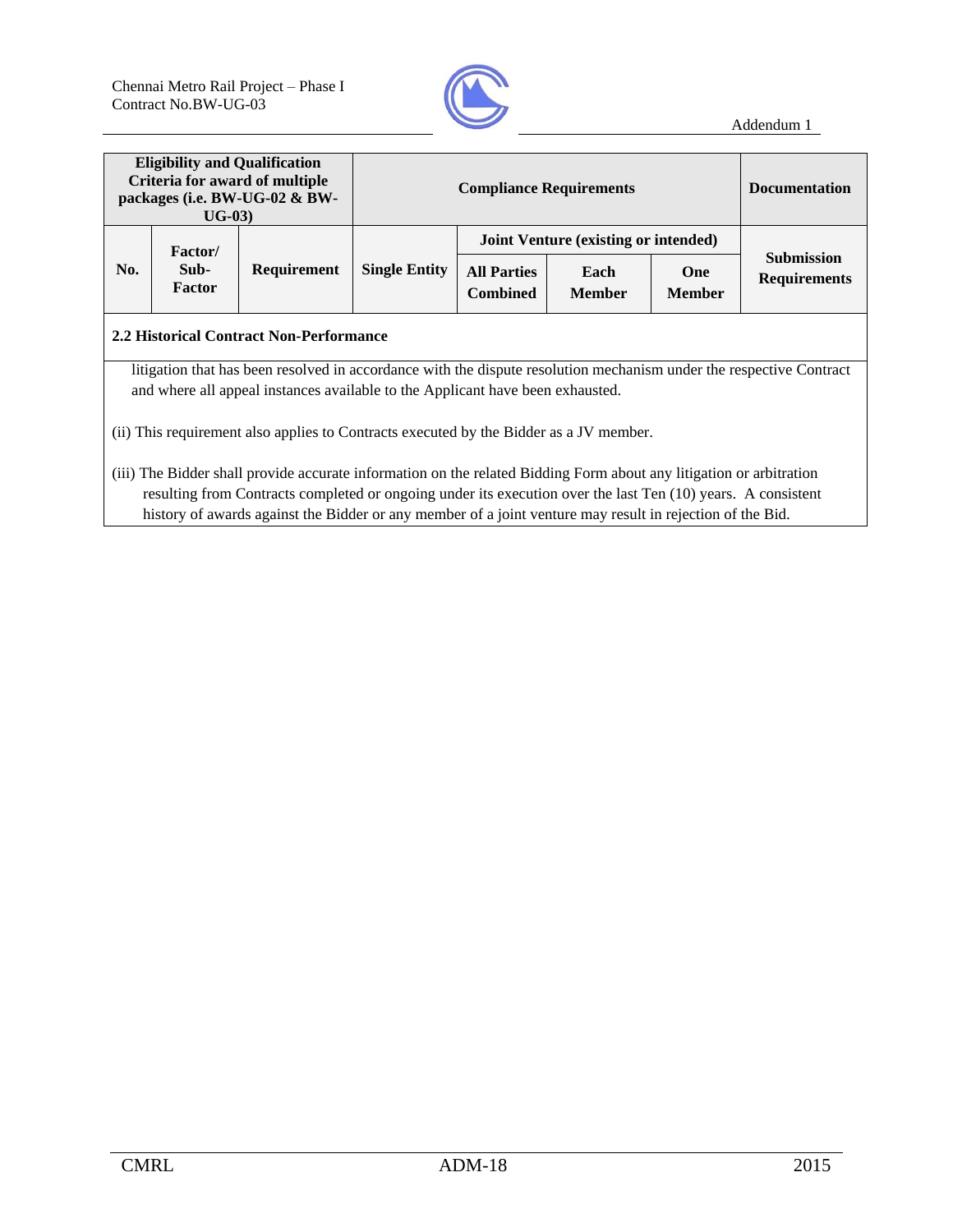

| <b>Eligibility and Qualification</b><br>Criteria for award of multiple<br>packages (i.e. BW-UG-02 & BW-<br>$UG-03)$ |                                                                                                                                                                                                                                     |                                                                                |                                                                                                                                                            |  | <b>Documentation</b>                        |  |                                                                                                                     |  |  |  |
|---------------------------------------------------------------------------------------------------------------------|-------------------------------------------------------------------------------------------------------------------------------------------------------------------------------------------------------------------------------------|--------------------------------------------------------------------------------|------------------------------------------------------------------------------------------------------------------------------------------------------------|--|---------------------------------------------|--|---------------------------------------------------------------------------------------------------------------------|--|--|--|
|                                                                                                                     | <b>Factor</b> /                                                                                                                                                                                                                     |                                                                                |                                                                                                                                                            |  | <b>Joint Venture (existing or intended)</b> |  |                                                                                                                     |  |  |  |
| No.                                                                                                                 | Sub-<br>Factor                                                                                                                                                                                                                      | Requirement                                                                    | <b>Submission</b><br><b>Single Entity</b><br><b>All Parties</b><br>One<br>Each<br><b>Requirements</b><br><b>Combined</b><br><b>Member</b><br><b>Member</b> |  |                                             |  |                                                                                                                     |  |  |  |
| 2.2 Historical Contract Non-Performance                                                                             |                                                                                                                                                                                                                                     |                                                                                |                                                                                                                                                            |  |                                             |  |                                                                                                                     |  |  |  |
|                                                                                                                     |                                                                                                                                                                                                                                     | and where all appeal instances available to the Applicant have been exhausted. |                                                                                                                                                            |  |                                             |  | litigation that has been resolved in accordance with the dispute resolution mechanism under the respective Contract |  |  |  |
| (ii) This requirement also applies to Contracts executed by the Bidder as a JV member.                              |                                                                                                                                                                                                                                     |                                                                                |                                                                                                                                                            |  |                                             |  |                                                                                                                     |  |  |  |
|                                                                                                                     | (iii) The Bidder shall provide accurate information on the related Bidding Form about any litigation or arbitration<br>resulting from Contracts completed or ongoing under its execution over the last Ten (10) years. A consistent |                                                                                |                                                                                                                                                            |  |                                             |  |                                                                                                                     |  |  |  |

history of awards against the Bidder or any member of a joint venture may result in rejection of the Bid.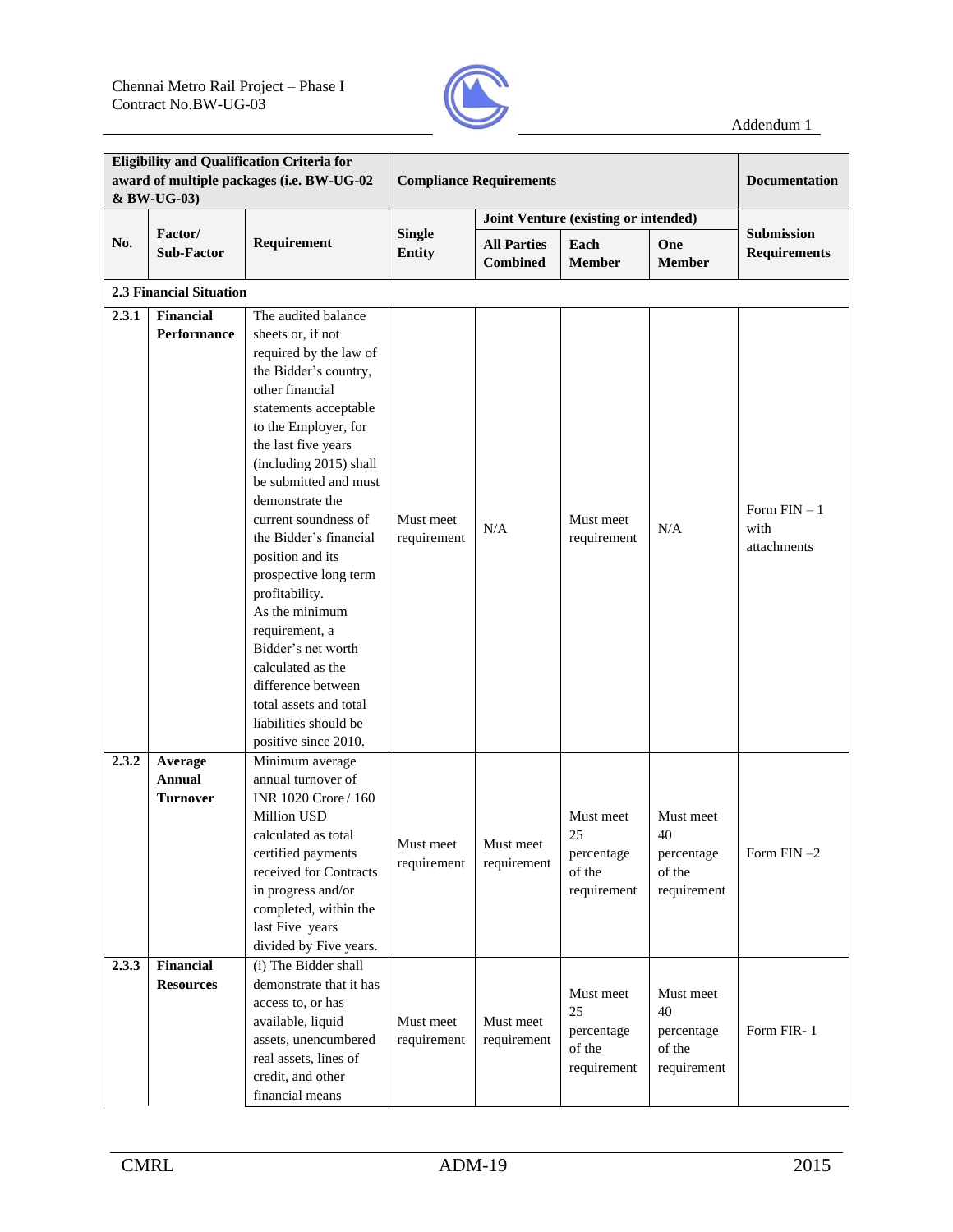

|                | <b>Eligibility and Qualification Criteria for</b><br>award of multiple packages (i.e. BW-UG-02<br>& BW-UG-03) |                                                                                                                                                                                                                                                                                                                                                                                                                                                                                                                                                               | <b>Compliance Requirements</b> |                                       | <b>Documentation</b>                                                |                                                                     |                                          |
|----------------|---------------------------------------------------------------------------------------------------------------|---------------------------------------------------------------------------------------------------------------------------------------------------------------------------------------------------------------------------------------------------------------------------------------------------------------------------------------------------------------------------------------------------------------------------------------------------------------------------------------------------------------------------------------------------------------|--------------------------------|---------------------------------------|---------------------------------------------------------------------|---------------------------------------------------------------------|------------------------------------------|
|                |                                                                                                               |                                                                                                                                                                                                                                                                                                                                                                                                                                                                                                                                                               |                                |                                       | Joint Venture (existing or intended)                                |                                                                     |                                          |
| No.            | Factor/<br><b>Sub-Factor</b>                                                                                  | Requirement                                                                                                                                                                                                                                                                                                                                                                                                                                                                                                                                                   | <b>Single</b><br><b>Entity</b> | <b>All Parties</b><br><b>Combined</b> | Each<br><b>Member</b>                                               | <b>One</b><br><b>Member</b>                                         | <b>Submission</b><br><b>Requirements</b> |
|                | <b>2.3 Financial Situation</b>                                                                                |                                                                                                                                                                                                                                                                                                                                                                                                                                                                                                                                                               |                                |                                       |                                                                     |                                                                     |                                          |
| 2.3.1          | <b>Financial</b><br><b>Performance</b>                                                                        | The audited balance<br>sheets or, if not<br>required by the law of<br>the Bidder's country,<br>other financial<br>statements acceptable<br>to the Employer, for<br>the last five years<br>(including 2015) shall<br>be submitted and must<br>demonstrate the<br>current soundness of<br>the Bidder's financial<br>position and its<br>prospective long term<br>profitability.<br>As the minimum<br>requirement, a<br>Bidder's net worth<br>calculated as the<br>difference between<br>total assets and total<br>liabilities should be<br>positive since 2010. | Must meet<br>requirement       | N/A                                   | Must meet<br>requirement                                            | N/A                                                                 | Form $FIN-1$<br>with<br>attachments      |
| 2.3.2<br>2.3.3 | Average<br>Annual<br>Turnover<br><b>Financial</b><br><b>Resources</b>                                         | Minimum average<br>annual turnover of<br>INR 1020 Crore / 160<br>Million USD<br>calculated as total<br>certified payments<br>received for Contracts<br>in progress and/or<br>completed, within the<br>last Five years<br>divided by Five years.<br>(i) The Bidder shall<br>demonstrate that it has<br>access to, or has                                                                                                                                                                                                                                       | Must meet<br>requirement       | Must meet<br>requirement              | Must meet<br>25<br>percentage<br>of the<br>requirement<br>Must meet | Must meet<br>40<br>percentage<br>of the<br>requirement<br>Must meet | Form FIN $-2$                            |
|                |                                                                                                               | available, liquid<br>assets, unencumbered<br>real assets, lines of<br>credit, and other<br>financial means                                                                                                                                                                                                                                                                                                                                                                                                                                                    | Must meet<br>requirement       | Must meet<br>requirement              | 25<br>percentage<br>of the<br>requirement                           | 40<br>percentage<br>of the<br>requirement                           | Form FIR-1                               |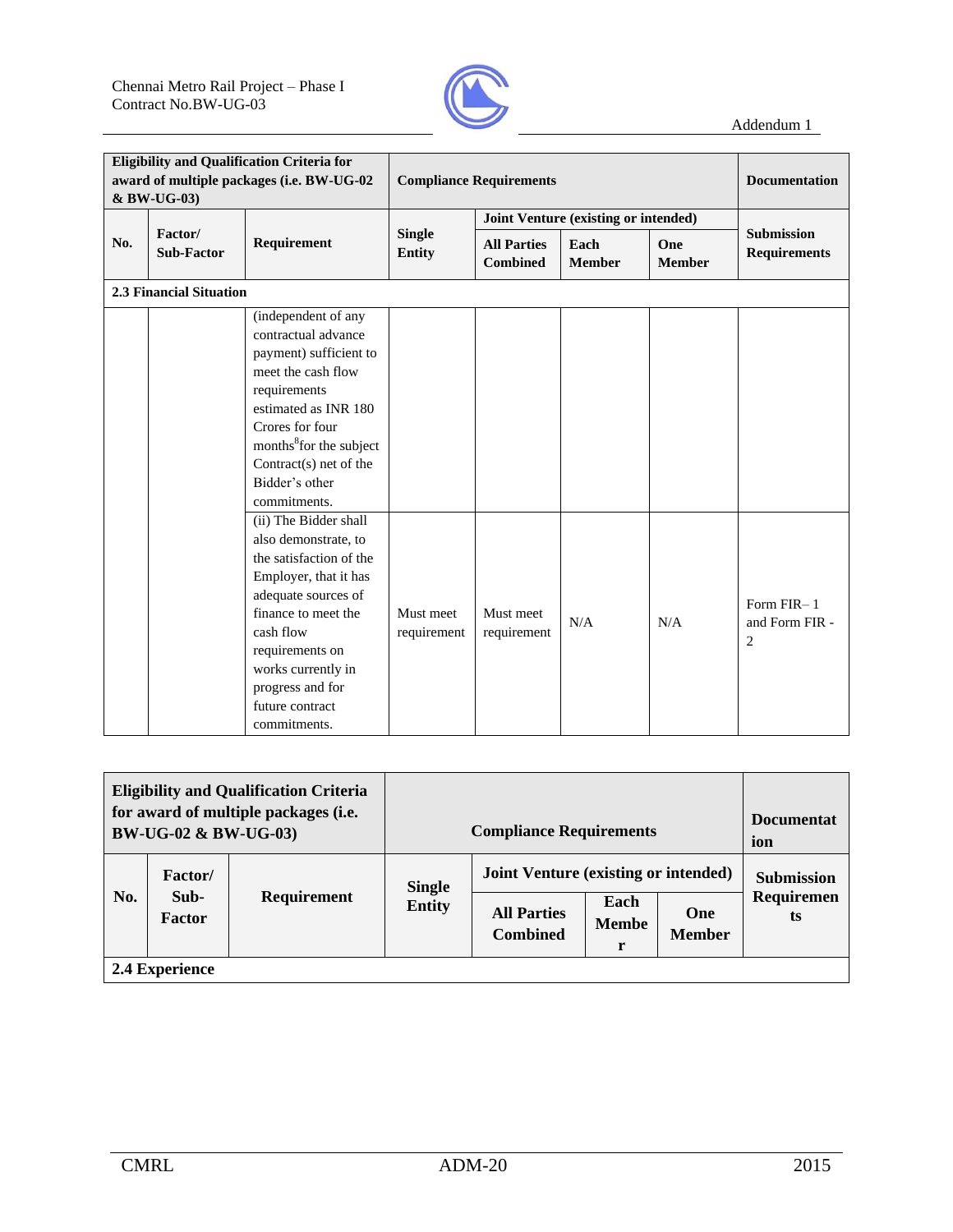

| <b>Eligibility and Qualification Criteria for</b><br>award of multiple packages (i.e. BW-UG-02<br>& BW-UG-03) |                                |                                                                                                                                                                                                                                                              | <b>Compliance Requirements</b>       | <b>Documentation</b>                  |                       |                      |                                                |
|---------------------------------------------------------------------------------------------------------------|--------------------------------|--------------------------------------------------------------------------------------------------------------------------------------------------------------------------------------------------------------------------------------------------------------|--------------------------------------|---------------------------------------|-----------------------|----------------------|------------------------------------------------|
|                                                                                                               |                                |                                                                                                                                                                                                                                                              | Joint Venture (existing or intended) |                                       |                       |                      |                                                |
| No.                                                                                                           | Factor/<br><b>Sub-Factor</b>   | Requirement                                                                                                                                                                                                                                                  | <b>Single</b><br><b>Entity</b>       | <b>All Parties</b><br><b>Combined</b> | Each<br><b>Member</b> | One<br><b>Member</b> | <b>Submission</b><br><b>Requirements</b>       |
|                                                                                                               | <b>2.3 Financial Situation</b> |                                                                                                                                                                                                                                                              |                                      |                                       |                       |                      |                                                |
|                                                                                                               |                                | (independent of any<br>contractual advance<br>payment) sufficient to<br>meet the cash flow<br>requirements<br>estimated as INR 180<br>Crores for four<br>months <sup>8</sup> for the subject<br>Contract(s) net of the<br>Bidder's other<br>commitments.     |                                      |                                       |                       |                      |                                                |
|                                                                                                               |                                | (ii) The Bidder shall<br>also demonstrate, to<br>the satisfaction of the<br>Employer, that it has<br>adequate sources of<br>finance to meet the<br>cash flow<br>requirements on<br>works currently in<br>progress and for<br>future contract<br>commitments. | Must meet<br>requirement             | Must meet<br>requirement              | N/A                   | N/A                  | Form FIR-1<br>and Form FIR -<br>$\overline{2}$ |

| <b>Eligibility and Qualification Criteria</b><br>for award of multiple packages (i.e.<br><b>BW-UG-02 &amp; BW-UG-03</b> ) |                                   |             |                                | <b>Compliance Requirements</b>                                                                                                            |  |  | <b>Documentat</b><br>ion              |
|---------------------------------------------------------------------------------------------------------------------------|-----------------------------------|-------------|--------------------------------|-------------------------------------------------------------------------------------------------------------------------------------------|--|--|---------------------------------------|
| No.                                                                                                                       | <b>Factor</b> /<br>Sub-<br>Factor | Requirement | <b>Single</b><br><b>Entity</b> | <b>Joint Venture (existing or intended)</b><br>Each<br><b>All Parties</b><br>One<br><b>Membe</b><br><b>Combined</b><br><b>Member</b><br>r |  |  | <b>Submission</b><br>Requiremen<br>ts |
|                                                                                                                           | 2.4 Experience                    |             |                                |                                                                                                                                           |  |  |                                       |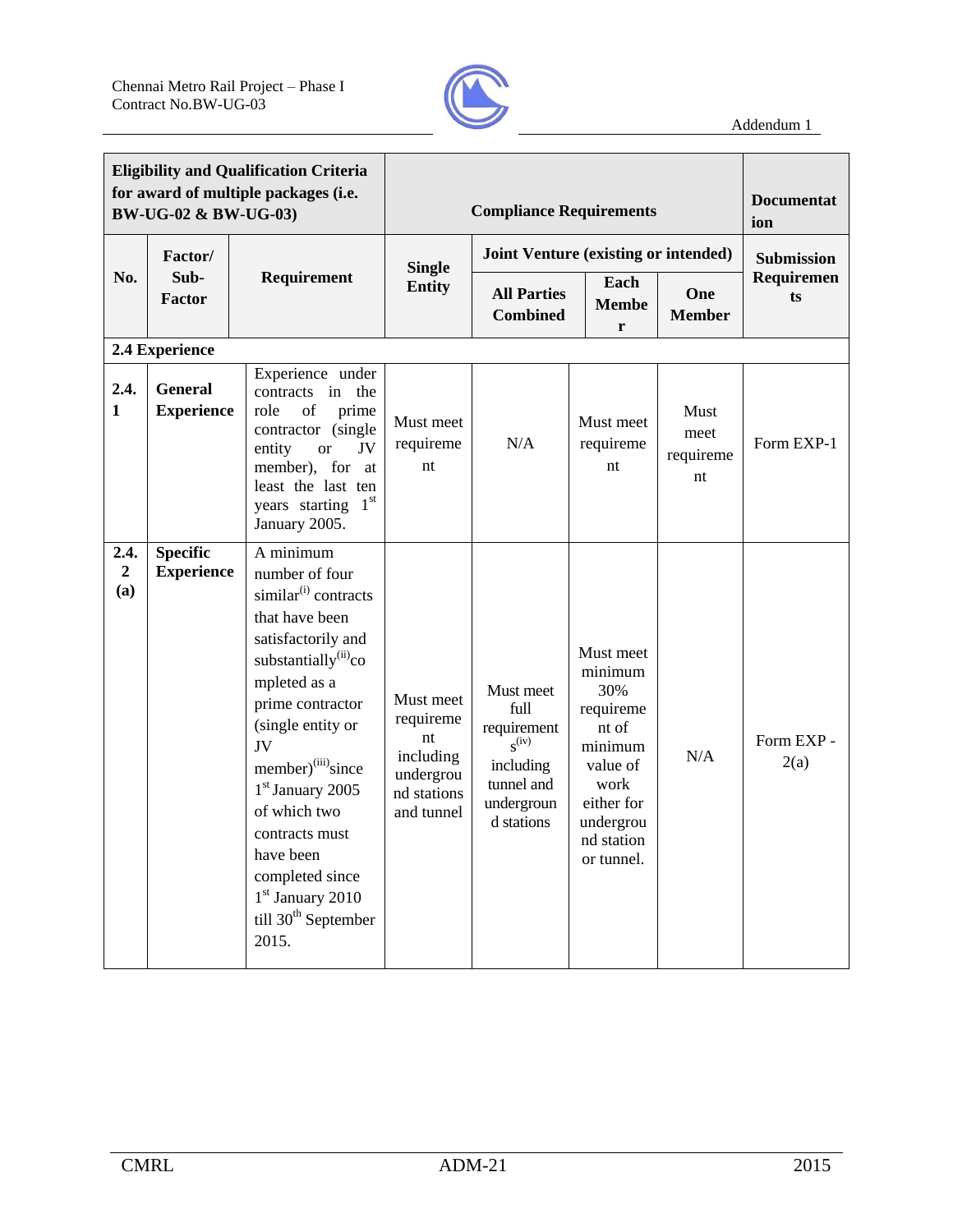

| <b>Eligibility and Qualification Criteria</b><br>for award of multiple packages (i.e.<br>BW-UG-02 & BW-UG-03) |                                      |                                                                                                                                                                                                                                                                                                                                                                                                        | <b>Compliance Requirements</b>                                                      |                                                                                                       |                                                                                                                                         |                                 | <b>Documentat</b><br>ion |
|---------------------------------------------------------------------------------------------------------------|--------------------------------------|--------------------------------------------------------------------------------------------------------------------------------------------------------------------------------------------------------------------------------------------------------------------------------------------------------------------------------------------------------------------------------------------------------|-------------------------------------------------------------------------------------|-------------------------------------------------------------------------------------------------------|-----------------------------------------------------------------------------------------------------------------------------------------|---------------------------------|--------------------------|
|                                                                                                               | Factor/                              |                                                                                                                                                                                                                                                                                                                                                                                                        |                                                                                     |                                                                                                       | Joint Venture (existing or intended)                                                                                                    |                                 | <b>Submission</b>        |
| No.                                                                                                           | Sub-<br>Factor                       | Requirement                                                                                                                                                                                                                                                                                                                                                                                            | <b>Single</b><br><b>Entity</b>                                                      | <b>All Parties</b><br><b>Combined</b>                                                                 | Each<br><b>Membe</b><br>r                                                                                                               | One<br><b>Member</b>            | Requiremen<br>ts         |
|                                                                                                               | 2.4 Experience                       |                                                                                                                                                                                                                                                                                                                                                                                                        |                                                                                     |                                                                                                       |                                                                                                                                         |                                 |                          |
| 2.4.<br>$\mathbf{1}$                                                                                          | <b>General</b><br><b>Experience</b>  | Experience under<br>contracts in the<br>of<br>prime<br>role<br>contractor (single<br>JV<br>entity<br><b>or</b><br>member), for at<br>least the last ten<br>years starting $1st$<br>January 2005.                                                                                                                                                                                                       | Must meet<br>requireme<br>nt                                                        | N/A                                                                                                   | Must meet<br>requireme<br>nt                                                                                                            | Must<br>meet<br>requireme<br>nt | Form EXP-1               |
| 2.4.<br>$\overline{2}$<br>(a)                                                                                 | <b>Specific</b><br><b>Experience</b> | A minimum<br>number of four<br>similar <sup>(i)</sup> contracts<br>that have been<br>satisfactorily and<br>substantially <sup>(ii)</sup> co<br>mpleted as a<br>prime contractor<br>(single entity or<br>JV<br>member) <sup>(iii)</sup> since<br>1 <sup>st</sup> January 2005<br>of which two<br>contracts must<br>have been<br>completed since<br>$1st$ January 2010<br>till $30th$ September<br>2015. | Must meet<br>requireme<br>nt<br>including<br>undergrou<br>nd stations<br>and tunnel | Must meet<br>full<br>requirement<br>$S^{(iv)}$<br>including<br>tunnel and<br>undergroun<br>d stations | Must meet<br>minimum<br>30%<br>requireme<br>nt of<br>minimum<br>value of<br>work<br>either for<br>undergrou<br>nd station<br>or tunnel. | N/A                             | Form EXP -<br>2(a)       |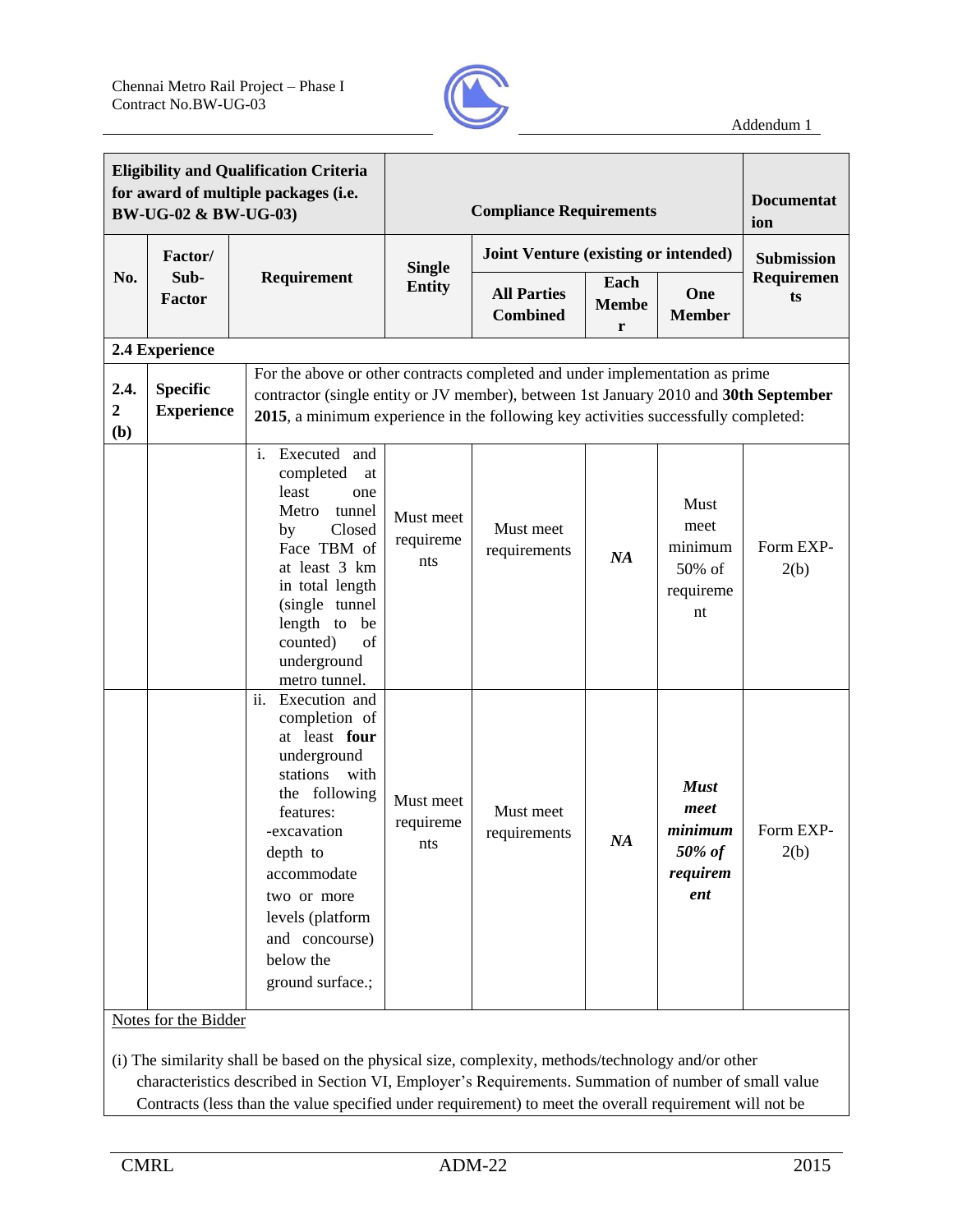

|                                 | <b>Eligibility and Qualification Criteria</b><br>for award of multiple packages (i.e.<br>BW-UG-02 & BW-UG-03) |                                                                                                                                                                                                                                                      |                                                                                                                                                                                                                                                            | <b>Compliance Requirements</b>        |                           |                                                             |                   |  |
|---------------------------------|---------------------------------------------------------------------------------------------------------------|------------------------------------------------------------------------------------------------------------------------------------------------------------------------------------------------------------------------------------------------------|------------------------------------------------------------------------------------------------------------------------------------------------------------------------------------------------------------------------------------------------------------|---------------------------------------|---------------------------|-------------------------------------------------------------|-------------------|--|
|                                 | Factor/                                                                                                       |                                                                                                                                                                                                                                                      |                                                                                                                                                                                                                                                            | Joint Venture (existing or intended)  |                           |                                                             | Submission        |  |
| No.                             | Sub-<br>Factor                                                                                                | Requirement                                                                                                                                                                                                                                          | <b>Single</b><br><b>Entity</b>                                                                                                                                                                                                                             | <b>All Parties</b><br><b>Combined</b> | Each<br><b>Membe</b><br>r | One<br><b>Member</b>                                        | Requiremen<br>ts  |  |
|                                 | 2.4 Experience                                                                                                |                                                                                                                                                                                                                                                      |                                                                                                                                                                                                                                                            |                                       |                           |                                                             |                   |  |
| 2.4.<br>$\boldsymbol{2}$<br>(b) | <b>Specific</b><br><b>Experience</b>                                                                          |                                                                                                                                                                                                                                                      | For the above or other contracts completed and under implementation as prime<br>contractor (single entity or JV member), between 1st January 2010 and 30th September<br>2015, a minimum experience in the following key activities successfully completed: |                                       |                           |                                                             |                   |  |
|                                 |                                                                                                               | i. Executed and<br>completed<br>at<br>least<br>one<br>tunnel<br>Metro<br>Closed<br>by<br>Face TBM of<br>at least 3 km<br>in total length<br>(single tunnel<br>length to be<br>counted)<br>of<br>underground<br>metro tunnel.                         | Must meet<br>requireme<br>nts                                                                                                                                                                                                                              | Must meet<br>requirements             | NA                        | Must<br>meet<br>minimum<br>50% of<br>requireme<br>nt        | Form EXP-<br>2(b) |  |
|                                 |                                                                                                               | ii.<br>Execution and<br>completion of<br>at least four<br>underground<br>stations with<br>the following<br>features:<br>-excavation<br>depth to<br>accommodate<br>two or more<br>levels (platform<br>and concourse)<br>below the<br>ground surface.; | Must meet<br>requireme<br>nts                                                                                                                                                                                                                              | Must meet<br>requirements             | NA                        | <b>Must</b><br>meet<br>minimum<br>50% of<br>requirem<br>ent | Form EXP-<br>2(b) |  |
|                                 | Notes for the Bidder                                                                                          |                                                                                                                                                                                                                                                      |                                                                                                                                                                                                                                                            |                                       |                           |                                                             |                   |  |

(i) The similarity shall be based on the physical size, complexity, methods/technology and/or other characteristics described in Section VI, Employer's Requirements. Summation of number of small value Contracts (less than the value specified under requirement) to meet the overall requirement will not be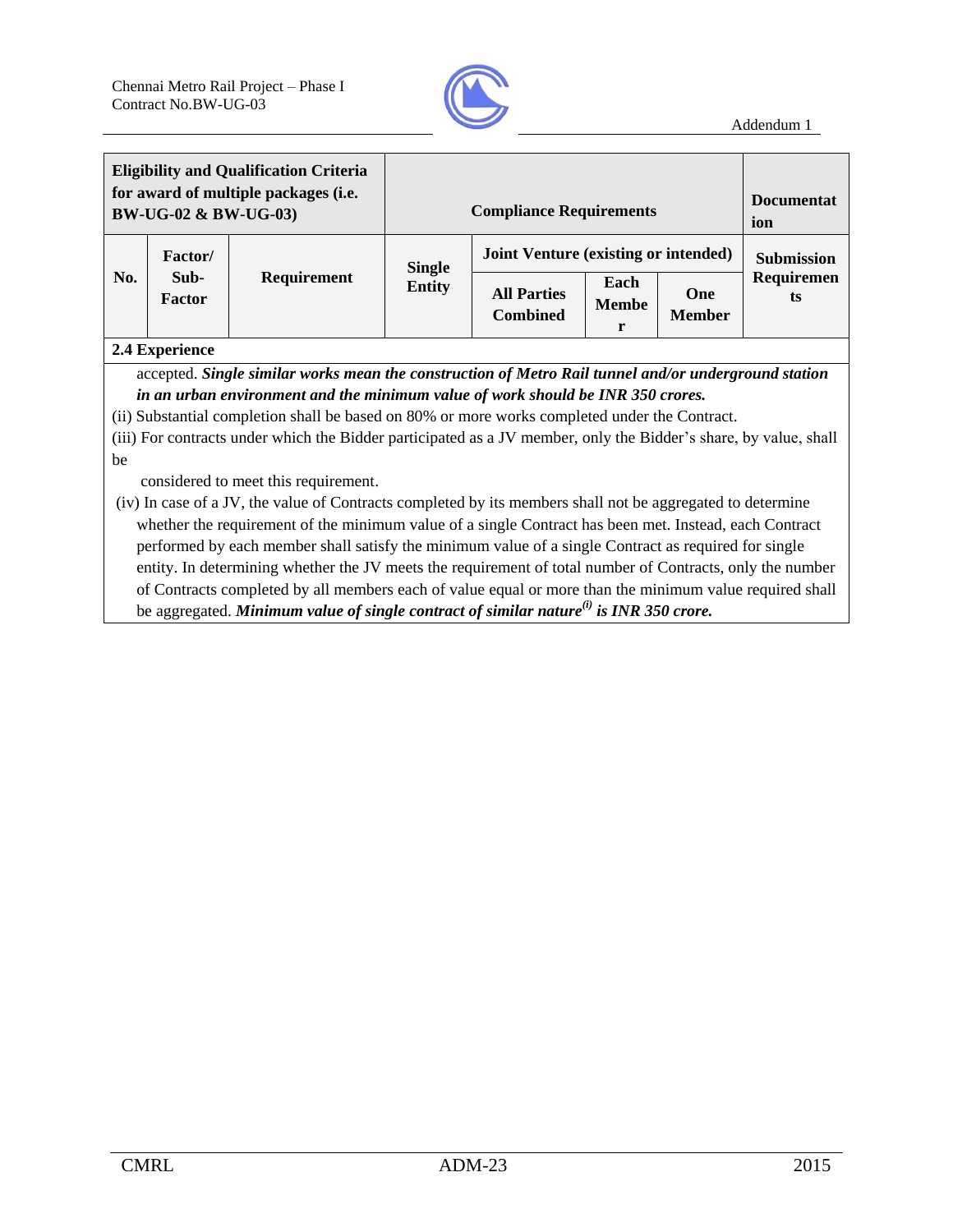

| <b>Eligibility and Qualification Criteria</b><br>for award of multiple packages (i.e.<br>BW-UG-02 & BW-UG-03) |                                                                                                      |             |               | <b>Compliance Requirements</b>        |                           |                             | <b>Documentat</b><br>ion |
|---------------------------------------------------------------------------------------------------------------|------------------------------------------------------------------------------------------------------|-------------|---------------|---------------------------------------|---------------------------|-----------------------------|--------------------------|
|                                                                                                               | <b>Factor</b> /                                                                                      |             | <b>Single</b> | Joint Venture (existing or intended)  |                           |                             | <b>Submission</b>        |
| No.                                                                                                           | Sub-<br>Factor<br>$\bigcap_{n=1}^{\infty} A$ $\prod_{n=1}^{\infty}$ and $\bigcap_{n=1}^{\infty} A_n$ | Requirement | <b>Entity</b> | <b>All Parties</b><br><b>Combined</b> | Each<br><b>Membe</b><br>r | <b>One</b><br><b>Member</b> | Requiremen<br>ts         |

#### **2.4 Experience**

accepted. *Single similar works mean the construction of Metro Rail tunnel and/or underground station in an urban environment and the minimum value of work should be INR 350 crores.*

(ii) Substantial completion shall be based on 80% or more works completed under the Contract.

(iii) For contracts under which the Bidder participated as a JV member, only the Bidder's share, by value, shall be

considered to meet this requirement.

(iv) In case of a JV, the value of Contracts completed by its members shall not be aggregated to determine whether the requirement of the minimum value of a single Contract has been met. Instead, each Contract performed by each member shall satisfy the minimum value of a single Contract as required for single entity. In determining whether the JV meets the requirement of total number of Contracts, only the number of Contracts completed by all members each of value equal or more than the minimum value required shall be aggregated. *Minimum value of single contract of similar nature(i) is INR 350 crore.*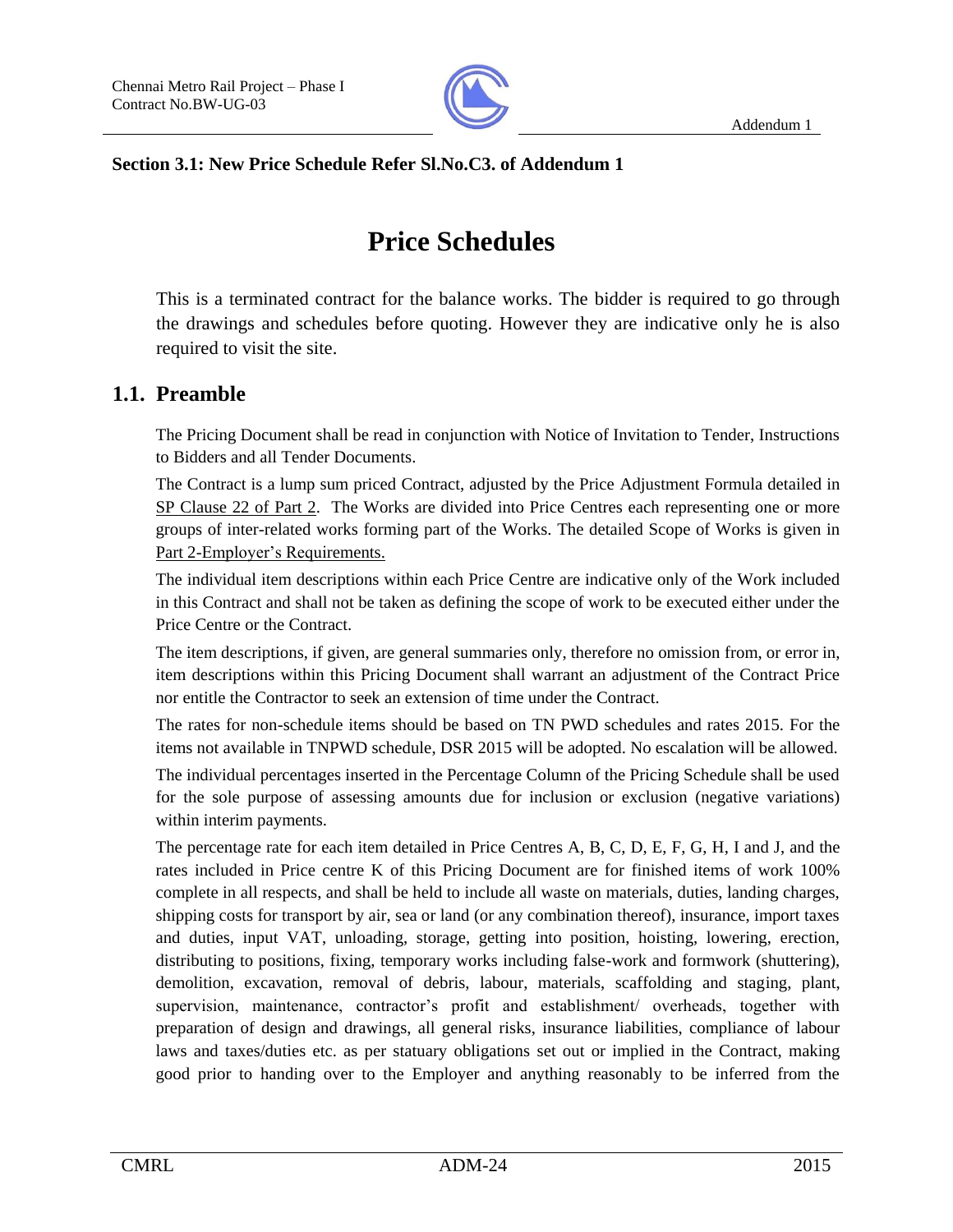

#### **Section 3.1: New Price Schedule Refer Sl.No.C3. of Addendum 1**

# **Price Schedules**

This is a terminated contract for the balance works. The bidder is required to go through the drawings and schedules before quoting. However they are indicative only he is also required to visit the site.

## **1.1. Preamble**

The Pricing Document shall be read in conjunction with Notice of Invitation to Tender, Instructions to Bidders and all Tender Documents.

The Contract is a lump sum priced Contract, adjusted by the Price Adjustment Formula detailed in SP Clause 22 of Part 2. The Works are divided into Price Centres each representing one or more groups of inter-related works forming part of the Works. The detailed Scope of Works is given in Part 2-Employer's Requirements.

The individual item descriptions within each Price Centre are indicative only of the Work included in this Contract and shall not be taken as defining the scope of work to be executed either under the Price Centre or the Contract.

The item descriptions, if given, are general summaries only, therefore no omission from, or error in, item descriptions within this Pricing Document shall warrant an adjustment of the Contract Price nor entitle the Contractor to seek an extension of time under the Contract.

The rates for non-schedule items should be based on TN PWD schedules and rates 2015. For the items not available in TNPWD schedule, DSR 2015 will be adopted. No escalation will be allowed.

The individual percentages inserted in the Percentage Column of the Pricing Schedule shall be used for the sole purpose of assessing amounts due for inclusion or exclusion (negative variations) within interim payments.

The percentage rate for each item detailed in Price Centres A, B, C, D, E, F, G, H, I and J, and the rates included in Price centre K of this Pricing Document are for finished items of work 100% complete in all respects, and shall be held to include all waste on materials, duties, landing charges, shipping costs for transport by air, sea or land (or any combination thereof), insurance, import taxes and duties, input VAT, unloading, storage, getting into position, hoisting, lowering, erection, distributing to positions, fixing, temporary works including false-work and formwork (shuttering), demolition, excavation, removal of debris, labour, materials, scaffolding and staging, plant, supervision, maintenance, contractor's profit and establishment/ overheads, together with preparation of design and drawings, all general risks, insurance liabilities, compliance of labour laws and taxes/duties etc. as per statuary obligations set out or implied in the Contract, making good prior to handing over to the Employer and anything reasonably to be inferred from the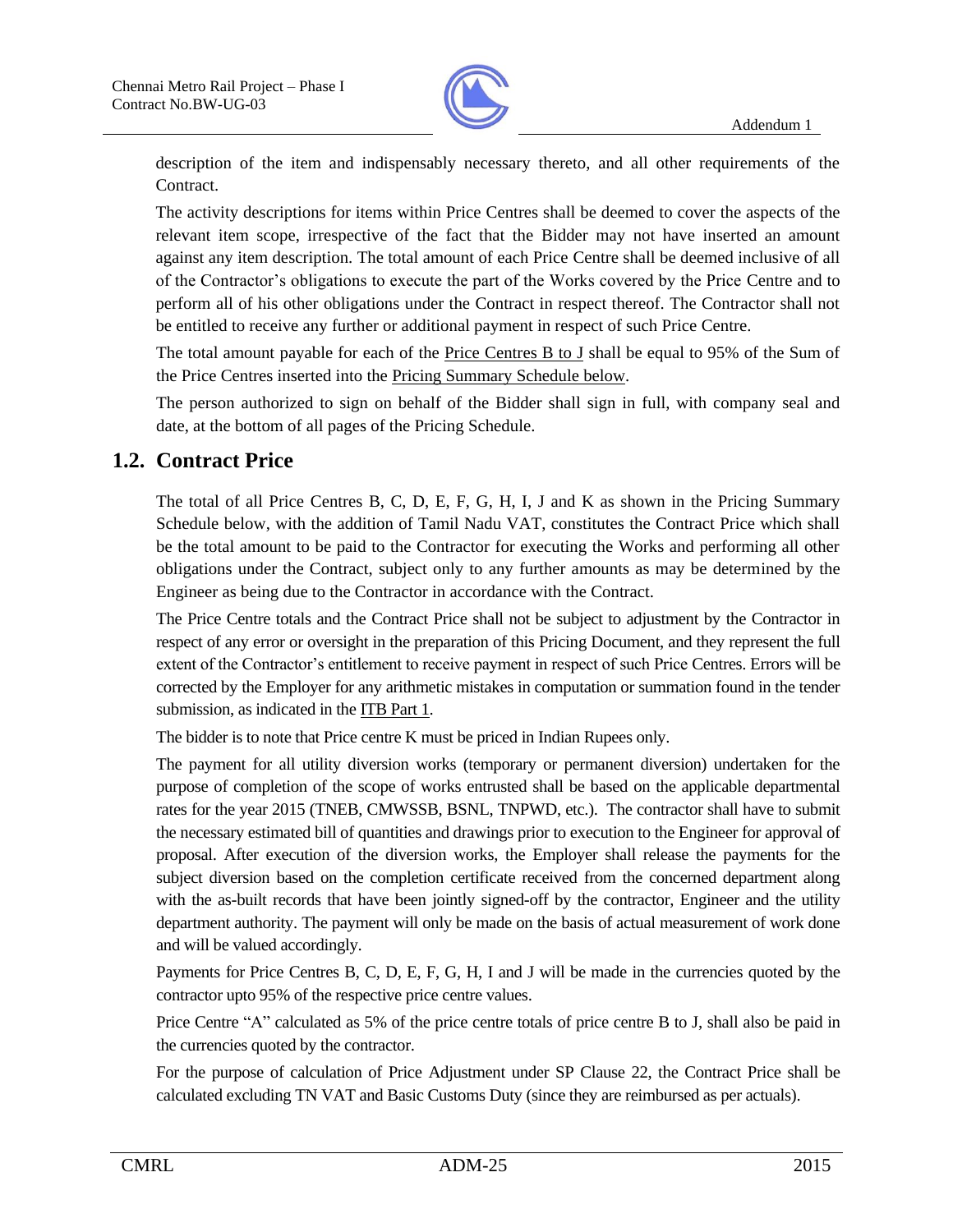

description of the item and indispensably necessary thereto, and all other requirements of the Contract.

The activity descriptions for items within Price Centres shall be deemed to cover the aspects of the relevant item scope, irrespective of the fact that the Bidder may not have inserted an amount against any item description. The total amount of each Price Centre shall be deemed inclusive of all of the Contractor's obligations to execute the part of the Works covered by the Price Centre and to perform all of his other obligations under the Contract in respect thereof. The Contractor shall not be entitled to receive any further or additional payment in respect of such Price Centre.

The total amount payable for each of the Price Centres B to J shall be equal to 95% of the Sum of the Price Centres inserted into the Pricing Summary Schedule below.

The person authorized to sign on behalf of the Bidder shall sign in full, with company seal and date, at the bottom of all pages of the Pricing Schedule.

# **1.2. Contract Price**

The total of all Price Centres B, C, D, E, F, G, H, I, J and K as shown in the Pricing Summary Schedule below, with the addition of Tamil Nadu VAT, constitutes the Contract Price which shall be the total amount to be paid to the Contractor for executing the Works and performing all other obligations under the Contract, subject only to any further amounts as may be determined by the Engineer as being due to the Contractor in accordance with the Contract.

The Price Centre totals and the Contract Price shall not be subject to adjustment by the Contractor in respect of any error or oversight in the preparation of this Pricing Document, and they represent the full extent of the Contractor's entitlement to receive payment in respect of such Price Centres. Errors will be corrected by the Employer for any arithmetic mistakes in computation or summation found in the tender submission, as indicated in the ITB Part 1.

The bidder is to note that Price centre K must be priced in Indian Rupees only.

The payment for all utility diversion works (temporary or permanent diversion) undertaken for the purpose of completion of the scope of works entrusted shall be based on the applicable departmental rates for the year 2015 (TNEB, CMWSSB, BSNL, TNPWD, etc.). The contractor shall have to submit the necessary estimated bill of quantities and drawings prior to execution to the Engineer for approval of proposal. After execution of the diversion works, the Employer shall release the payments for the subject diversion based on the completion certificate received from the concerned department along with the as-built records that have been jointly signed-off by the contractor, Engineer and the utility department authority. The payment will only be made on the basis of actual measurement of work done and will be valued accordingly.

Payments for Price Centres B, C, D, E, F, G, H, I and J will be made in the currencies quoted by the contractor upto 95% of the respective price centre values.

Price Centre "A" calculated as 5% of the price centre totals of price centre B to J, shall also be paid in the currencies quoted by the contractor.

For the purpose of calculation of Price Adjustment under SP Clause 22, the Contract Price shall be calculated excluding TN VAT and Basic Customs Duty (since they are reimbursed as per actuals).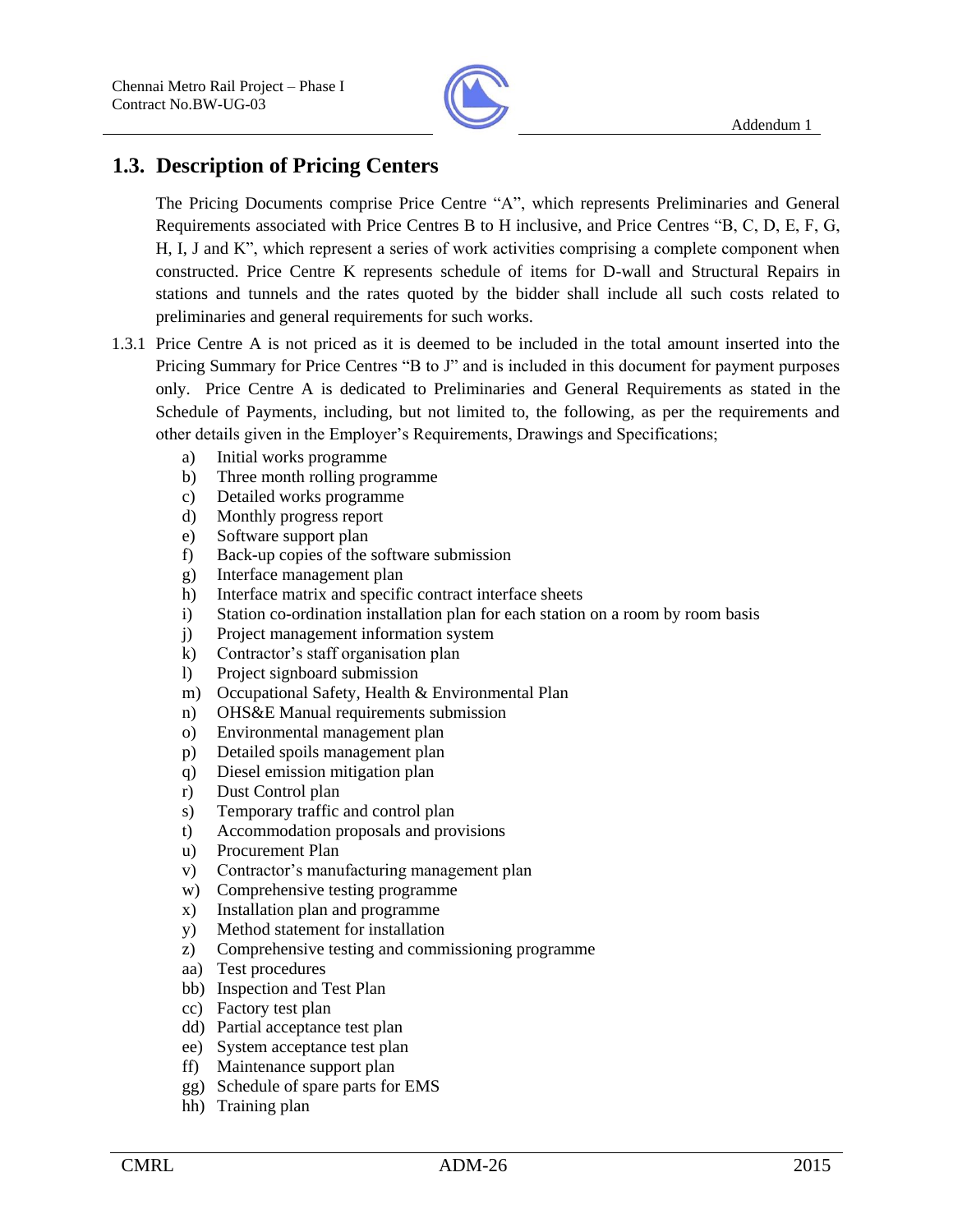

# **1.3. Description of Pricing Centers**

The Pricing Documents comprise Price Centre "A", which represents Preliminaries and General Requirements associated with Price Centres B to H inclusive, and Price Centres "B, C, D, E, F, G, H, I, J and K", which represent a series of work activities comprising a complete component when constructed. Price Centre K represents schedule of items for D-wall and Structural Repairs in stations and tunnels and the rates quoted by the bidder shall include all such costs related to preliminaries and general requirements for such works.

- 1.3.1 Price Centre A is not priced as it is deemed to be included in the total amount inserted into the Pricing Summary for Price Centres "B to J" and is included in this document for payment purposes only. Price Centre A is dedicated to Preliminaries and General Requirements as stated in the Schedule of Payments, including, but not limited to, the following, as per the requirements and other details given in the Employer's Requirements, Drawings and Specifications;
	- a) Initial works programme
	- b) Three month rolling programme
	- c) Detailed works programme
	- d) Monthly progress report
	- e) Software support plan
	- f) Back-up copies of the software submission
	- g) Interface management plan
	- h) Interface matrix and specific contract interface sheets
	- i) Station co-ordination installation plan for each station on a room by room basis
	- j) Project management information system
	- k) Contractor's staff organisation plan
	- l) Project signboard submission
	- m) Occupational Safety, Health & Environmental Plan
	- n) OHS&E Manual requirements submission
	- o) Environmental management plan
	- p) Detailed spoils management plan
	- q) Diesel emission mitigation plan
	- r) Dust Control plan
	- s) Temporary traffic and control plan
	- t) Accommodation proposals and provisions
	- u) Procurement Plan
	- v) Contractor's manufacturing management plan
	- w) Comprehensive testing programme
	- x) Installation plan and programme
	- y) Method statement for installation
	- z) Comprehensive testing and commissioning programme
	- aa) Test procedures
	- bb) Inspection and Test Plan
	- cc) Factory test plan
	- dd) Partial acceptance test plan
	- ee) System acceptance test plan
	- ff) Maintenance support plan
	- gg) Schedule of spare parts for EMS
	- hh) Training plan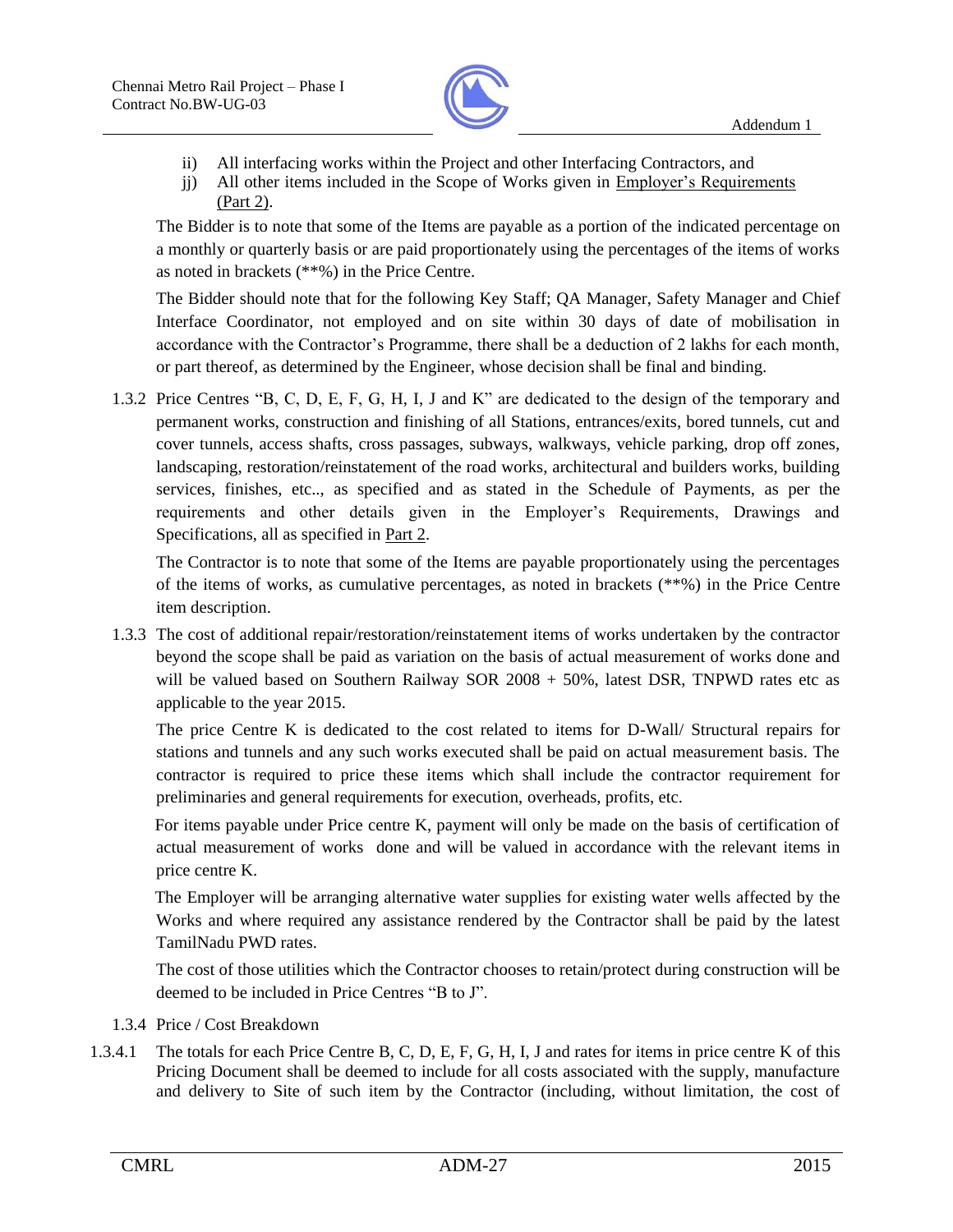

- ii) All interfacing works within the Project and other Interfacing Contractors, and
- jj) All other items included in the Scope of Works given in Employer's Requirements (Part 2).

The Bidder is to note that some of the Items are payable as a portion of the indicated percentage on a monthly or quarterly basis or are paid proportionately using the percentages of the items of works as noted in brackets (\*\*%) in the Price Centre.

The Bidder should note that for the following Key Staff; QA Manager, Safety Manager and Chief Interface Coordinator, not employed and on site within 30 days of date of mobilisation in accordance with the Contractor's Programme, there shall be a deduction of 2 lakhs for each month, or part thereof, as determined by the Engineer, whose decision shall be final and binding.

1.3.2 Price Centres "B, C, D, E, F, G, H, I, J and K" are dedicated to the design of the temporary and permanent works, construction and finishing of all Stations, entrances/exits, bored tunnels, cut and cover tunnels, access shafts, cross passages, subways, walkways, vehicle parking, drop off zones, landscaping, restoration/reinstatement of the road works, architectural and builders works, building services, finishes, etc.., as specified and as stated in the Schedule of Payments, as per the requirements and other details given in the Employer's Requirements, Drawings and Specifications, all as specified in Part 2.

The Contractor is to note that some of the Items are payable proportionately using the percentages of the items of works, as cumulative percentages, as noted in brackets (\*\*%) in the Price Centre item description.

1.3.3 The cost of additional repair/restoration/reinstatement items of works undertaken by the contractor beyond the scope shall be paid as variation on the basis of actual measurement of works done and will be valued based on Southern Railway SOR 2008 + 50%, latest DSR, TNPWD rates etc as applicable to the year 2015.

The price Centre K is dedicated to the cost related to items for D-Wall/ Structural repairs for stations and tunnels and any such works executed shall be paid on actual measurement basis. The contractor is required to price these items which shall include the contractor requirement for preliminaries and general requirements for execution, overheads, profits, etc.

 For items payable under Price centre K, payment will only be made on the basis of certification of actual measurement of works done and will be valued in accordance with the relevant items in price centre K.

 The Employer will be arranging alternative water supplies for existing water wells affected by the Works and where required any assistance rendered by the Contractor shall be paid by the latest TamilNadu PWD rates.

The cost of those utilities which the Contractor chooses to retain/protect during construction will be deemed to be included in Price Centres "B to J".

- 1.3.4 Price / Cost Breakdown
- 1.3.4.1 The totals for each Price Centre B, C, D, E, F, G, H, I, J and rates for items in price centre K of this Pricing Document shall be deemed to include for all costs associated with the supply, manufacture and delivery to Site of such item by the Contractor (including, without limitation, the cost of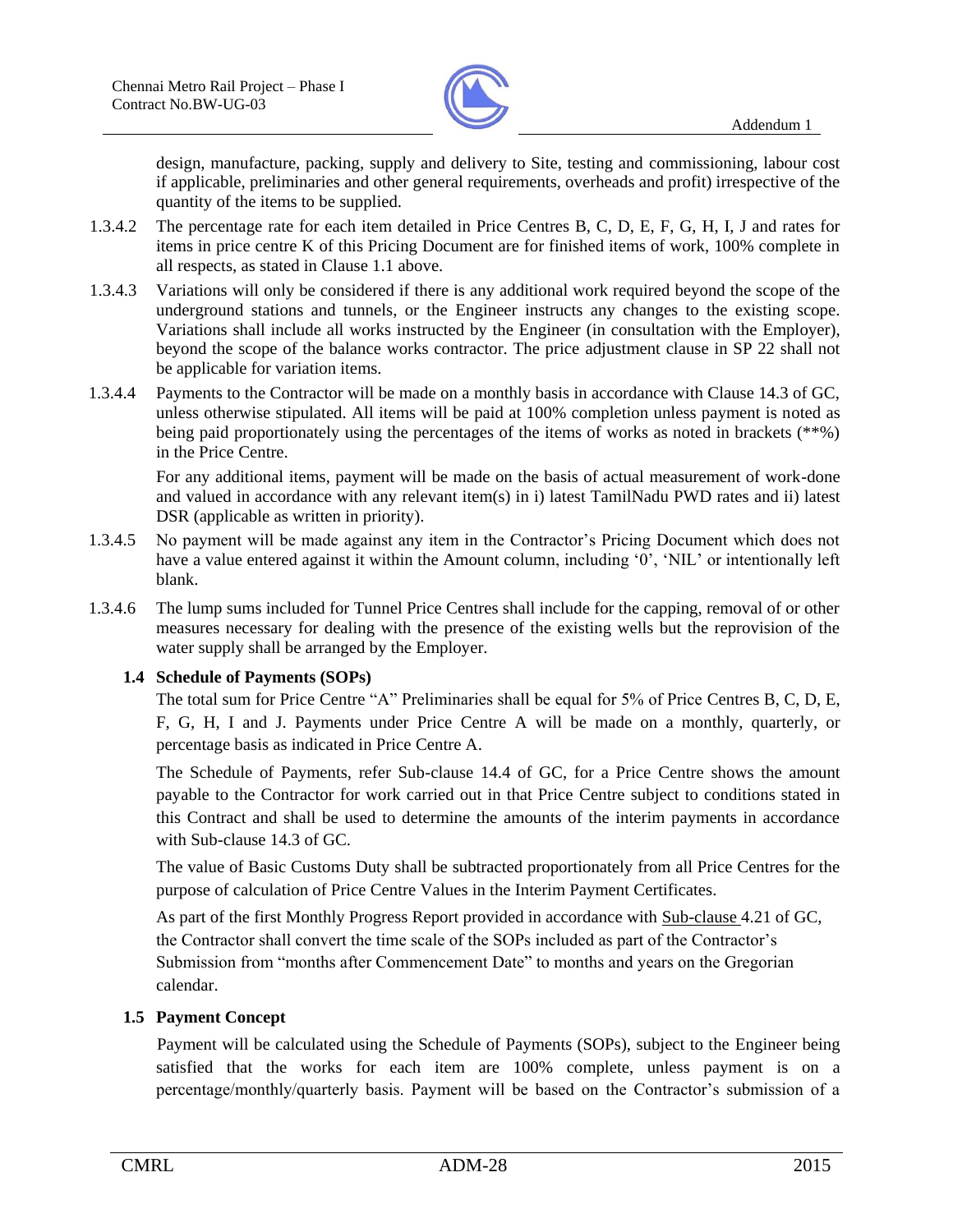

design, manufacture, packing, supply and delivery to Site, testing and commissioning, labour cost if applicable, preliminaries and other general requirements, overheads and profit) irrespective of the quantity of the items to be supplied.

- 1.3.4.2 The percentage rate for each item detailed in Price Centres B, C, D, E, F, G, H, I, J and rates for items in price centre K of this Pricing Document are for finished items of work, 100% complete in all respects, as stated in Clause 1.1 above.
- 1.3.4.3 Variations will only be considered if there is any additional work required beyond the scope of the underground stations and tunnels, or the Engineer instructs any changes to the existing scope. Variations shall include all works instructed by the Engineer (in consultation with the Employer), beyond the scope of the balance works contractor. The price adjustment clause in SP 22 shall not be applicable for variation items.
- 1.3.4.4 Payments to the Contractor will be made on a monthly basis in accordance with Clause 14.3 of GC, unless otherwise stipulated. All items will be paid at 100% completion unless payment is noted as being paid proportionately using the percentages of the items of works as noted in brackets (\*\*%) in the Price Centre.

For any additional items, payment will be made on the basis of actual measurement of work-done and valued in accordance with any relevant item(s) in i) latest TamilNadu PWD rates and ii) latest DSR (applicable as written in priority).

- 1.3.4.5 No payment will be made against any item in the Contractor's Pricing Document which does not have a value entered against it within the Amount column, including '0', 'NIL' or intentionally left blank.
- 1.3.4.6 The lump sums included for Tunnel Price Centres shall include for the capping, removal of or other measures necessary for dealing with the presence of the existing wells but the reprovision of the water supply shall be arranged by the Employer.

#### **1.4 Schedule of Payments (SOPs)**

The total sum for Price Centre "A" Preliminaries shall be equal for 5% of Price Centres B, C, D, E, F, G, H, I and J. Payments under Price Centre A will be made on a monthly, quarterly, or percentage basis as indicated in Price Centre A.

The Schedule of Payments, refer Sub-clause 14.4 of GC, for a Price Centre shows the amount payable to the Contractor for work carried out in that Price Centre subject to conditions stated in this Contract and shall be used to determine the amounts of the interim payments in accordance with Sub-clause 14.3 of GC.

The value of Basic Customs Duty shall be subtracted proportionately from all Price Centres for the purpose of calculation of Price Centre Values in the Interim Payment Certificates.

As part of the first Monthly Progress Report provided in accordance with Sub-clause 4.21 of GC, the Contractor shall convert the time scale of the SOPs included as part of the Contractor's Submission from "months after Commencement Date" to months and years on the Gregorian calendar.

#### **1.5 Payment Concept**

Payment will be calculated using the Schedule of Payments (SOPs), subject to the Engineer being satisfied that the works for each item are 100% complete, unless payment is on a percentage/monthly/quarterly basis. Payment will be based on the Contractor's submission of a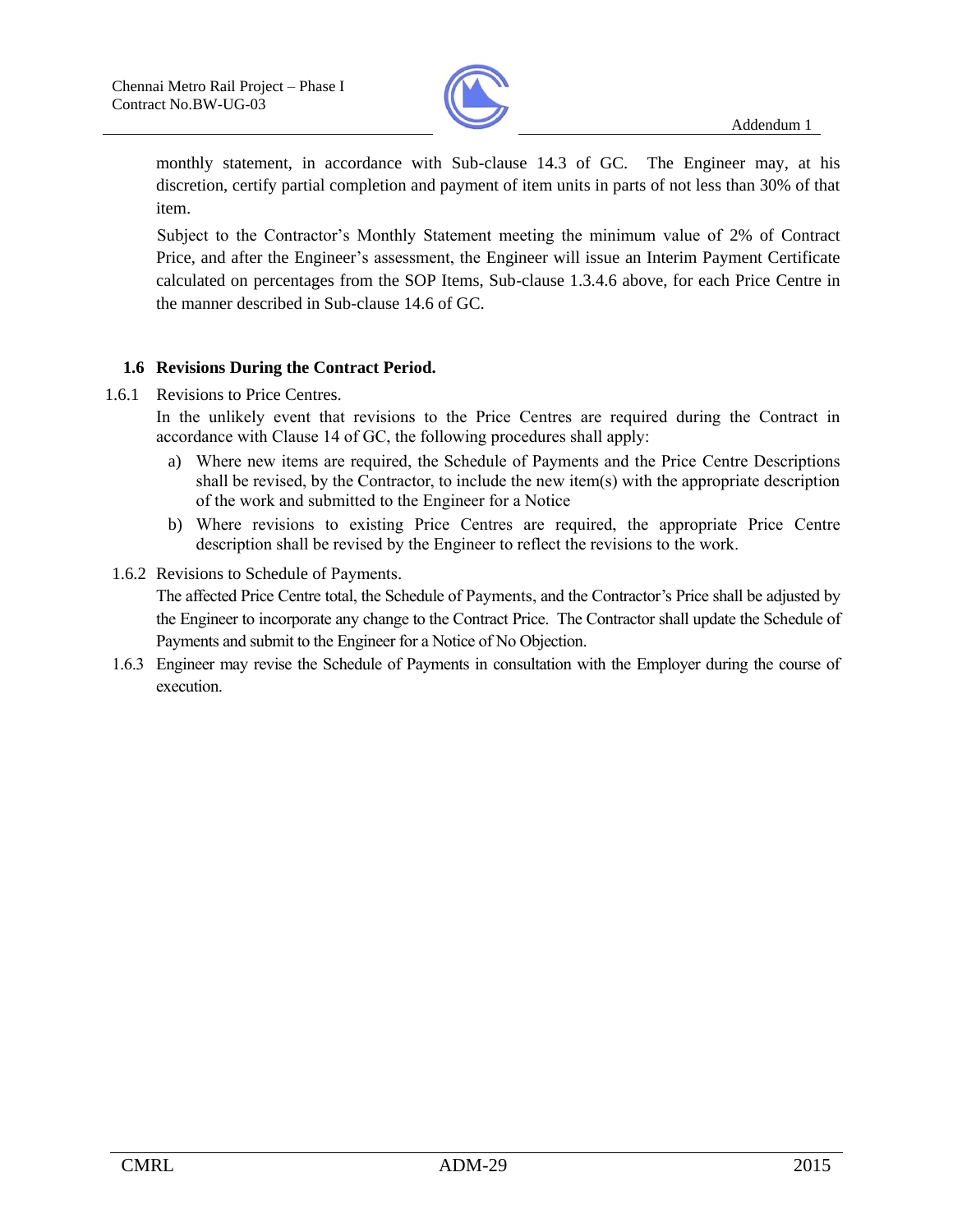

monthly statement, in accordance with Sub-clause 14.3 of GC. The Engineer may, at his discretion, certify partial completion and payment of item units in parts of not less than 30% of that item.

Subject to the Contractor's Monthly Statement meeting the minimum value of 2% of Contract Price, and after the Engineer's assessment, the Engineer will issue an Interim Payment Certificate calculated on percentages from the SOP Items, Sub-clause 1.3.4.6 above, for each Price Centre in the manner described in Sub-clause 14.6 of GC.

#### **1.6 Revisions During the Contract Period.**

1.6.1 Revisions to Price Centres.

In the unlikely event that revisions to the Price Centres are required during the Contract in accordance with Clause 14 of GC, the following procedures shall apply:

- a) Where new items are required, the Schedule of Payments and the Price Centre Descriptions shall be revised, by the Contractor, to include the new item(s) with the appropriate description of the work and submitted to the Engineer for a Notice
- b) Where revisions to existing Price Centres are required, the appropriate Price Centre description shall be revised by the Engineer to reflect the revisions to the work.
- 1.6.2 Revisions to Schedule of Payments.

The affected Price Centre total, the Schedule of Payments, and the Contractor's Price shall be adjusted by the Engineer to incorporate any change to the Contract Price. The Contractor shall update the Schedule of Payments and submit to the Engineer for a Notice of No Objection.

1.6.3 Engineer may revise the Schedule of Payments in consultation with the Employer during the course of execution.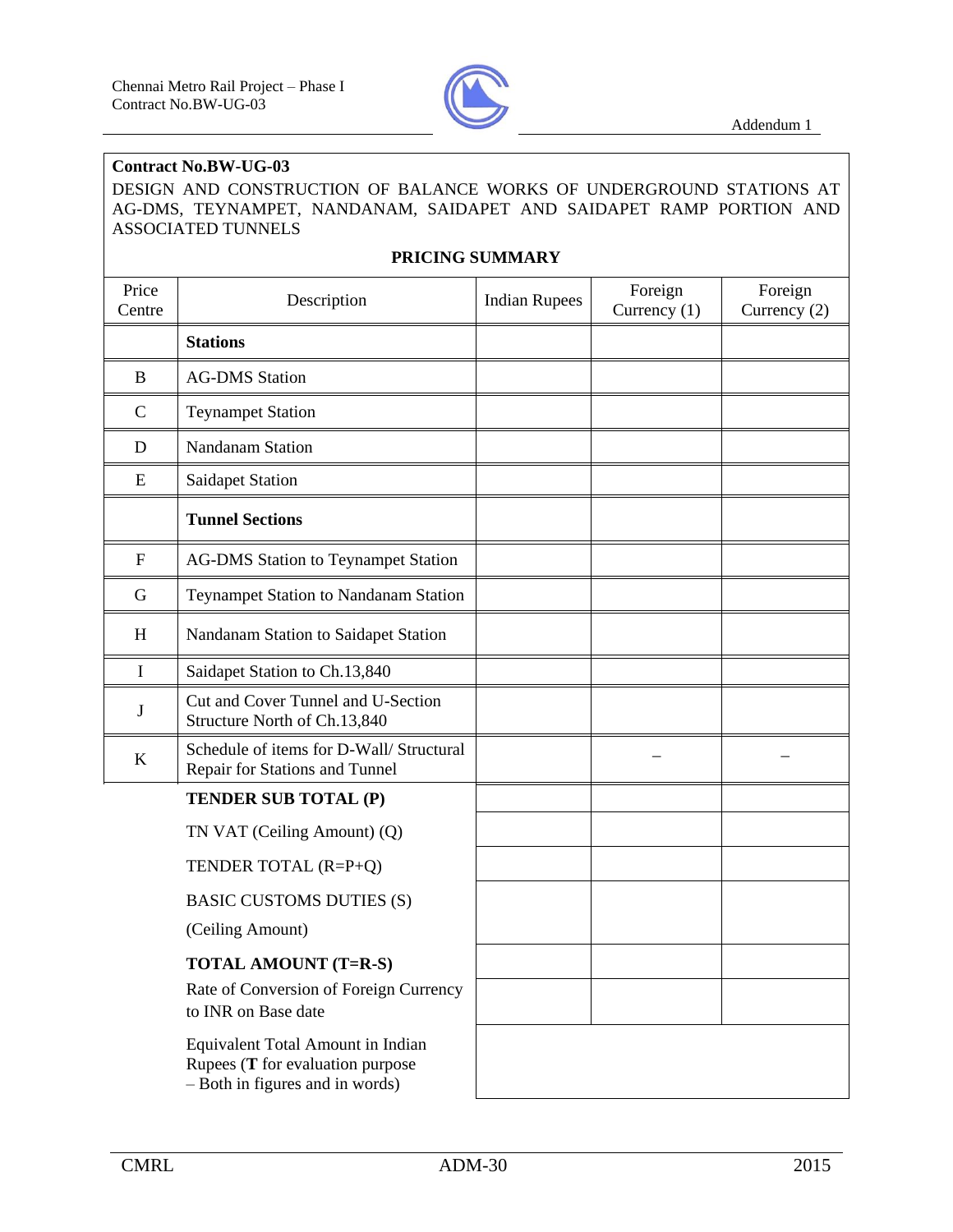

#### **Contract No.BW-UG-03**

DESIGN AND CONSTRUCTION OF BALANCE WORKS OF UNDERGROUND STATIONS AT AG-DMS, TEYNAMPET, NANDANAM, SAIDAPET AND SAIDAPET RAMP PORTION AND ASSOCIATED TUNNELS

#### **PRICING SUMMARY**

| Price<br>Centre | Description                                                                                              | <b>Indian Rupees</b> | Foreign<br>Currency $(1)$ | Foreign<br>Currency (2) |
|-----------------|----------------------------------------------------------------------------------------------------------|----------------------|---------------------------|-------------------------|
|                 | <b>Stations</b>                                                                                          |                      |                           |                         |
| $\bf{B}$        | <b>AG-DMS</b> Station                                                                                    |                      |                           |                         |
| $\mathbf C$     | <b>Teynampet Station</b>                                                                                 |                      |                           |                         |
| D               | <b>Nandanam Station</b>                                                                                  |                      |                           |                         |
| E               | <b>Saidapet Station</b>                                                                                  |                      |                           |                         |
|                 | <b>Tunnel Sections</b>                                                                                   |                      |                           |                         |
| $\mathbf F$     | <b>AG-DMS Station to Teynampet Station</b>                                                               |                      |                           |                         |
| G               | Teynampet Station to Nandanam Station                                                                    |                      |                           |                         |
| H               | Nandanam Station to Saidapet Station                                                                     |                      |                           |                         |
| $\mathbf I$     | Saidapet Station to Ch.13,840                                                                            |                      |                           |                         |
| J               | Cut and Cover Tunnel and U-Section<br>Structure North of Ch.13,840                                       |                      |                           |                         |
| $\bf K$         | Schedule of items for D-Wall/ Structural<br>Repair for Stations and Tunnel                               |                      |                           |                         |
|                 | TENDER SUB TOTAL (P)                                                                                     |                      |                           |                         |
|                 | TN VAT (Ceiling Amount) (Q)                                                                              |                      |                           |                         |
|                 | TENDER TOTAL (R=P+Q)                                                                                     |                      |                           |                         |
|                 | <b>BASIC CUSTOMS DUTIES (S)</b>                                                                          |                      |                           |                         |
|                 | (Ceiling Amount)                                                                                         |                      |                           |                         |
|                 | <b>TOTAL AMOUNT (T=R-S)</b>                                                                              |                      |                           |                         |
|                 | Rate of Conversion of Foreign Currency<br>to INR on Base date                                            |                      |                           |                         |
|                 | Equivalent Total Amount in Indian<br>Rupees (T for evaluation purpose<br>- Both in figures and in words) |                      |                           |                         |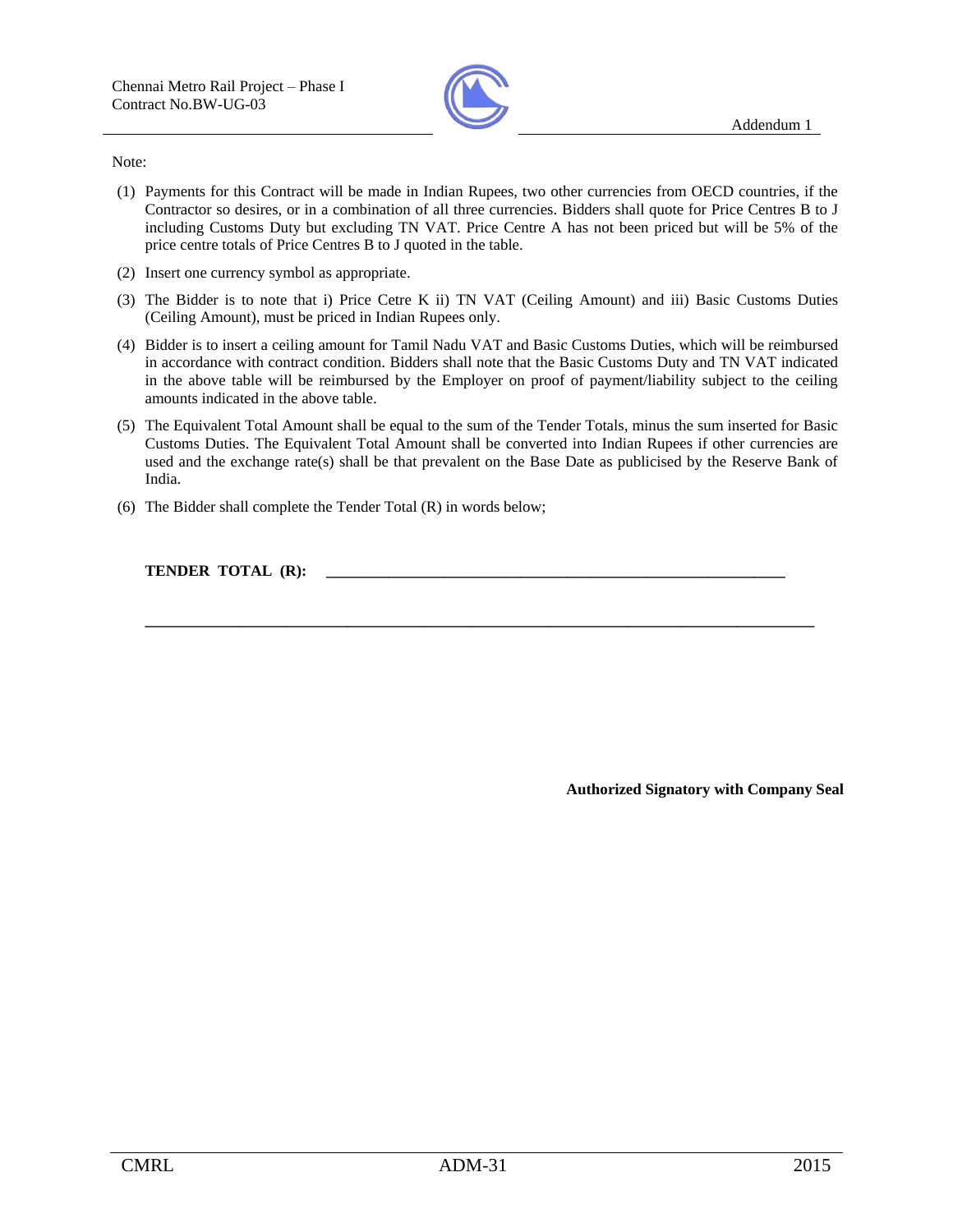

#### Note:

- (1) Payments for this Contract will be made in Indian Rupees, two other currencies from OECD countries, if the Contractor so desires, or in a combination of all three currencies. Bidders shall quote for Price Centres B to J including Customs Duty but excluding TN VAT. Price Centre A has not been priced but will be 5% of the price centre totals of Price Centres B to J quoted in the table.
- (2) Insert one currency symbol as appropriate.
- (3) The Bidder is to note that i) Price Cetre K ii) TN VAT (Ceiling Amount) and iii) Basic Customs Duties (Ceiling Amount), must be priced in Indian Rupees only.
- (4) Bidder is to insert a ceiling amount for Tamil Nadu VAT and Basic Customs Duties, which will be reimbursed in accordance with contract condition. Bidders shall note that the Basic Customs Duty and TN VAT indicated in the above table will be reimbursed by the Employer on proof of payment/liability subject to the ceiling amounts indicated in the above table.
- (5) The Equivalent Total Amount shall be equal to the sum of the Tender Totals, minus the sum inserted for Basic Customs Duties. The Equivalent Total Amount shall be converted into Indian Rupees if other currencies are used and the exchange rate(s) shall be that prevalent on the Base Date as publicised by the Reserve Bank of India.
- (6) The Bidder shall complete the Tender Total (R) in words below;

**TENDER TOTAL (R):** 

**\_\_\_\_\_\_\_\_\_\_\_\_\_\_\_\_\_\_\_\_\_\_\_\_\_\_\_\_\_\_\_\_\_\_\_\_\_\_\_\_\_\_\_\_\_\_\_\_\_\_\_\_\_\_\_\_\_\_\_\_\_\_\_\_\_\_\_\_\_\_\_\_\_\_\_\_\_\_\_\_\_\_\_\_\_\_** 

**Authorized Signatory with Company Seal**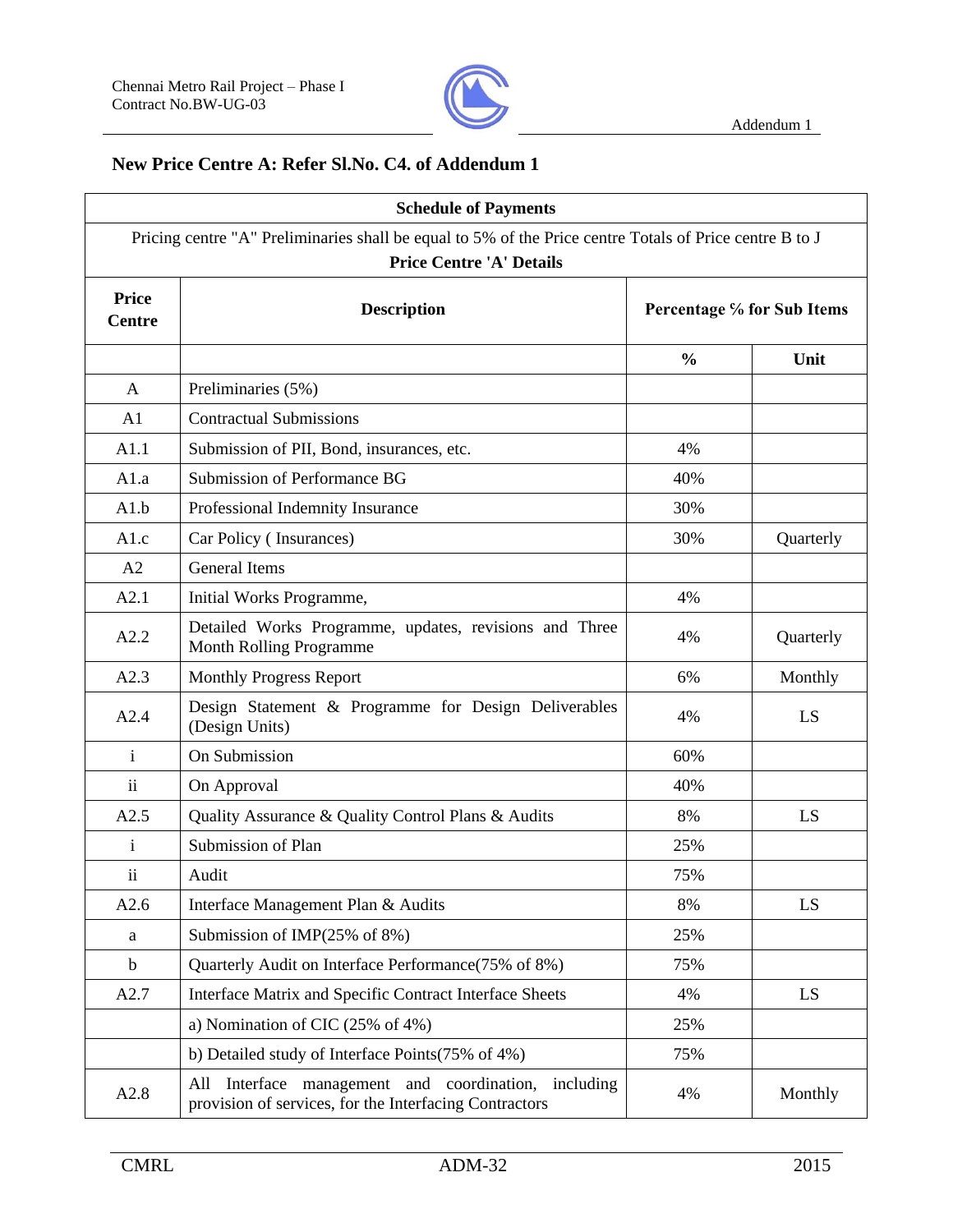

## **New Price Centre A: Refer Sl.No. C4. of Addendum 1**

|                               | <b>Schedule of Payments</b>                                                                                                                |               |                            |
|-------------------------------|--------------------------------------------------------------------------------------------------------------------------------------------|---------------|----------------------------|
|                               | Pricing centre "A" Preliminaries shall be equal to 5% of the Price centre Totals of Price centre B to J<br><b>Price Centre 'A' Details</b> |               |                            |
| <b>Price</b><br><b>Centre</b> | <b>Description</b>                                                                                                                         |               | Percentage % for Sub Items |
|                               |                                                                                                                                            | $\frac{0}{0}$ | Unit                       |
| $\mathsf{A}$                  | Preliminaries (5%)                                                                                                                         |               |                            |
| A1                            | <b>Contractual Submissions</b>                                                                                                             |               |                            |
| A1.1                          | Submission of PII, Bond, insurances, etc.                                                                                                  | 4%            |                            |
| A1.a                          | Submission of Performance BG                                                                                                               | 40%           |                            |
| A1.b                          | Professional Indemnity Insurance                                                                                                           | 30%           |                            |
| A1.c                          | Car Policy (Insurances)                                                                                                                    | 30%           | Quarterly                  |
| A2                            | <b>General Items</b>                                                                                                                       |               |                            |
| A2.1                          | Initial Works Programme,                                                                                                                   | 4%            |                            |
| A2.2                          | Detailed Works Programme, updates, revisions and Three<br><b>Month Rolling Programme</b>                                                   | 4%            | Quarterly                  |
| A2.3                          | <b>Monthly Progress Report</b>                                                                                                             | 6%            | Monthly                    |
| A2.4                          | Design Statement & Programme for Design Deliverables<br>(Design Units)                                                                     | 4%            | LS                         |
| $\mathbf{i}$                  | On Submission                                                                                                                              | 60%           |                            |
| $\overline{\mathbf{u}}$       | On Approval                                                                                                                                | 40%           |                            |
| A2.5                          | Quality Assurance & Quality Control Plans & Audits                                                                                         | 8%            | LS                         |
| $\mathbf{i}$                  | Submission of Plan                                                                                                                         | 25%           |                            |
| ii                            | Audit                                                                                                                                      | 75%           |                            |
| A2.6                          | Interface Management Plan & Audits                                                                                                         | 8%            | LS.                        |
| a                             | Submission of IMP(25% of 8%)                                                                                                               | 25%           |                            |
| $\mathbf b$                   | Quarterly Audit on Interface Performance(75% of 8%)                                                                                        | 75%           |                            |
| A2.7                          | Interface Matrix and Specific Contract Interface Sheets                                                                                    | 4%            | LS                         |
|                               | a) Nomination of CIC $(25\% \text{ of } 4\%)$                                                                                              | 25%           |                            |
|                               | b) Detailed study of Interface Points(75% of 4%)                                                                                           | 75%           |                            |
| A2.8                          | All Interface management and coordination, including<br>provision of services, for the Interfacing Contractors                             | 4%            | Monthly                    |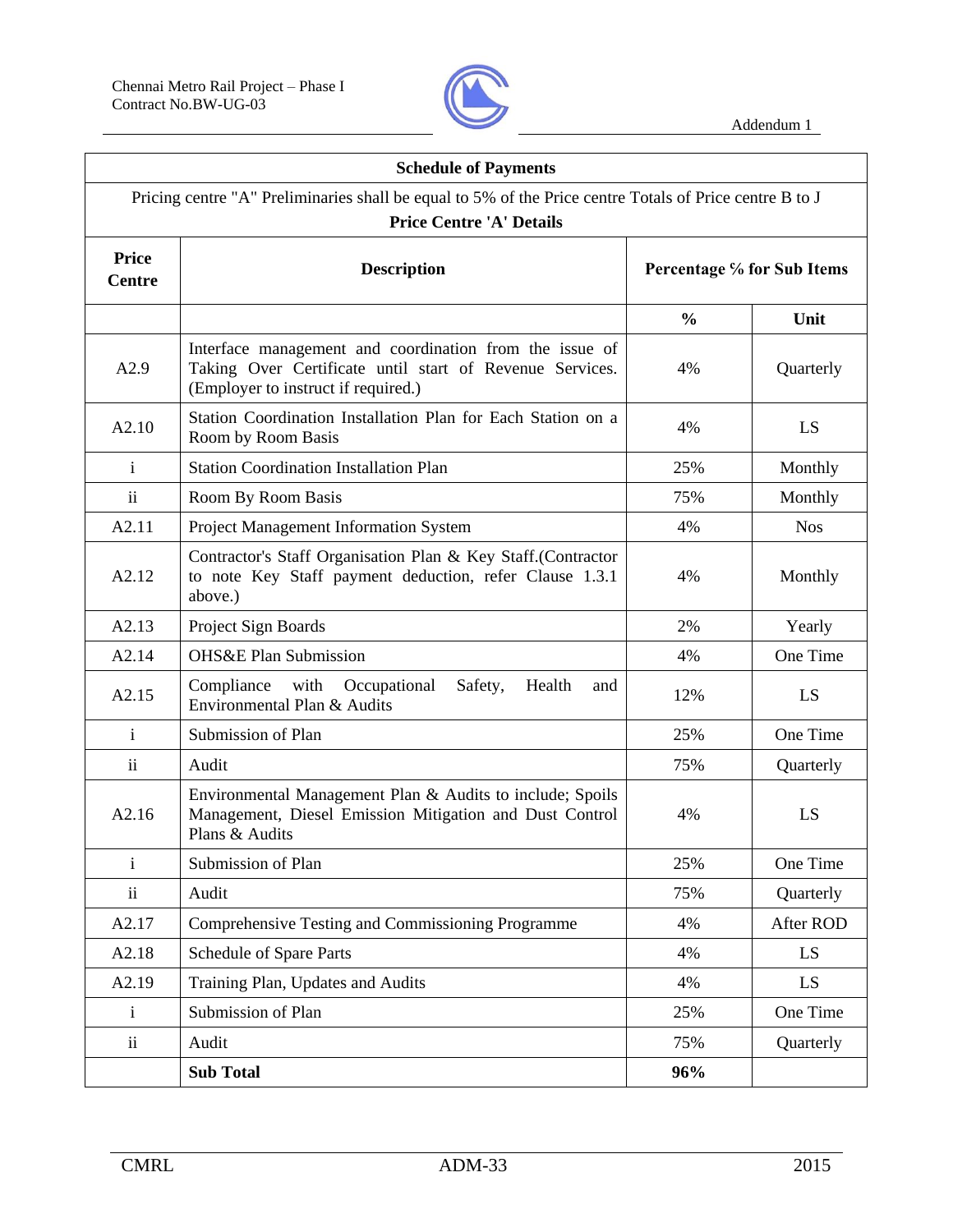$\Gamma$ 



┑

|                               | <b>Schedule of Payments</b>                                                                                                                                                   |               |                            |  |
|-------------------------------|-------------------------------------------------------------------------------------------------------------------------------------------------------------------------------|---------------|----------------------------|--|
|                               | Pricing centre "A" Preliminaries shall be equal to 5% of the Price centre Totals of Price centre B to J<br><b>Price Centre 'A' Details</b>                                    |               |                            |  |
| <b>Price</b><br><b>Centre</b> | <b>Description</b>                                                                                                                                                            |               | Percentage % for Sub Items |  |
|                               |                                                                                                                                                                               | $\frac{0}{0}$ | Unit                       |  |
| A2.9                          | Interface management and coordination from the issue of<br>Taking Over Certificate until start of Revenue Services.<br>4%<br>Quarterly<br>(Employer to instruct if required.) |               |                            |  |
| A2.10                         | Station Coordination Installation Plan for Each Station on a<br>4%<br>LS<br>Room by Room Basis                                                                                |               |                            |  |
| $\mathbf{i}$                  | <b>Station Coordination Installation Plan</b>                                                                                                                                 | 25%           | Monthly                    |  |
| $\ddot{\rm ii}$               | Room By Room Basis                                                                                                                                                            | 75%           | Monthly                    |  |
| A2.11                         | Project Management Information System                                                                                                                                         | 4%            | <b>Nos</b>                 |  |
| A2.12                         | Contractor's Staff Organisation Plan & Key Staff.(Contractor<br>to note Key Staff payment deduction, refer Clause 1.3.1<br>4%<br>Monthly<br>above.)                           |               |                            |  |
| A2.13                         | Project Sign Boards                                                                                                                                                           | 2%            | Yearly                     |  |
| A2.14                         | <b>OHS&amp;E Plan Submission</b>                                                                                                                                              | 4%            | One Time                   |  |
| A2.15                         | with<br>Occupational<br>Compliance<br>Safety,<br>Health<br>and<br>12%<br>Environmental Plan & Audits                                                                          |               |                            |  |
| i.                            | Submission of Plan                                                                                                                                                            | 25%           | One Time                   |  |
| $\mathbf{ii}$                 | Audit                                                                                                                                                                         | 75%           | Quarterly                  |  |
| A2.16                         | Environmental Management Plan & Audits to include; Spoils<br>Management, Diesel Emission Mitigation and Dust Control<br>4%<br>LS<br>Plans & Audits                            |               |                            |  |
| $\mathbf{i}$                  | Submission of Plan                                                                                                                                                            | 25%           | One Time                   |  |
| $\mathbf{ii}$                 | Audit                                                                                                                                                                         | 75%           | Quarterly                  |  |
| A2.17                         | Comprehensive Testing and Commissioning Programme                                                                                                                             | 4%            | After ROD                  |  |
| A2.18                         | Schedule of Spare Parts                                                                                                                                                       | 4%            | LS                         |  |
| A2.19                         | Training Plan, Updates and Audits                                                                                                                                             | 4%            | LS.                        |  |
| $\mathbf{i}$                  | Submission of Plan                                                                                                                                                            | 25%           | One Time                   |  |
| $\ddot{\mathbf{i}}$           | Audit                                                                                                                                                                         | 75%           | Quarterly                  |  |
|                               | <b>Sub Total</b>                                                                                                                                                              | 96%           |                            |  |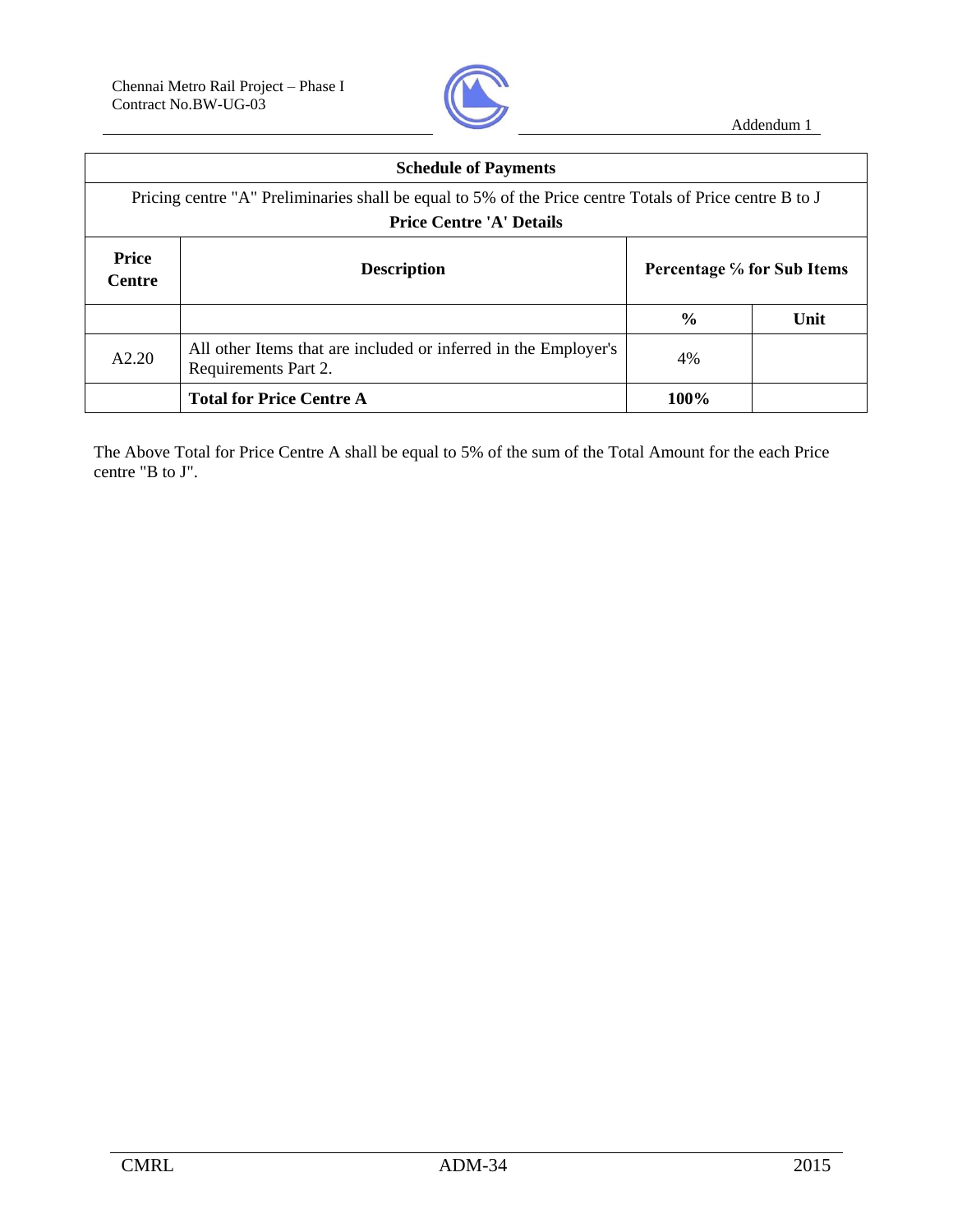

|                               | <b>Schedule of Payments</b>                                                                                                                |      |  |  |
|-------------------------------|--------------------------------------------------------------------------------------------------------------------------------------------|------|--|--|
|                               | Pricing centre "A" Preliminaries shall be equal to 5% of the Price centre Totals of Price centre B to J<br><b>Price Centre 'A' Details</b> |      |  |  |
|                               |                                                                                                                                            |      |  |  |
| <b>Price</b><br><b>Centre</b> | Percentage % for Sub Items<br><b>Description</b>                                                                                           |      |  |  |
| $\frac{6}{9}$<br>Unit         |                                                                                                                                            |      |  |  |
| A2.20                         | All other Items that are included or inferred in the Employer's<br>Requirements Part 2.                                                    | 4%   |  |  |
|                               | <b>Total for Price Centre A</b>                                                                                                            | 100% |  |  |

The Above Total for Price Centre A shall be equal to 5% of the sum of the Total Amount for the each Price centre "B to J".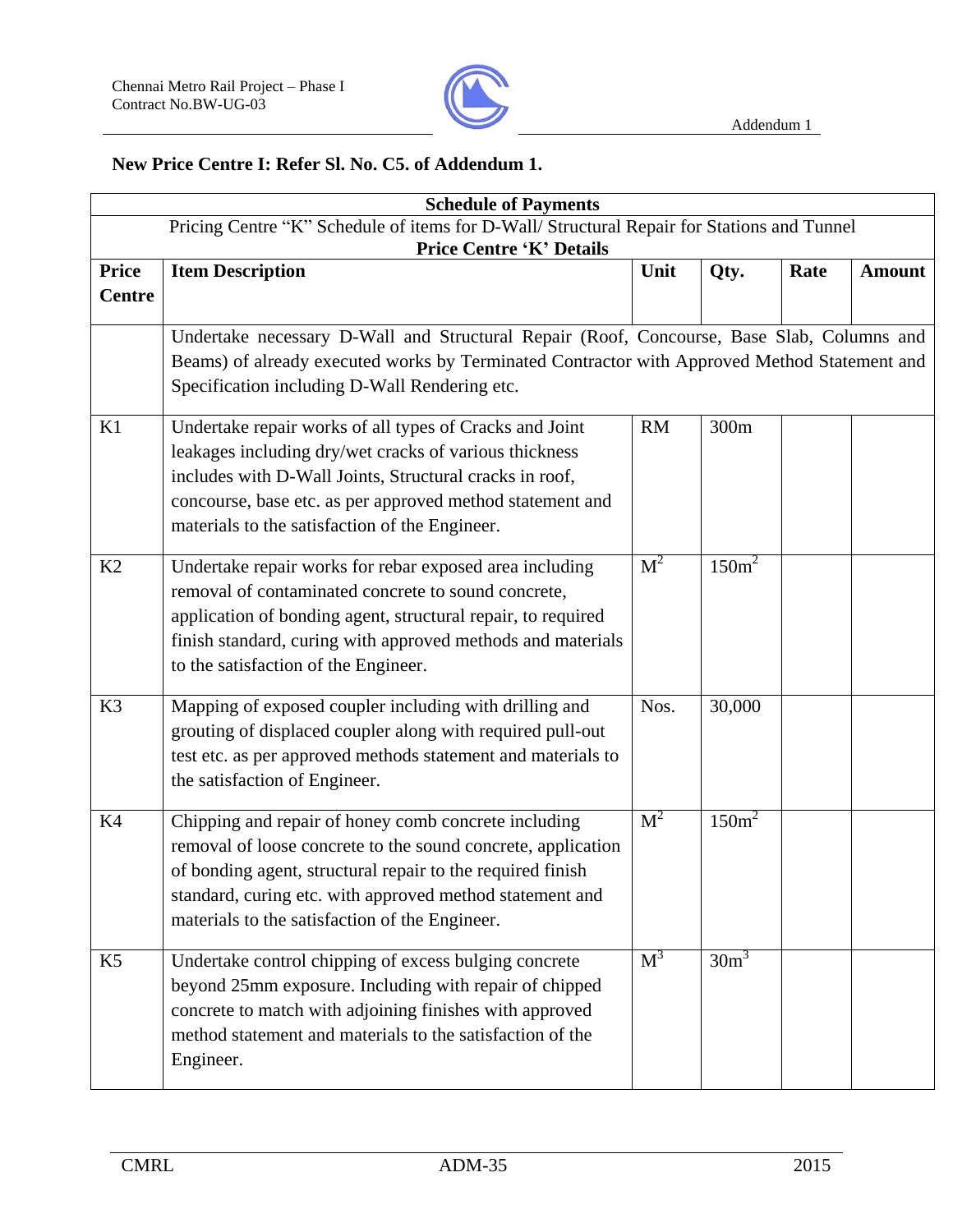

## **New Price Centre I: Refer Sl. No. C5. of Addendum 1.**

|                               | <b>Schedule of Payments</b>                                                                                                                                                                                                                                                                      |                |                              |      |               |
|-------------------------------|--------------------------------------------------------------------------------------------------------------------------------------------------------------------------------------------------------------------------------------------------------------------------------------------------|----------------|------------------------------|------|---------------|
|                               | Pricing Centre "K" Schedule of items for D-Wall/ Structural Repair for Stations and Tunnel<br><b>Price Centre 'K' Details</b>                                                                                                                                                                    |                |                              |      |               |
| <b>Price</b><br><b>Centre</b> | <b>Item Description</b>                                                                                                                                                                                                                                                                          | Unit           | Qty.                         | Rate | <b>Amount</b> |
|                               | Undertake necessary D-Wall and Structural Repair (Roof, Concourse, Base Slab, Columns and<br>Beams) of already executed works by Terminated Contractor with Approved Method Statement and<br>Specification including D-Wall Rendering etc.                                                       |                |                              |      |               |
| K1                            | Undertake repair works of all types of Cracks and Joint<br>leakages including dry/wet cracks of various thickness<br>includes with D-Wall Joints, Structural cracks in roof,<br>concourse, base etc. as per approved method statement and<br>materials to the satisfaction of the Engineer.      | <b>RM</b>      | 300m                         |      |               |
| K2                            | Undertake repair works for rebar exposed area including<br>removal of contaminated concrete to sound concrete,<br>application of bonding agent, structural repair, to required<br>finish standard, curing with approved methods and materials<br>to the satisfaction of the Engineer.            | M <sup>2</sup> | 150m <sup>2</sup>            |      |               |
| K3                            | Mapping of exposed coupler including with drilling and<br>grouting of displaced coupler along with required pull-out<br>test etc. as per approved methods statement and materials to<br>the satisfaction of Engineer.                                                                            | Nos.           | 30,000                       |      |               |
| K4                            | Chipping and repair of honey comb concrete including<br>removal of loose concrete to the sound concrete, application<br>of bonding agent, structural repair to the required finish<br>standard, curing etc. with approved method statement and<br>materials to the satisfaction of the Engineer. | M <sup>2</sup> | 150m <sup>2</sup>            |      |               |
| K <sub>5</sub>                | Undertake control chipping of excess bulging concrete<br>beyond 25mm exposure. Including with repair of chipped<br>concrete to match with adjoining finishes with approved<br>method statement and materials to the satisfaction of the<br>Engineer.                                             | $M^3$          | 30 <sub>m</sub> <sup>3</sup> |      |               |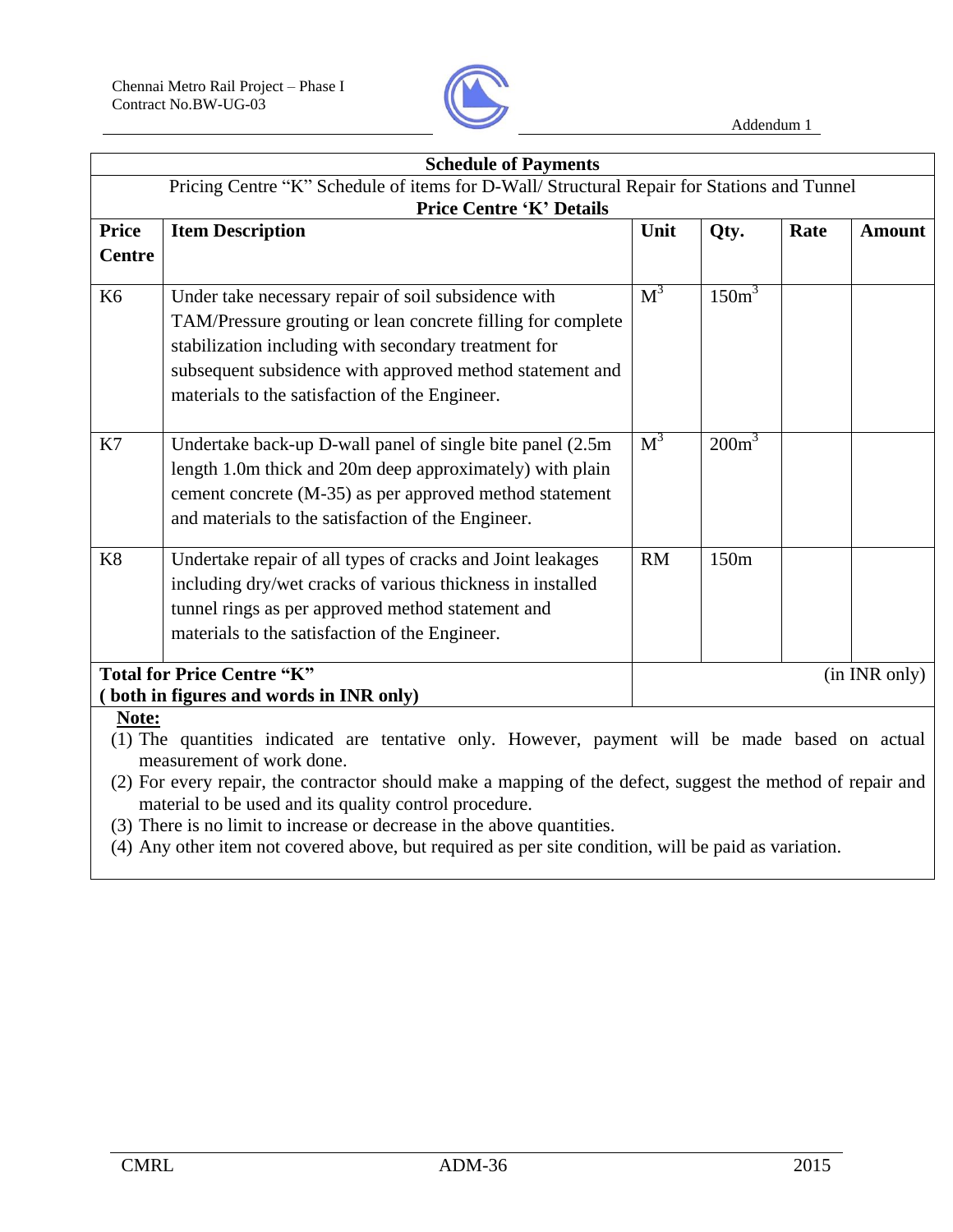

|                               | <b>Schedule of Payments</b>                                                                                                                                                                                                                                                                         |           |                   |      |               |
|-------------------------------|-----------------------------------------------------------------------------------------------------------------------------------------------------------------------------------------------------------------------------------------------------------------------------------------------------|-----------|-------------------|------|---------------|
|                               | Pricing Centre "K" Schedule of items for D-Wall/ Structural Repair for Stations and Tunnel                                                                                                                                                                                                          |           |                   |      |               |
| <b>Price</b><br><b>Centre</b> | <b>Price Centre 'K' Details</b><br><b>Item Description</b>                                                                                                                                                                                                                                          | Unit      | Qty.              | Rate | <b>Amount</b> |
| K <sub>6</sub>                | Under take necessary repair of soil subsidence with<br>TAM/Pressure grouting or lean concrete filling for complete<br>stabilization including with secondary treatment for<br>subsequent subsidence with approved method statement and<br>materials to the satisfaction of the Engineer.            | $M^3$     | 150m <sup>3</sup> |      |               |
| K7                            | Undertake back-up D-wall panel of single bite panel (2.5m)<br>length 1.0m thick and 20m deep approximately) with plain<br>cement concrete (M-35) as per approved method statement<br>and materials to the satisfaction of the Engineer.                                                             | $M^3$     | $200m^3$          |      |               |
| K <sub>8</sub>                | Undertake repair of all types of cracks and Joint leakages<br>including dry/wet cracks of various thickness in installed<br>tunnel rings as per approved method statement and<br>materials to the satisfaction of the Engineer.                                                                     | <b>RM</b> | 150m              |      |               |
|                               | <b>Total for Price Centre "K"</b><br>both in figures and words in INR only)                                                                                                                                                                                                                         |           |                   |      | (in INR only) |
| Note:                         | (1) The quantities indicated are tentative only. However, payment will be made based on actual<br>measurement of work done.<br>(2) For every repair, the contractor should make a mapping of the defect, suggest the method of repair and<br>material to be used and its quality control procedure. |           |                   |      |               |

- (3) There is no limit to increase or decrease in the above quantities.
- (4) Any other item not covered above, but required as per site condition, will be paid as variation.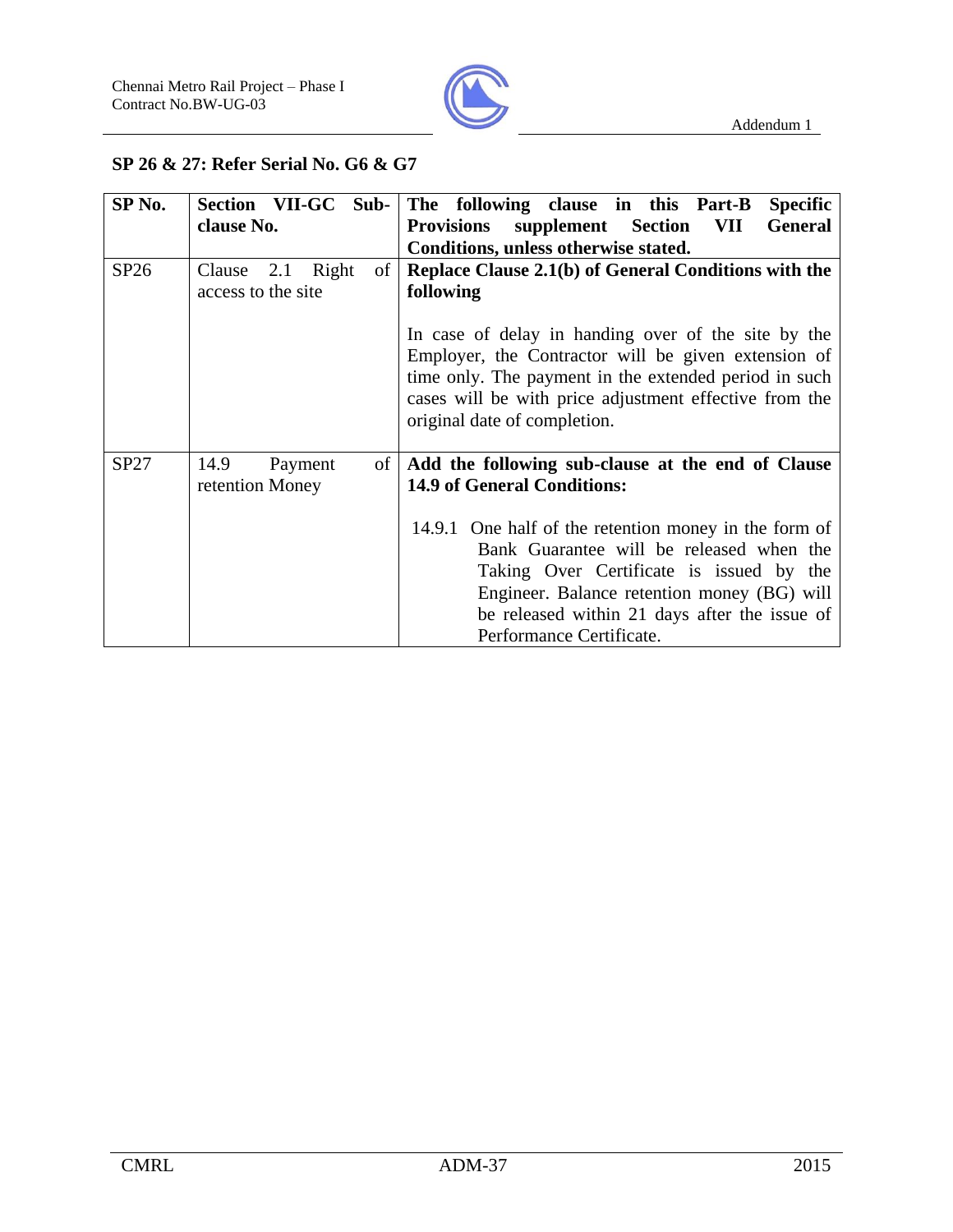

### **SP 26 & 27: Refer Serial No. G6 & G7**

| SP <sub>No.</sub> | Section VII-GC Sub-       | The following clause in this Part-B<br><b>Specific</b>        |  |  |
|-------------------|---------------------------|---------------------------------------------------------------|--|--|
|                   | clause No.                | <b>Provisions</b> supplement Section<br><b>General</b><br>VII |  |  |
|                   |                           | Conditions, unless otherwise stated.                          |  |  |
| SP26              | 2.1 Right<br>of<br>Clause | Replace Clause 2.1(b) of General Conditions with the          |  |  |
|                   | access to the site        | following                                                     |  |  |
|                   |                           |                                                               |  |  |
|                   |                           | In case of delay in handing over of the site by the           |  |  |
|                   |                           | Employer, the Contractor will be given extension of           |  |  |
|                   |                           | time only. The payment in the extended period in such         |  |  |
|                   |                           | cases will be with price adjustment effective from the        |  |  |
|                   |                           | original date of completion.                                  |  |  |
|                   |                           |                                                               |  |  |
| SP27              | 14.9<br>Payment<br>of     | Add the following sub-clause at the end of Clause             |  |  |
|                   | retention Money           | <b>14.9 of General Conditions:</b>                            |  |  |
|                   |                           |                                                               |  |  |
|                   |                           | 14.9.1 One half of the retention money in the form of         |  |  |
|                   |                           | Bank Guarantee will be released when the                      |  |  |
|                   |                           | Taking Over Certificate is issued by the                      |  |  |
|                   |                           | Engineer. Balance retention money (BG) will                   |  |  |
|                   |                           | be released within 21 days after the issue of                 |  |  |
|                   |                           | Performance Certificate.                                      |  |  |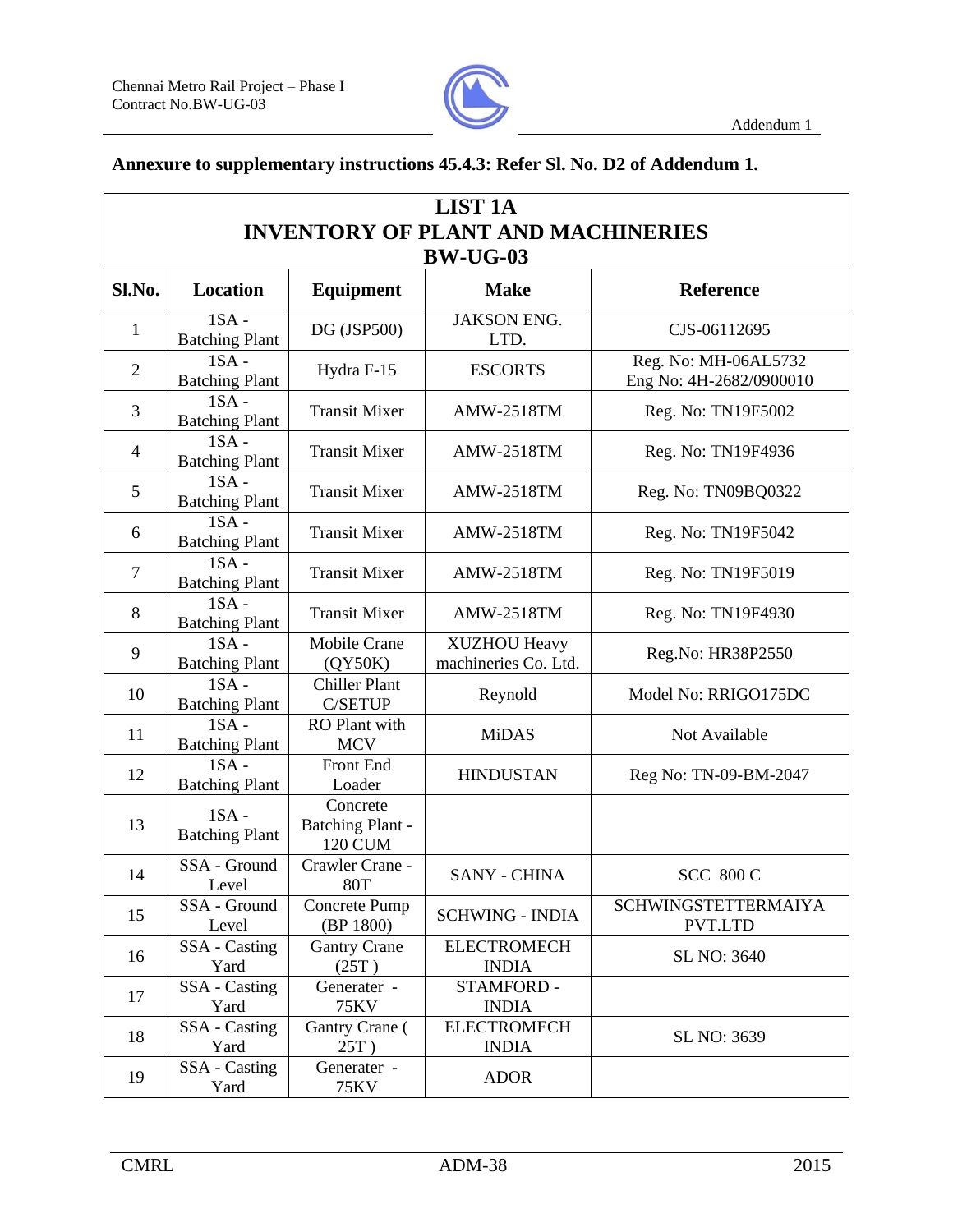

## **Annexure to supplementary instructions 45.4.3: Refer Sl. No. D2 of Addendum 1.**

| <b>LIST 1A</b><br><b>INVENTORY OF PLANT AND MACHINERIES</b> |                                  |                                                       |                                             |                                                 |  |
|-------------------------------------------------------------|----------------------------------|-------------------------------------------------------|---------------------------------------------|-------------------------------------------------|--|
|                                                             | <b>BW-UG-03</b>                  |                                                       |                                             |                                                 |  |
| Sl.No.                                                      | <b>Location</b>                  | <b>Equipment</b>                                      | <b>Make</b>                                 | <b>Reference</b>                                |  |
| $\mathbf{1}$                                                | $1SA -$<br><b>Batching Plant</b> | DG (JSP500)                                           | <b>JAKSON ENG.</b><br>LTD.                  | CJS-06112695                                    |  |
| $\mathbf{2}$                                                | $1SA -$<br><b>Batching Plant</b> | Hydra F-15                                            | <b>ESCORTS</b>                              | Reg. No: MH-06AL5732<br>Eng No: 4H-2682/0900010 |  |
| 3                                                           | $1SA -$<br><b>Batching Plant</b> | <b>Transit Mixer</b>                                  | <b>AMW-2518TM</b>                           | Reg. No: TN19F5002                              |  |
| $\overline{4}$                                              | $1SA -$<br><b>Batching Plant</b> | <b>Transit Mixer</b>                                  | <b>AMW-2518TM</b>                           | Reg. No: TN19F4936                              |  |
| 5                                                           | $1SA -$<br><b>Batching Plant</b> | <b>Transit Mixer</b>                                  | <b>AMW-2518TM</b>                           | Reg. No: TN09BQ0322                             |  |
| 6                                                           | $1SA -$<br><b>Batching Plant</b> | <b>Transit Mixer</b>                                  | <b>AMW-2518TM</b>                           | Reg. No: TN19F5042                              |  |
| $\overline{7}$                                              | $1SA -$<br><b>Batching Plant</b> | <b>Transit Mixer</b>                                  | <b>AMW-2518TM</b>                           | Reg. No: TN19F5019                              |  |
| 8                                                           | $1SA -$<br><b>Batching Plant</b> | <b>Transit Mixer</b>                                  | <b>AMW-2518TM</b>                           | Reg. No: TN19F4930                              |  |
| 9                                                           | $1SA -$<br><b>Batching Plant</b> | <b>Mobile Crane</b><br>(QY50K)                        | <b>XUZHOU Heavy</b><br>machineries Co. Ltd. | Reg.No: HR38P2550                               |  |
| 10                                                          | $1SA -$<br><b>Batching Plant</b> | <b>Chiller Plant</b><br><b>C/SETUP</b>                | Reynold                                     | Model No: RRIGO175DC                            |  |
| 11                                                          | $1SA -$<br><b>Batching Plant</b> | <b>RO</b> Plant with<br><b>MCV</b>                    | <b>MiDAS</b>                                | Not Available                                   |  |
| 12                                                          | $1SA -$<br><b>Batching Plant</b> | Front End<br>Loader                                   | <b>HINDUSTAN</b>                            | Reg No: TN-09-BM-2047                           |  |
| 13                                                          | $1SA -$<br><b>Batching Plant</b> | Concrete<br><b>Batching Plant -</b><br><b>120 CUM</b> |                                             |                                                 |  |
| 14                                                          | SSA - Ground<br>Level            | Crawler Crane -<br><b>80T</b>                         | <b>SANY - CHINA</b>                         | <b>SCC 800 C</b>                                |  |
| 15                                                          | SSA - Ground<br>Level            | Concrete Pump<br>(BP 1800)                            | <b>SCHWING - INDIA</b>                      | <b>SCHWINGSTETTERMAIYA</b><br>PVT.LTD           |  |
| 16                                                          | SSA - Casting<br>Yard            | <b>Gantry Crane</b><br>(25T)                          | <b>ELECTROMECH</b><br><b>INDIA</b>          | SL NO: 3640                                     |  |
| 17                                                          | SSA - Casting<br>Yard            | Generater -<br>75KV                                   | <b>STAMFORD -</b><br><b>INDIA</b>           |                                                 |  |
| 18                                                          | SSA - Casting<br>Yard            | Gantry Crane (<br>$25T$ )                             | <b>ELECTROMECH</b><br><b>INDIA</b>          | SL NO: 3639                                     |  |
| 19                                                          | SSA - Casting<br>Yard            | Generater -<br>75KV                                   | <b>ADOR</b>                                 |                                                 |  |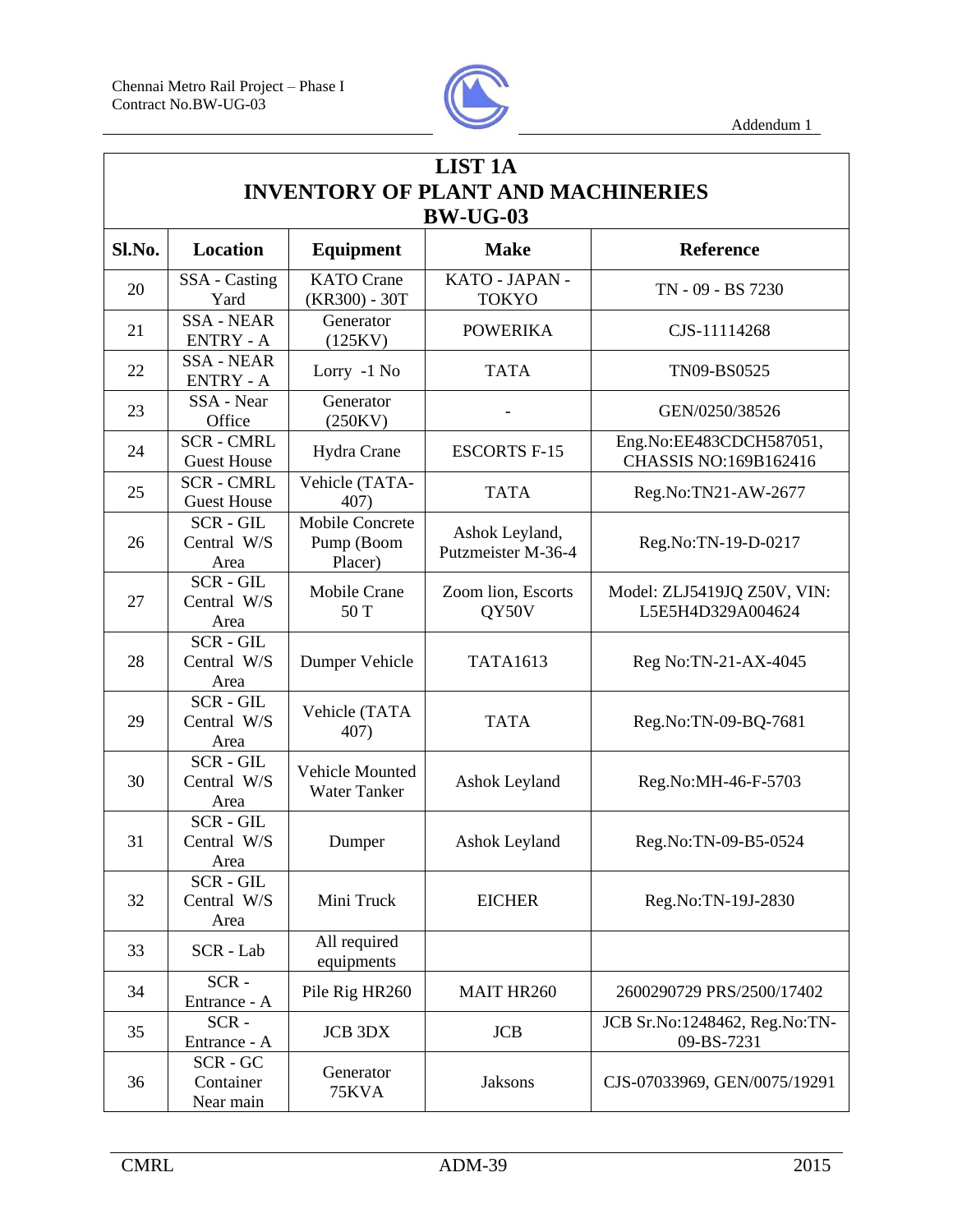

|        | <b>LIST 1A</b>                          |                                                 |                                           |                                                  |  |
|--------|-----------------------------------------|-------------------------------------------------|-------------------------------------------|--------------------------------------------------|--|
|        |                                         |                                                 | <b>INVENTORY OF PLANT AND MACHINERIES</b> |                                                  |  |
|        |                                         |                                                 | <b>BW-UG-03</b>                           |                                                  |  |
| Sl.No. | <b>Location</b>                         | <b>Equipment</b>                                | <b>Make</b>                               | <b>Reference</b>                                 |  |
| 20     | SSA - Casting<br>Yard                   | <b>KATO</b> Crane<br>(KR300) - 30T              | KATO - JAPAN -<br><b>TOKYO</b>            | TN - 09 - BS 7230                                |  |
| 21     | <b>SSA - NEAR</b><br><b>ENTRY - A</b>   | Generator<br>(125KV)                            | <b>POWERIKA</b>                           | CJS-11114268                                     |  |
| 22     | <b>SSA - NEAR</b><br><b>ENTRY - A</b>   | Lorry -1 No                                     | <b>TATA</b>                               | TN09-BS0525                                      |  |
| 23     | SSA - Near<br>Office                    | Generator<br>(250KV)                            |                                           | GEN/0250/38526                                   |  |
| 24     | <b>SCR - CMRL</b><br><b>Guest House</b> | Hydra Crane                                     | <b>ESCORTS F-15</b>                       | Eng.No:EE483CDCH587051,<br>CHASSIS NO:169B162416 |  |
| 25     | <b>SCR - CMRL</b><br><b>Guest House</b> | Vehicle (TATA-<br>407)                          | <b>TATA</b>                               | Reg.No:TN21-AW-2677                              |  |
| 26     | SCR-GIL<br>Central W/S<br>Area          | <b>Mobile Concrete</b><br>Pump (Boom<br>Placer) | Ashok Leyland,<br>Putzmeister M-36-4      | Reg.No:TN-19-D-0217                              |  |
| 27     | SCR-GIL<br>Central W/S<br>Area          | <b>Mobile Crane</b><br>50 T                     | Zoom lion, Escorts<br>QY50V               | Model: ZLJ5419JQ Z50V, VIN:<br>L5E5H4D329A004624 |  |
| 28     | SCR-GIL<br>Central W/S<br>Area          | Dumper Vehicle                                  | <b>TATA1613</b>                           | Reg No:TN-21-AX-4045                             |  |
| 29     | <b>SCR-GIL</b><br>Central W/S<br>Area   | Vehicle (TATA<br>407)                           | <b>TATA</b>                               | Reg.No:TN-09-BQ-7681                             |  |
| 30     | <b>SCR-GIL</b><br>Central W/S<br>Area   | Vehicle Mounted<br><b>Water Tanker</b>          | Ashok Leyland                             | Reg.No:MH-46-F-5703                              |  |
| 31     | <b>SCR-GIL</b><br>Central W/S<br>Area   | Dumper                                          | <b>Ashok Leyland</b>                      | Reg.No:TN-09-B5-0524                             |  |
| 32     | SCR-GIL<br>Central W/S<br>Area          | Mini Truck                                      | <b>EICHER</b>                             | Reg.No:TN-19J-2830                               |  |
| 33     | SCR - Lab                               | All required<br>equipments                      |                                           |                                                  |  |
| 34     | $SCR -$<br>Entrance - A                 | Pile Rig HR260                                  | MAIT HR260                                | 2600290729 PRS/2500/17402                        |  |
| 35     | $SCR -$<br>Entrance - A                 | <b>JCB 3DX</b>                                  | <b>JCB</b>                                | JCB Sr.No:1248462, Reg.No:TN-<br>09-BS-7231      |  |
| 36     | SCR-GC<br>Container<br>Near main        | Generator<br>75KVA                              | <b>Jaksons</b>                            | CJS-07033969, GEN/0075/19291                     |  |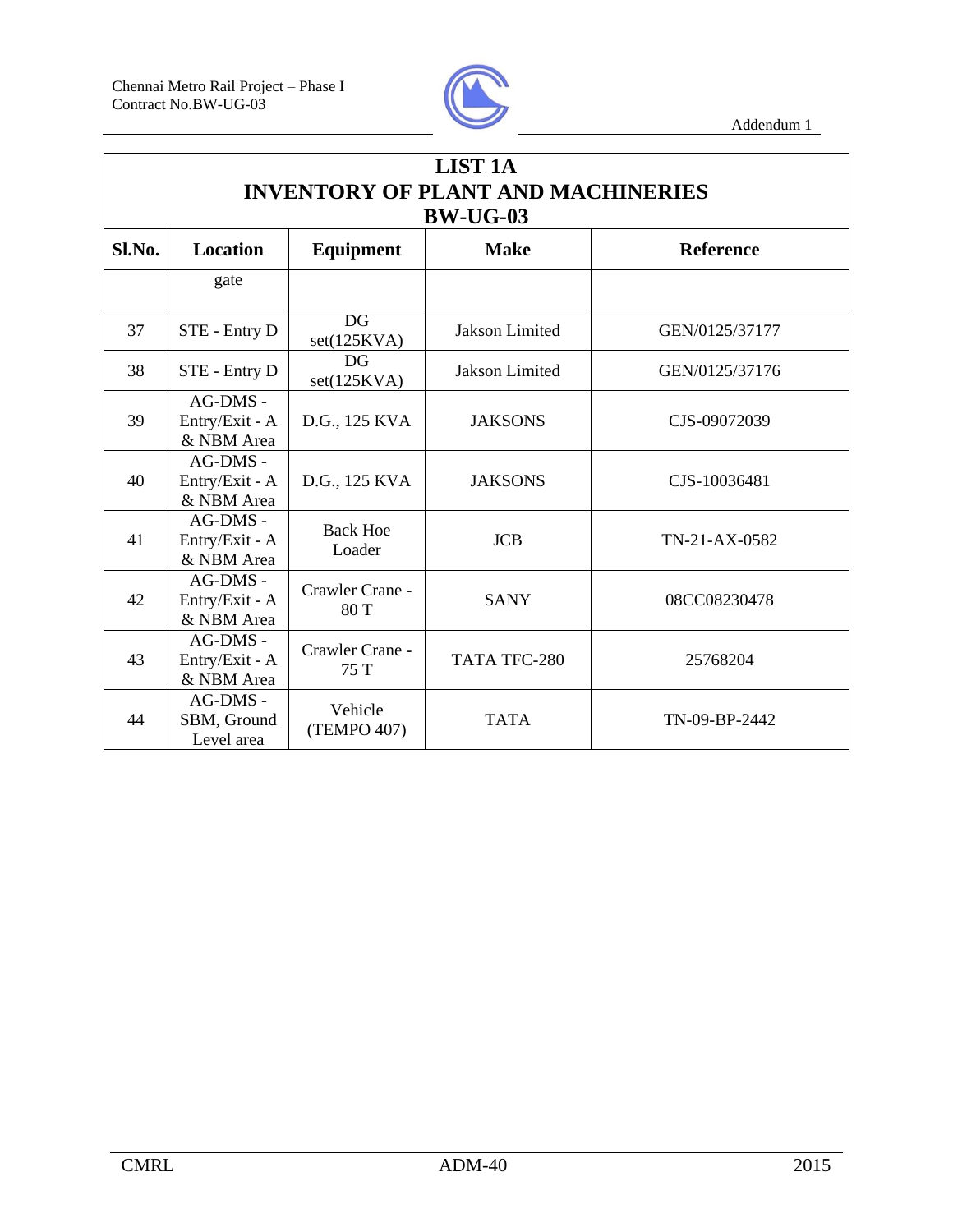

| <b>LIST 1A</b><br><b>INVENTORY OF PLANT AND MACHINERIES</b><br><b>BW-UG-03</b> |                                            |                           |                |                  |  |
|--------------------------------------------------------------------------------|--------------------------------------------|---------------------------|----------------|------------------|--|
| Sl.No.                                                                         | <b>Location</b>                            | Equipment                 | <b>Make</b>    | <b>Reference</b> |  |
|                                                                                | gate                                       |                           |                |                  |  |
| 37                                                                             | STE - Entry D                              | <b>DG</b><br>set(125KVA)  | Jakson Limited | GEN/0125/37177   |  |
| 38                                                                             | STE - Entry D                              | DG<br>set(125KVA)         | Jakson Limited | GEN/0125/37176   |  |
| 39                                                                             | $AG-DMS -$<br>Entry/Exit - A<br>& NBM Area | D.G., 125 KVA             | <b>JAKSONS</b> | CJS-09072039     |  |
| 40                                                                             | AG-DMS -<br>Entry/Exit - A<br>& NBM Area   | D.G., 125 KVA             | <b>JAKSONS</b> | CJS-10036481     |  |
| 41                                                                             | AG-DMS -<br>Entry/Exit - A<br>& NBM Area   | <b>Back Hoe</b><br>Loader | <b>JCB</b>     | TN-21-AX-0582    |  |
| 42                                                                             | AG-DMS -<br>Entry/Exit - A<br>& NBM Area   | Crawler Crane -<br>80 T   | <b>SANY</b>    | 08CC08230478     |  |
| 43                                                                             | $AG-DMS -$<br>Entry/Exit - A<br>& NBM Area | Crawler Crane -<br>75T    | TATA TFC-280   | 25768204         |  |
| 44                                                                             | $AG-DMS -$<br>SBM, Ground<br>Level area    | Vehicle<br>(TEMPO 407)    | <b>TATA</b>    | TN-09-BP-2442    |  |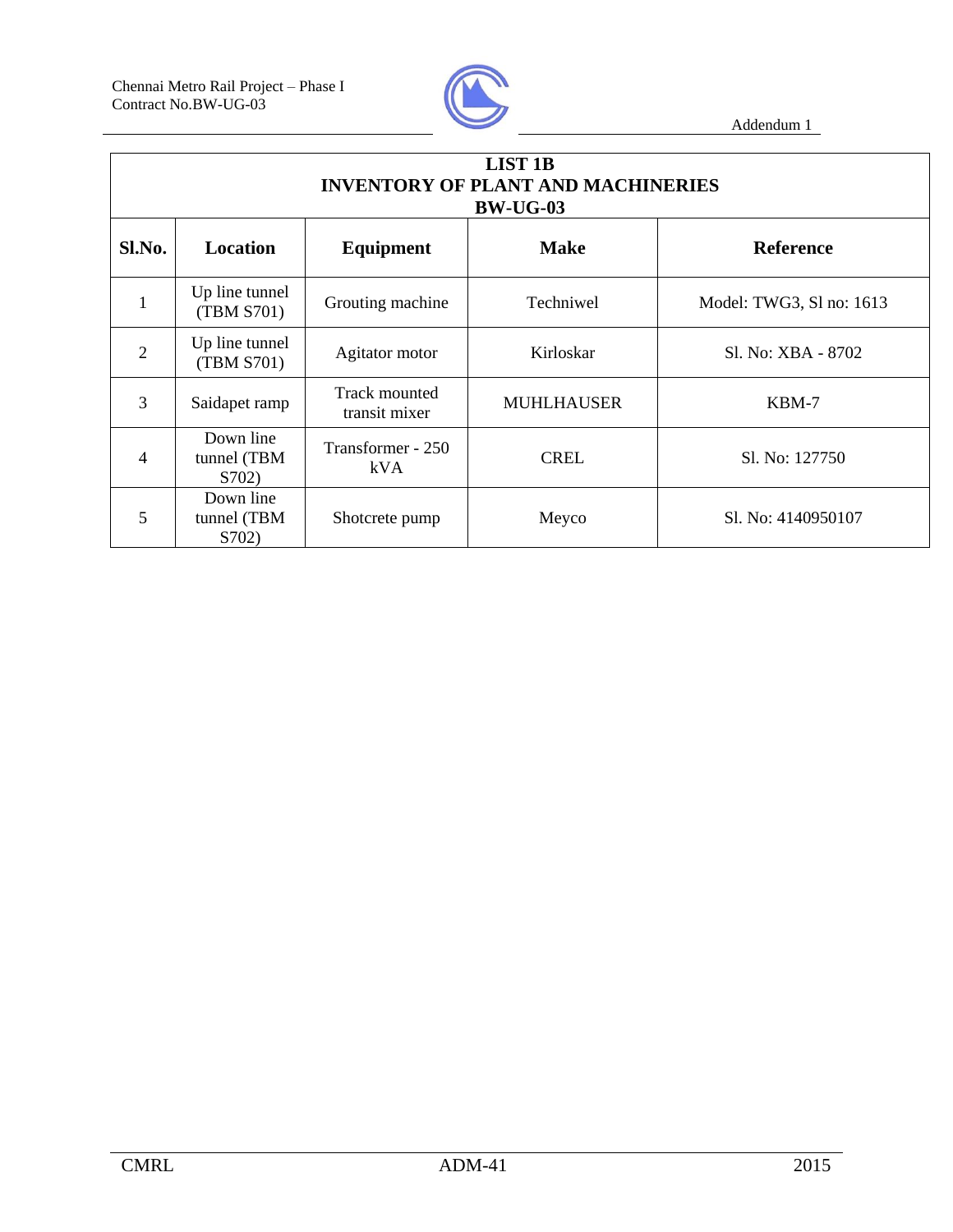

| <b>LIST 1B</b><br><b>INVENTORY OF PLANT AND MACHINERIES</b><br><b>BW-UG-03</b> |                                   |                                |                   |                          |  |
|--------------------------------------------------------------------------------|-----------------------------------|--------------------------------|-------------------|--------------------------|--|
| Sl.No.                                                                         | <b>Location</b>                   | Equipment                      | <b>Make</b>       | <b>Reference</b>         |  |
| 1                                                                              | Up line tunnel<br>(TBM S701)      | Grouting machine               | Techniwel         | Model: TWG3, Sl no: 1613 |  |
| $\overline{2}$                                                                 | Up line tunnel<br>(TBM S701)      | Agitator motor                 | Kirloskar         | Sl. No: XBA - 8702       |  |
| 3                                                                              | Saidapet ramp                     | Track mounted<br>transit mixer | <b>MUHLHAUSER</b> | KBM-7                    |  |
| 4                                                                              | Down line<br>tunnel (TBM<br>S702) | Transformer - 250<br>kVA       | <b>CREL</b>       | Sl. No: 127750           |  |
| 5                                                                              | Down line<br>tunnel (TBM<br>S702) | Shotcrete pump                 | Meyco             | Sl. No: 4140950107       |  |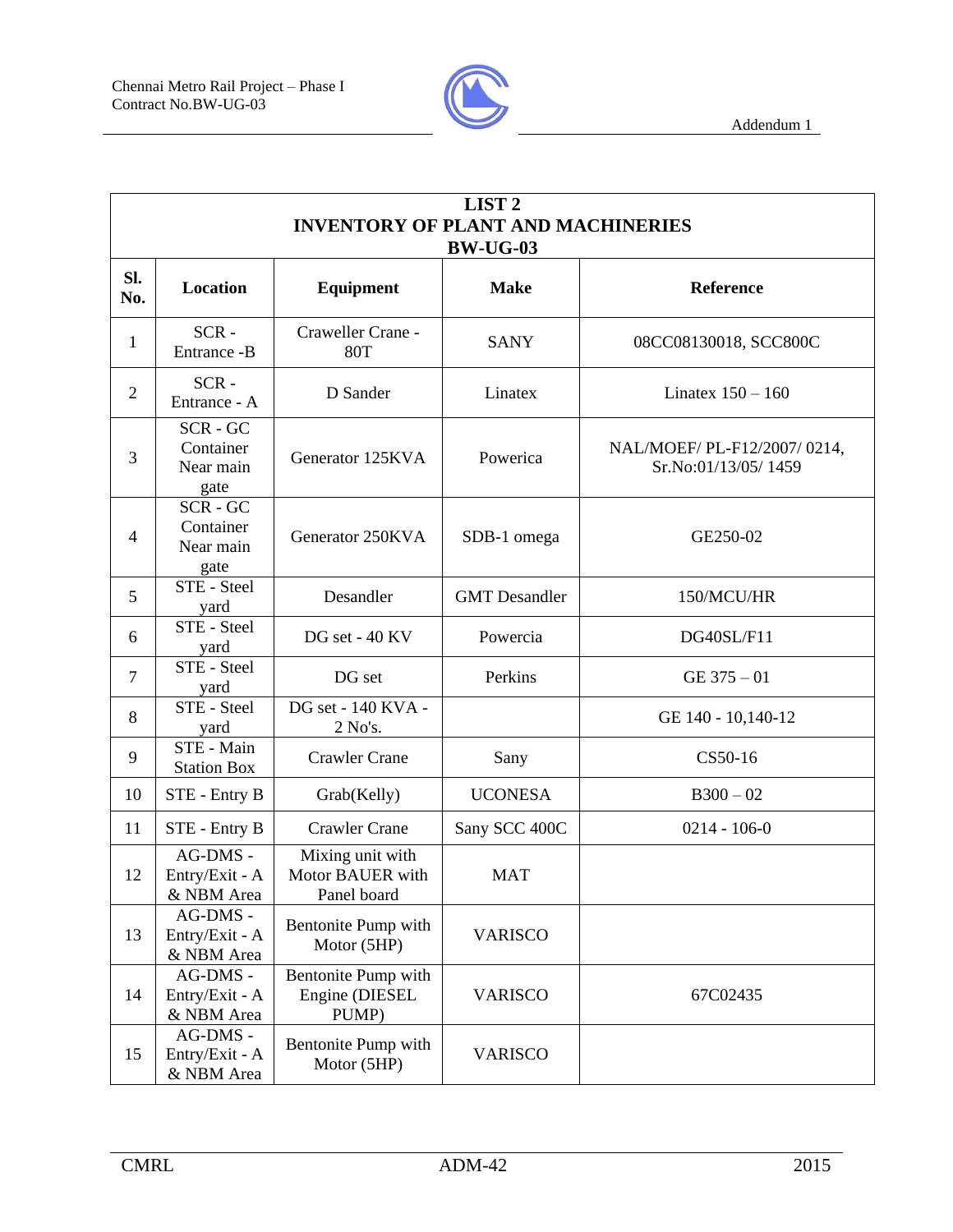

|                | LIST <sub>2</sub><br><b>INVENTORY OF PLANT AND MACHINERIES</b><br><b>BW-UG-03</b> |                                                     |                      |                                                    |  |  |
|----------------|-----------------------------------------------------------------------------------|-----------------------------------------------------|----------------------|----------------------------------------------------|--|--|
| SI.<br>No.     | Location                                                                          | Equipment                                           | <b>Make</b>          | Reference                                          |  |  |
| 1              | $SCR -$<br>Entrance -B                                                            | Craweller Crane -<br><b>80T</b>                     | <b>SANY</b>          | 08CC08130018, SCC800C                              |  |  |
| $\overline{2}$ | $SCR -$<br>Entrance - A                                                           | D Sander                                            | Linatex              | Linatex $150 - 160$                                |  |  |
| 3              | SCR-GC<br>Container<br>Near main<br>gate                                          | Generator 125KVA                                    | Powerica             | NAL/MOEF/ PL-F12/2007/0214,<br>Sr.No:01/13/05/1459 |  |  |
| $\overline{4}$ | SCR-GC<br>Container<br>Near main<br>gate                                          | Generator 250KVA                                    | SDB-1 omega          | GE250-02                                           |  |  |
| 5              | STE - Steel<br>yard                                                               | Desandler                                           | <b>GMT</b> Desandler | 150/MCU/HR                                         |  |  |
| 6              | STE - Steel<br>yard                                                               | DG set - 40 KV                                      | Powercia             | DG40SL/F11                                         |  |  |
| $\overline{7}$ | STE - Steel<br>yard                                                               | DG set                                              | Perkins              | $GE$ 375 $-01$                                     |  |  |
| 8              | STE - Steel<br>yard                                                               | DG set - 140 KVA -<br>2 No's.                       |                      | GE 140 - 10,140-12                                 |  |  |
| 9              | STE - Main<br><b>Station Box</b>                                                  | <b>Crawler Crane</b>                                | Sany                 | CS50-16                                            |  |  |
| 10             | STE - Entry B                                                                     | Grab(Kelly)                                         | <b>UCONESA</b>       | $B300 - 02$                                        |  |  |
| 11             | STE - Entry B                                                                     | <b>Crawler Crane</b>                                | Sany SCC 400C        | $0214 - 106 - 0$                                   |  |  |
| 12             | AG-DMS -<br>Entry/Exit - A<br>& NBM Area                                          | Mixing unit with<br>Motor BAUER with<br>Panel board | <b>MAT</b>           |                                                    |  |  |
| 13             | AG-DMS -<br>Entry/Exit - A<br>& NBM Area                                          | Bentonite Pump with<br>Motor (5HP)                  | <b>VARISCO</b>       |                                                    |  |  |
| 14             | AG-DMS -<br>Entry/Exit - A<br>& NBM Area                                          | Bentonite Pump with<br>Engine (DIESEL<br>PUMP)      | <b>VARISCO</b>       | 67C02435                                           |  |  |
| 15             | AG-DMS -<br>Entry/Exit - A<br>& NBM Area                                          | Bentonite Pump with<br>Motor (5HP)                  | <b>VARISCO</b>       |                                                    |  |  |